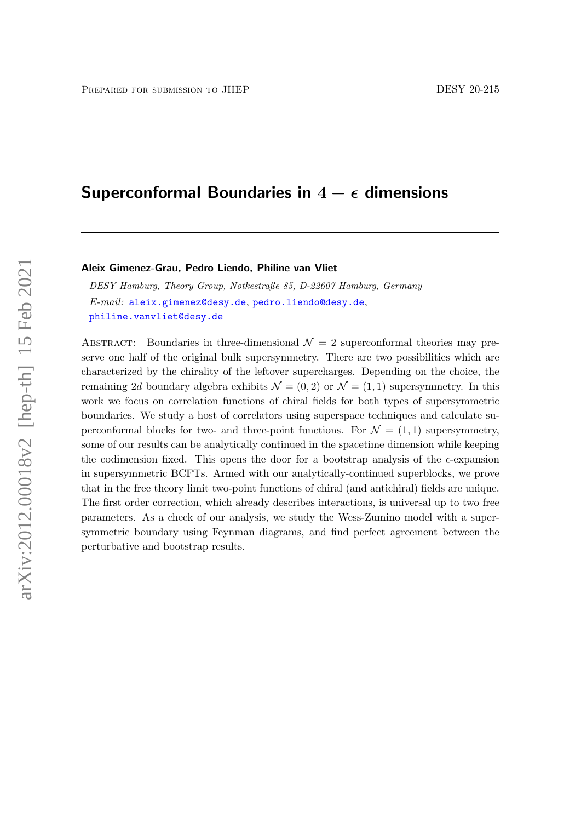# Superconformal Boundaries in  $4 - \epsilon$  dimensions

#### Aleix Gimenez-Grau, Pedro Liendo, Philine van Vliet

DESY Hamburg, Theory Group, Notkestraße 85, D-22607 Hamburg, Germany E-mail: [aleix.gimenez@desy.de](mailto:aleix.gimenez@desy.de), [pedro.liendo@desy.de](mailto:pedro.liendo@desy.de), [philine.vanvliet@desy.de](mailto:philine.vanvliet@desy.de)

ABSTRACT: Boundaries in three-dimensional  $\mathcal{N}=2$  superconformal theories may preserve one half of the original bulk supersymmetry. There are two possibilities which are characterized by the chirality of the leftover supercharges. Depending on the choice, the remaining 2d boundary algebra exhibits  $\mathcal{N} = (0, 2)$  or  $\mathcal{N} = (1, 1)$  supersymmetry. In this work we focus on correlation functions of chiral fields for both types of supersymmetric boundaries. We study a host of correlators using superspace techniques and calculate superconformal blocks for two- and three-point functions. For  $\mathcal{N} = (1, 1)$  supersymmetry, some of our results can be analytically continued in the spacetime dimension while keeping the codimension fixed. This opens the door for a bootstrap analysis of the  $\epsilon$ -expansion in supersymmetric BCFTs. Armed with our analytically-continued superblocks, we prove that in the free theory limit two-point functions of chiral (and antichiral) fields are unique. The first order correction, which already describes interactions, is universal up to two free parameters. As a check of our analysis, we study the Wess-Zumino model with a supersymmetric boundary using Feynman diagrams, and find perfect agreement between the perturbative and bootstrap results.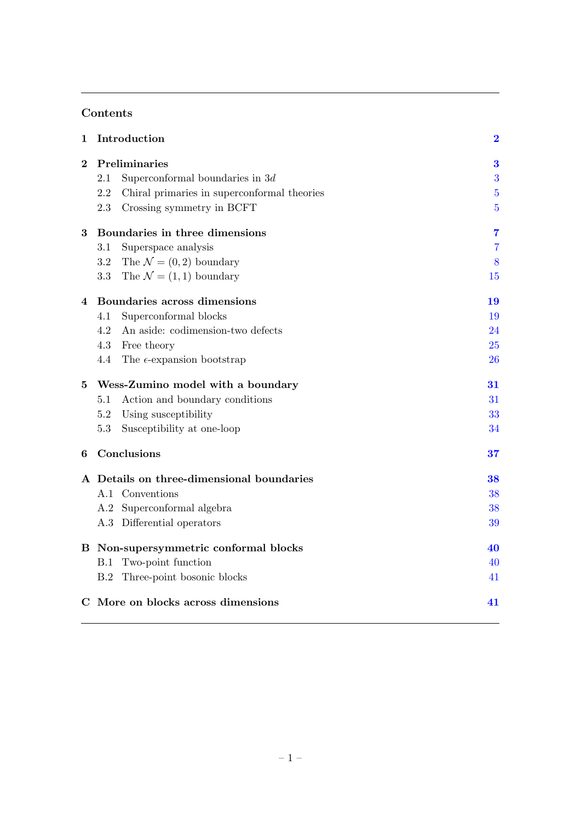# Contents

| 1              | Introduction                                       | $\bf{2}$       |
|----------------|----------------------------------------------------|----------------|
| $\bf{2}$       | Preliminaries                                      | $\bf{3}$       |
|                | 2.1<br>Superconformal boundaries in $3d$           | 3              |
|                | Chiral primaries in superconformal theories<br>2.2 | $\overline{5}$ |
|                | Crossing symmetry in BCFT<br>2.3                   | $\overline{5}$ |
| $\bf{3}$       | Boundaries in three dimensions                     | $\overline{7}$ |
|                | 3.1<br>Superspace analysis                         | $\overline{7}$ |
|                | The $\mathcal{N} = (0, 2)$ boundary<br>$3.2\,$     | 8              |
|                | The $\mathcal{N} = (1, 1)$ boundary<br>3.3         | 15             |
| $\overline{4}$ | Boundaries across dimensions                       | 19             |
|                | Superconformal blocks<br>4.1                       | 19             |
|                | 4.2<br>An aside: codimension-two defects           | 24             |
|                | Free theory<br>4.3                                 | 25             |
|                | 4.4<br>The $\epsilon$ -expansion bootstrap         | 26             |
|                |                                                    |                |
| 5              | Wess-Zumino model with a boundary                  | 31             |
|                | Action and boundary conditions<br>5.1              | 31             |
|                | 5.2<br>Using susceptibility                        | 33             |
|                | 5.3<br>Susceptibility at one-loop                  | 34             |
| 6              | Conclusions                                        | 37             |
|                | A Details on three-dimensional boundaries          | 38             |
|                | A.1 Conventions                                    | 38             |
|                | A.2 Superconformal algebra                         | 38             |
|                | A.3 Differential operators                         | 39             |
|                | B Non-supersymmetric conformal blocks              | 40             |
|                | B.1 Two-point function                             | 40             |
|                | Three-point bosonic blocks<br>B.2                  | 41             |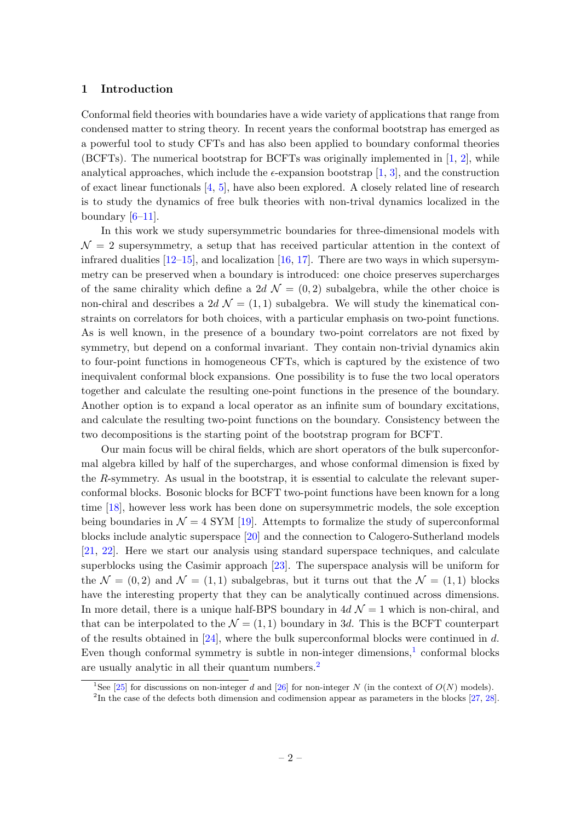## <span id="page-2-0"></span>1 Introduction

Conformal field theories with boundaries have a wide variety of applications that range from condensed matter to string theory. In recent years the conformal bootstrap has emerged as a powerful tool to study CFTs and has also been applied to boundary conformal theories (BCFTs). The numerical bootstrap for BCFTs was originally implemented in [\[1,](#page-42-0) [2\]](#page-42-1), while analytical approaches, which include the  $\epsilon$ -expansion bootstrap [\[1,](#page-42-0) [3\]](#page-42-2), and the construction of exact linear functionals [\[4,](#page-42-3) [5\]](#page-42-4), have also been explored. A closely related line of research is to study the dynamics of free bulk theories with non-trival dynamics localized in the boundary  $[6-11]$ .

In this work we study supersymmetric boundaries for three-dimensional models with  $\mathcal{N}=2$  supersymmetry, a setup that has received particular attention in the context of infrared dualities  $[12–15]$  $[12–15]$ , and localization  $[16, 17]$  $[16, 17]$ . There are two ways in which supersymmetry can be preserved when a boundary is introduced: one choice preserves supercharges of the same chirality which define a 2d  $\mathcal{N} = (0, 2)$  subalgebra, while the other choice is non-chiral and describes a 2d  $\mathcal{N} = (1, 1)$  subalgebra. We will study the kinematical constraints on correlators for both choices, with a particular emphasis on two-point functions. As is well known, in the presence of a boundary two-point correlators are not fixed by symmetry, but depend on a conformal invariant. They contain non-trivial dynamics akin to four-point functions in homogeneous CFTs, which is captured by the existence of two inequivalent conformal block expansions. One possibility is to fuse the two local operators together and calculate the resulting one-point functions in the presence of the boundary. Another option is to expand a local operator as an infinite sum of boundary excitations, and calculate the resulting two-point functions on the boundary. Consistency between the two decompositions is the starting point of the bootstrap program for BCFT.

Our main focus will be chiral fields, which are short operators of the bulk superconformal algebra killed by half of the supercharges, and whose conformal dimension is fixed by the R-symmetry. As usual in the bootstrap, it is essential to calculate the relevant superconformal blocks. Bosonic blocks for BCFT two-point functions have been known for a long time [\[18\]](#page-43-5), however less work has been done on supersymmetric models, the sole exception being boundaries in  $\mathcal{N} = 4$  SYM [\[19\]](#page-43-6). Attempts to formalize the study of superconformal blocks include analytic superspace [\[20\]](#page-43-7) and the connection to Calogero-Sutherland models [\[21,](#page-43-8) [22\]](#page-43-9). Here we start our analysis using standard superspace techniques, and calculate superblocks using the Casimir approach  $[23]$ . The superspace analysis will be uniform for the  $\mathcal{N} = (0, 2)$  and  $\mathcal{N} = (1, 1)$  subalgebras, but it turns out that the  $\mathcal{N} = (1, 1)$  blocks have the interesting property that they can be analytically continued across dimensions. In more detail, there is a unique half-BPS boundary in  $4d \mathcal{N} = 1$  which is non-chiral, and that can be interpolated to the  $\mathcal{N} = (1, 1)$  boundary in 3d. This is the BCFT counterpart of the results obtained in  $[24]$ , where the bulk superconformal blocks were continued in d. Even though conformal symmetry is subtle in non-integer dimensions,<sup>[1](#page-2-1)</sup> conformal blocks are usually analytic in all their quantum numbers.[2](#page-2-2)

<span id="page-2-1"></span><sup>&</sup>lt;sup>1</sup>See [\[25\]](#page-43-12) for discussions on non-integer d and [\[26\]](#page-43-13) for non-integer N (in the context of  $O(N)$  models).

<span id="page-2-2"></span><sup>&</sup>lt;sup>2</sup>In the case of the defects both dimension and codimension appear as parameters in the blocks [\[27,](#page-43-14) [28\]](#page-43-15).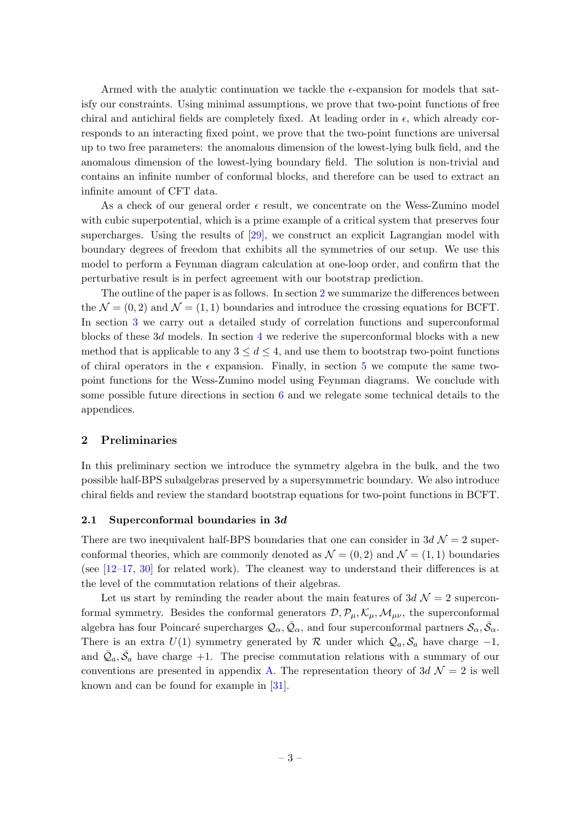Armed with the analytic continuation we tackle the  $\epsilon$ -expansion for models that satisfy our constraints. Using minimal assumptions, we prove that two-point functions of free chiral and antichiral fields are completely fixed. At leading order in  $\epsilon$ , which already corresponds to an interacting fixed point, we prove that the two-point functions are universal up to two free parameters: the anomalous dimension of the lowest-lying bulk field, and the anomalous dimension of the lowest-lying boundary field. The solution is non-trivial and contains an infinite number of conformal blocks, and therefore can be used to extract an infinite amount of CFT data.

As a check of our general order  $\epsilon$  result, we concentrate on the Wess-Zumino model with cubic superpotential, which is a prime example of a critical system that preserves four supercharges. Using the results of [\[29\]](#page-43-16), we construct an explicit Lagrangian model with boundary degrees of freedom that exhibits all the symmetries of our setup. We use this model to perform a Feynman diagram calculation at one-loop order, and confirm that the perturbative result is in perfect agreement with our bootstrap prediction.

The outline of the paper is as follows. In section [2](#page-3-0) we summarize the differences between the  $\mathcal{N} = (0, 2)$  and  $\mathcal{N} = (1, 1)$  boundaries and introduce the crossing equations for BCFT. In section [3](#page-7-0) we carry out a detailed study of correlation functions and superconformal blocks of these  $3d$  models. In section [4](#page-19-0) we rederive the superconformal blocks with a new method that is applicable to any  $3 \leq d \leq 4$ , and use them to bootstrap two-point functions of chiral operators in the  $\epsilon$  expansion. Finally, in section [5](#page-31-0) we compute the same twopoint functions for the Wess-Zumino model using Feynman diagrams. We conclude with some possible future directions in section [6](#page-37-0) and we relegate some technical details to the appendices.

### <span id="page-3-0"></span>2 Preliminaries

In this preliminary section we introduce the symmetry algebra in the bulk, and the two possible half-BPS subalgebras preserved by a supersymmetric boundary. We also introduce chiral fields and review the standard bootstrap equations for two-point functions in BCFT.

#### <span id="page-3-1"></span>2.1 Superconformal boundaries in 3d

There are two inequivalent half-BPS boundaries that one can consider in  $3d \mathcal{N} = 2$  superconformal theories, which are commonly denoted as  $\mathcal{N} = (0, 2)$  and  $\mathcal{N} = (1, 1)$  boundaries (see  $[12-17, 30]$  $[12-17, 30]$  $[12-17, 30]$  $[12-17, 30]$  for related work). The cleanest way to understand their differences is at the level of the commutation relations of their algebras.

Let us start by reminding the reader about the main features of  $3d \mathcal{N}=2$  superconformal symmetry. Besides the conformal generators  $\mathcal{D}, \mathcal{P}_{\mu}, \mathcal{K}_{\mu}, \mathcal{M}_{\mu\nu}$ , the superconformal algebra has four Poincaré supercharges  $\mathcal{Q}_\alpha, \bar{\mathcal{Q}}_\alpha$ , and four superconformal partners  $\mathcal{S}_\alpha, \bar{\mathcal{S}}_\alpha$ . There is an extra  $U(1)$  symmetry generated by R under which  $\mathcal{Q}_a$ ,  $\mathcal{S}_a$  have charge  $-1$ , and  $\overline{Q}_a$ ,  $\overline{S}_a$  have charge  $+1$ . The precise commutation relations with a summary of our conventions are presented in appendix [A.](#page-38-0) The representation theory of  $3d \mathcal{N} = 2$  is well known and can be found for example in [\[31\]](#page-44-0).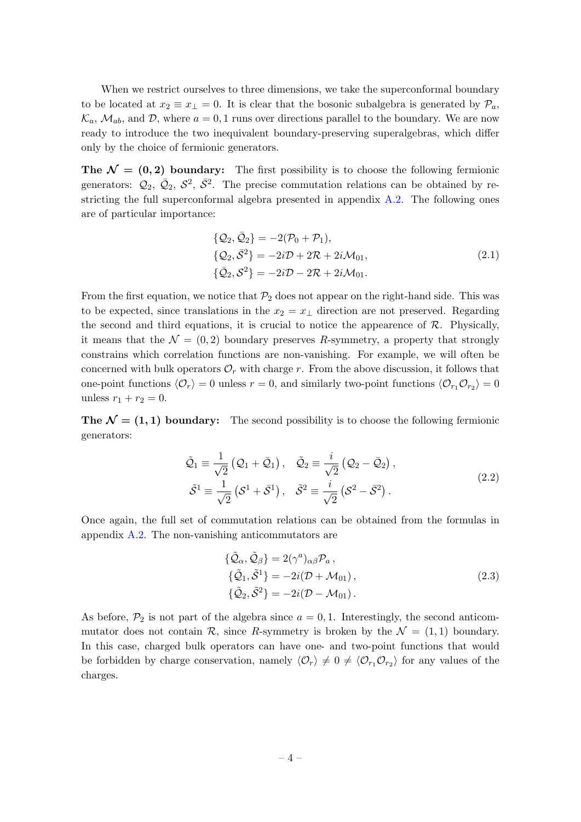When we restrict ourselves to three dimensions, we take the superconformal boundary to be located at  $x_2 \equiv x_1 = 0$ . It is clear that the bosonic subalgebra is generated by  $\mathcal{P}_a$ ,  $\mathcal{K}_a$ ,  $\mathcal{M}_{ab}$ , and  $\mathcal{D}$ , where  $a = 0, 1$  runs over directions parallel to the boundary. We are now ready to introduce the two inequivalent boundary-preserving superalgebras, which differ only by the choice of fermionic generators.

The  $\mathcal{N} = (0, 2)$  boundary: The first possibility is to choose the following fermionic generators:  $\mathcal{Q}_2$ ,  $\bar{\mathcal{Q}}_2$ ,  $\bar{\mathcal{S}}^2$ . The precise commutation relations can be obtained by restricting the full superconformal algebra presented in appendix [A.2.](#page-38-2) The following ones are of particular importance:

<span id="page-4-0"></span>
$$
\{Q_2, \bar{Q}_2\} = -2(\mathcal{P}_0 + \mathcal{P}_1),\{\mathcal{Q}_2, \bar{S}^2\} = -2i\mathcal{D} + 2\mathcal{R} + 2i\mathcal{M}_{01},\{\bar{Q}_2, S^2\} = -2i\mathcal{D} - 2\mathcal{R} + 2i\mathcal{M}_{01}.
$$
\n(2.1)

From the first equation, we notice that  $\mathcal{P}_2$  does not appear on the right-hand side. This was to be expected, since translations in the  $x_2 = x_1$  direction are not preserved. Regarding the second and third equations, it is crucial to notice the appearence of  $\mathcal{R}$ . Physically, it means that the  $\mathcal{N} = (0, 2)$  boundary preserves R-symmetry, a property that strongly constrains which correlation functions are non-vanishing. For example, we will often be concerned with bulk operators  $\mathcal{O}_r$  with charge r. From the above discussion, it follows that one-point functions  $\langle \mathcal{O}_r \rangle = 0$  unless  $r = 0$ , and similarly two-point functions  $\langle \mathcal{O}_{r_1} \mathcal{O}_{r_2} \rangle = 0$ unless  $r_1 + r_2 = 0$ .

The  $\mathcal{N} = (1, 1)$  boundary: The second possibility is to choose the following fermionic generators:

$$
\tilde{Q}_1 \equiv \frac{1}{\sqrt{2}} (Q_1 + \bar{Q}_1), \quad \tilde{Q}_2 \equiv \frac{i}{\sqrt{2}} (Q_2 - \bar{Q}_2), \n\tilde{S}^1 \equiv \frac{1}{\sqrt{2}} (S^1 + \bar{S}^1), \quad \tilde{S}^2 \equiv \frac{i}{\sqrt{2}} (S^2 - \bar{S}^2).
$$
\n(2.2)

Once again, the full set of commutation relations can be obtained from the formulas in appendix [A.2.](#page-38-2) The non-vanishing anticommutators are

$$
\{\tilde{\mathcal{Q}}_{\alpha}, \tilde{\mathcal{Q}}_{\beta}\} = 2(\gamma^{a})_{\alpha\beta} \mathcal{P}_{a}, \{\tilde{\mathcal{Q}}_{1}, \tilde{\mathcal{S}}^{1}\} = -2i(\mathcal{D} + \mathcal{M}_{01}), \{\tilde{\mathcal{Q}}_{2}, \tilde{\mathcal{S}}^{2}\} = -2i(\mathcal{D} - \mathcal{M}_{01}).
$$
\n(2.3)

As before,  $\mathcal{P}_2$  is not part of the algebra since  $a = 0, 1$ . Interestingly, the second anticommutator does not contain R, since R-symmetry is broken by the  $\mathcal{N} = (1, 1)$  boundary. In this case, charged bulk operators can have one- and two-point functions that would be forbidden by charge conservation, namely  $\langle \mathcal{O}_r \rangle \neq 0 \neq \langle \mathcal{O}_{r_1} \mathcal{O}_{r_2} \rangle$  for any values of the charges.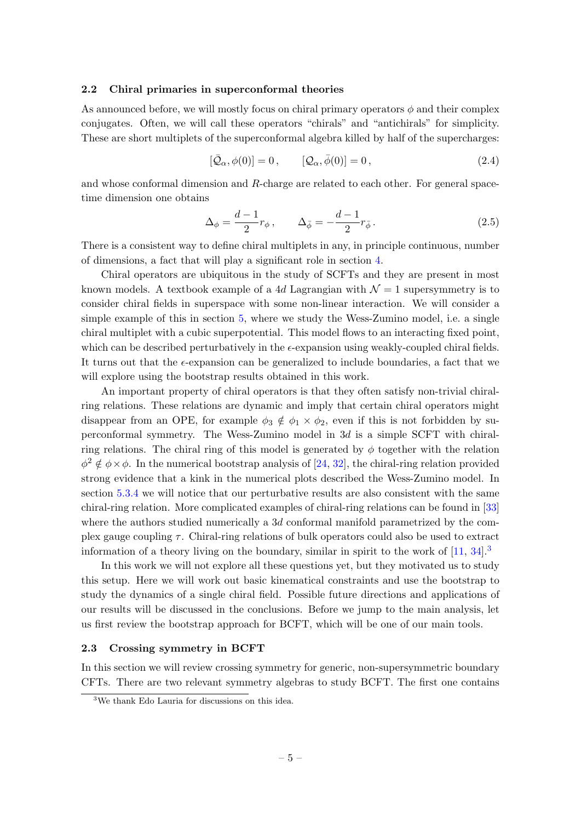## <span id="page-5-0"></span>2.2 Chiral primaries in superconformal theories

As announced before, we will mostly focus on chiral primary operators  $\phi$  and their complex conjugates. Often, we will call these operators "chirals" and "antichirals" for simplicity. These are short multiplets of the superconformal algebra killed by half of the supercharges:

$$
[\bar{\mathcal{Q}}_{\alpha}, \phi(0)] = 0, \qquad [\mathcal{Q}_{\alpha}, \bar{\phi}(0)] = 0, \qquad (2.4)
$$

and whose conformal dimension and R-charge are related to each other. For general spacetime dimension one obtains

$$
\Delta_{\phi} = \frac{d-1}{2}r_{\phi}, \qquad \Delta_{\bar{\phi}} = -\frac{d-1}{2}r_{\bar{\phi}}.
$$
\n(2.5)

There is a consistent way to define chiral multiplets in any, in principle continuous, number of dimensions, a fact that will play a significant role in section [4.](#page-19-0)

Chiral operators are ubiquitous in the study of SCFTs and they are present in most known models. A textbook example of a 4d Lagrangian with  $\mathcal{N}=1$  supersymmetry is to consider chiral fields in superspace with some non-linear interaction. We will consider a simple example of this in section [5,](#page-31-0) where we study the Wess-Zumino model, i.e. a single chiral multiplet with a cubic superpotential. This model flows to an interacting fixed point, which can be described perturbatively in the  $\epsilon$ -expansion using weakly-coupled chiral fields. It turns out that the  $\epsilon$ -expansion can be generalized to include boundaries, a fact that we will explore using the bootstrap results obtained in this work.

An important property of chiral operators is that they often satisfy non-trivial chiralring relations. These relations are dynamic and imply that certain chiral operators might disappear from an OPE, for example  $\phi_3 \notin \phi_1 \times \phi_2$ , even if this is not forbidden by superconformal symmetry. The Wess-Zumino model in 3d is a simple SCFT with chiralring relations. The chiral ring of this model is generated by  $\phi$  together with the relation  $\phi^2 \notin \phi \times \phi$ . In the numerical bootstrap analysis of [\[24,](#page-43-11) [32\]](#page-44-1), the chiral-ring relation provided strong evidence that a kink in the numerical plots described the Wess-Zumino model. In section [5.3.4](#page-36-0) we will notice that our perturbative results are also consistent with the same chiral-ring relation. More complicated examples of chiral-ring relations can be found in [\[33\]](#page-44-2) where the authors studied numerically a 3d conformal manifold parametrized by the complex gauge coupling  $\tau$ . Chiral-ring relations of bulk operators could also be used to extract information of a theory living on the boundary, similar in spirit to the work of  $[11, 34]$  $[11, 34]$ .

In this work we will not explore all these questions yet, but they motivated us to study this setup. Here we will work out basic kinematical constraints and use the bootstrap to study the dynamics of a single chiral field. Possible future directions and applications of our results will be discussed in the conclusions. Before we jump to the main analysis, let us first review the bootstrap approach for BCFT, which will be one of our main tools.

#### <span id="page-5-1"></span>2.3 Crossing symmetry in BCFT

In this section we will review crossing symmetry for generic, non-supersymmetric boundary CFTs. There are two relevant symmetry algebras to study BCFT. The first one contains

<span id="page-5-2"></span><sup>3</sup>We thank Edo Lauria for discussions on this idea.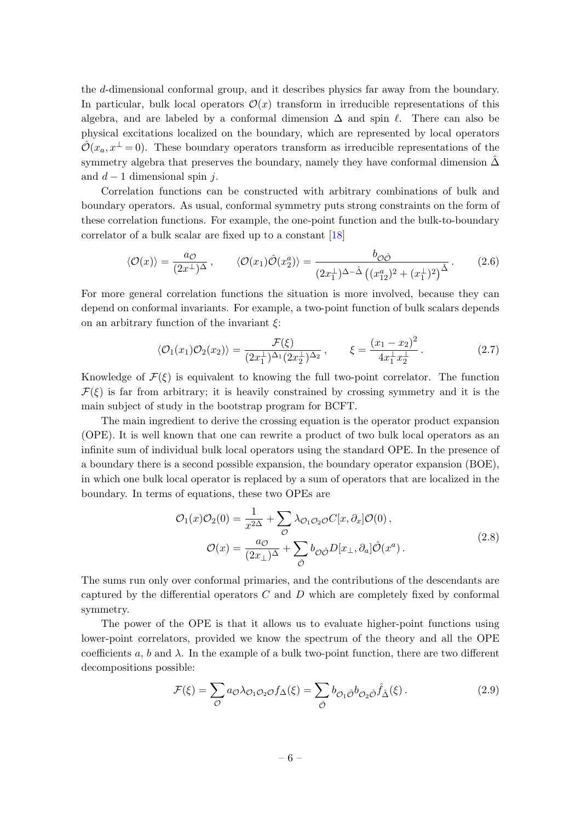the d-dimensional conformal group, and it describes physics far away from the boundary. In particular, bulk local operators  $\mathcal{O}(x)$  transform in irreducible representations of this algebra, and are labeled by a conformal dimension  $\Delta$  and spin  $\ell$ . There can also be physical excitations localized on the boundary, which are represented by local operators  $\hat{\mathcal{O}}(x_a, x^{\perp} = 0)$ . These boundary operators transform as irreducible representations of the symmetry algebra that preserves the boundary, namely they have conformal dimension  $\Delta$ and  $d-1$  dimensional spin j.

Correlation functions can be constructed with arbitrary combinations of bulk and boundary operators. As usual, conformal symmetry puts strong constraints on the form of these correlation functions. For example, the one-point function and the bulk-to-boundary correlator of a bulk scalar are fixed up to a constant [\[18\]](#page-43-5)

$$
\langle \mathcal{O}(x) \rangle = \frac{a_{\mathcal{O}}}{(2x^{\perp})^{\Delta}}, \qquad \langle \mathcal{O}(x_1) \hat{\mathcal{O}}(x_2^a) \rangle = \frac{b_{\mathcal{O}\hat{\mathcal{O}}}}{(2x_1^{\perp})^{\Delta - \hat{\Delta}} \left( (x_{12}^a)^2 + (x_1^{\perp})^2 \right)^{\hat{\Delta}}}.
$$
 (2.6)

For more general correlation functions the situation is more involved, because they can depend on conformal invariants. For example, a two-point function of bulk scalars depends on an arbitrary function of the invariant  $\xi$ :

<span id="page-6-1"></span>
$$
\langle \mathcal{O}_1(x_1)\mathcal{O}_2(x_2)\rangle = \frac{\mathcal{F}(\xi)}{(2x_1^{\perp})^{\Delta_1}(2x_2^{\perp})^{\Delta_2}}, \qquad \xi = \frac{(x_1 - x_2)^2}{4x_1^{\perp}x_2^{\perp}}.
$$
 (2.7)

Knowledge of  $\mathcal{F}(\xi)$  is equivalent to knowing the full two-point correlator. The function  $\mathcal{F}(\xi)$  is far from arbitrary; it is heavily constrained by crossing symmetry and it is the main subject of study in the bootstrap program for BCFT.

The main ingredient to derive the crossing equation is the operator product expansion (OPE). It is well known that one can rewrite a product of two bulk local operators as an infinite sum of individual bulk local operators using the standard OPE. In the presence of a boundary there is a second possible expansion, the boundary operator expansion (BOE), in which one bulk local operator is replaced by a sum of operators that are localized in the boundary. In terms of equations, these two OPEs are

$$
\mathcal{O}_1(x)\mathcal{O}_2(0) = \frac{1}{x^{2\Delta}} + \sum_{\mathcal{O}} \lambda_{\mathcal{O}_1\mathcal{O}_2\mathcal{O}} C[x,\partial_x] \mathcal{O}(0),
$$
  

$$
\mathcal{O}(x) = \frac{a\mathcal{O}}{(2x_\perp)^{\Delta}} + \sum_{\hat{\mathcal{O}}} b_{\mathcal{O}\hat{\mathcal{O}}} D[x_\perp, \partial_a] \hat{\mathcal{O}}(x^a).
$$
 (2.8)

The sums run only over conformal primaries, and the contributions of the descendants are captured by the differential operators  $C$  and  $D$  which are completely fixed by conformal symmetry.

The power of the OPE is that it allows us to evaluate higher-point functions using lower-point correlators, provided we know the spectrum of the theory and all the OPE coefficients a, b and  $\lambda$ . In the example of a bulk two-point function, there are two different decompositions possible:

<span id="page-6-0"></span>
$$
\mathcal{F}(\xi) = \sum_{\mathcal{O}} a_{\mathcal{O}} \lambda_{\mathcal{O}_1 \mathcal{O}_2 \mathcal{O}} f_{\Delta}(\xi) = \sum_{\hat{\mathcal{O}}} b_{\mathcal{O}_1 \hat{\mathcal{O}}} b_{\mathcal{O}_2 \hat{\mathcal{O}}} \hat{f}_{\hat{\Delta}}(\xi).
$$
(2.9)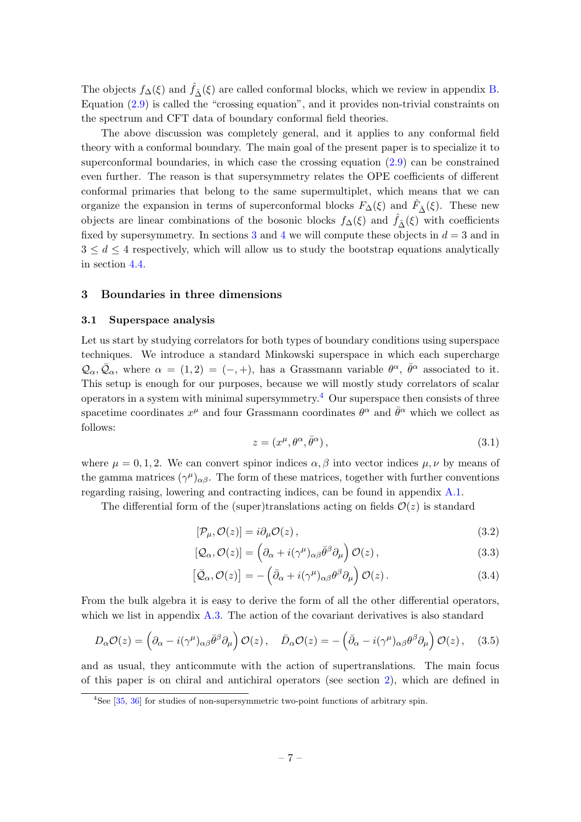The objects  $f_{\Delta}(\xi)$  and  $\hat{f}_{\hat{\Delta}}(\xi)$  are called conformal blocks, which we review in appendix [B.](#page-40-0) Equation [\(2.9\)](#page-6-0) is called the "crossing equation", and it provides non-trivial constraints on the spectrum and CFT data of boundary conformal field theories.

The above discussion was completely general, and it applies to any conformal field theory with a conformal boundary. The main goal of the present paper is to specialize it to superconformal boundaries, in which case the crossing equation [\(2.9\)](#page-6-0) can be constrained even further. The reason is that supersymmetry relates the OPE coefficients of different conformal primaries that belong to the same supermultiplet, which means that we can organize the expansion in terms of superconformal blocks  $F_{\Delta}(\xi)$  and  $\hat{F}_{\hat{\Delta}}(\xi)$ . These new objects are linear combinations of the bosonic blocks  $f_{\Delta}(\xi)$  and  $\hat{f}_{\hat{\Delta}}(\xi)$  with coefficients fixed by supersymmetry. In sections [3](#page-7-0) and [4](#page-19-0) we will compute these objects in  $d = 3$  and in  $3 \leq d \leq 4$  respectively, which will allow us to study the bootstrap equations analytically in section [4.4.](#page-26-0)

## <span id="page-7-0"></span>3 Boundaries in three dimensions

#### <span id="page-7-1"></span>3.1 Superspace analysis

Let us start by studying correlators for both types of boundary conditions using superspace techniques. We introduce a standard Minkowski superspace in which each supercharge  $\mathcal{Q}_{\alpha}, \bar{\mathcal{Q}}_{\alpha}$ , where  $\alpha = (1,2) = (-,+)$ , has a Grassmann variable  $\theta^{\alpha}, \bar{\theta}^{\alpha}$  associated to it. This setup is enough for our purposes, because we will mostly study correlators of scalar operators in a system with minimal supersymmetry.<sup>[4](#page-7-2)</sup> Our superspace then consists of three spacetime coordinates  $x^{\mu}$  and four Grassmann coordinates  $\theta^{\alpha}$  and  $\bar{\theta}^{\alpha}$  which we collect as follows:

$$
z = (x^{\mu}, \theta^{\alpha}, \bar{\theta}^{\alpha}), \qquad (3.1)
$$

where  $\mu = 0, 1, 2$ . We can convert spinor indices  $\alpha, \beta$  into vector indices  $\mu, \nu$  by means of the gamma matrices  $(\gamma^{\mu})_{\alpha\beta}$ . The form of these matrices, together with further conventions regarding raising, lowering and contracting indices, can be found in appendix [A.1.](#page-38-1)

The differential form of the (super)translations acting on fields  $\mathcal{O}(z)$  is standard

$$
[\mathcal{P}_{\mu}, \mathcal{O}(z)] = i\partial_{\mu}\mathcal{O}(z) , \qquad (3.2)
$$

$$
[Q_{\alpha}, \mathcal{O}(z)] = \left(\partial_{\alpha} + i(\gamma^{\mu})_{\alpha\beta}\bar{\theta}^{\beta}\partial_{\mu}\right)\mathcal{O}(z),\tag{3.3}
$$

$$
\left[\bar{\mathcal{Q}}_{\alpha}, \mathcal{O}(z)\right] = -\left(\bar{\partial}_{\alpha} + i(\gamma^{\mu})_{\alpha\beta}\theta^{\beta}\partial_{\mu}\right)\mathcal{O}(z) \,. \tag{3.4}
$$

From the bulk algebra it is easy to derive the form of all the other differential operators, which we list in appendix [A.3.](#page-39-0) The action of the covariant derivatives is also standard

$$
D_{\alpha}\mathcal{O}(z) = \left(\partial_{\alpha} - i(\gamma^{\mu})_{\alpha\beta}\bar{\theta}^{\beta}\partial_{\mu}\right)\mathcal{O}(z), \quad \bar{D}_{\alpha}\mathcal{O}(z) = -\left(\bar{\partial}_{\alpha} - i(\gamma^{\mu})_{\alpha\beta}\theta^{\beta}\partial_{\mu}\right)\mathcal{O}(z), \quad (3.5)
$$

and as usual, they anticommute with the action of supertranslations. The main focus of this paper is on chiral and antichiral operators (see section [2\)](#page-3-0), which are defined in

<span id="page-7-2"></span><sup>&</sup>lt;sup>4</sup>See [\[35,](#page-44-4) [36\]](#page-44-5) for studies of non-supersymmetric two-point functions of arbitrary spin.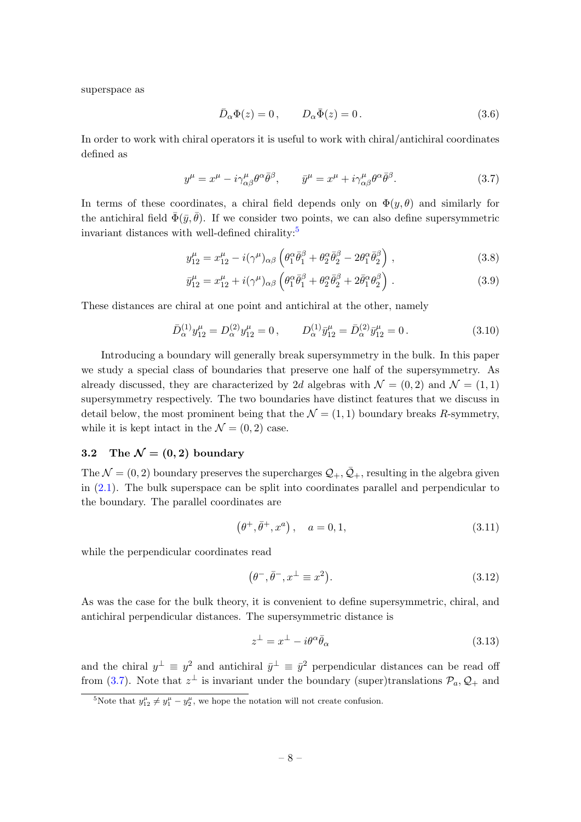superspace as

<span id="page-8-5"></span><span id="page-8-4"></span><span id="page-8-2"></span>
$$
\bar{D}_{\alpha}\Phi(z) = 0, \qquad D_{\alpha}\bar{\Phi}(z) = 0.
$$
\n(3.6)

In order to work with chiral operators it is useful to work with chiral/antichiral coordinates defined as

$$
y^{\mu} = x^{\mu} - i\gamma^{\mu}_{\alpha\beta}\theta^{\alpha}\bar{\theta}^{\beta}, \qquad \bar{y}^{\mu} = x^{\mu} + i\gamma^{\mu}_{\alpha\beta}\theta^{\alpha}\bar{\theta}^{\beta}.
$$
 (3.7)

In terms of these coordinates, a chiral field depends only on  $\Phi(y, \theta)$  and similarly for the antichiral field  $\bar{\Phi}(\bar{y}, \bar{\theta})$ . If we consider two points, we can also define supersymmetric invariant distances with well-defined chirality:<sup>[5](#page-8-1)</sup>

$$
y_{12}^{\mu} = x_{12}^{\mu} - i(\gamma^{\mu})_{\alpha\beta} \left( \theta_1^{\alpha} \bar{\theta}_1^{\beta} + \theta_2^{\alpha} \bar{\theta}_2^{\beta} - 2\theta_1^{\alpha} \bar{\theta}_2^{\beta} \right), \qquad (3.8)
$$

$$
\bar{y}_{12}^{\mu} = x_{12}^{\mu} + i(\gamma^{\mu})_{\alpha\beta} \left( \theta_1^{\alpha} \bar{\theta}_1^{\beta} + \theta_2^{\alpha} \bar{\theta}_2^{\beta} + 2 \bar{\theta}_1^{\alpha} \theta_2^{\beta} \right).
$$
 (3.9)

These distances are chiral at one point and antichiral at the other, namely

$$
\bar{D}_{\alpha}^{(1)} y_{12}^{\mu} = D_{\alpha}^{(2)} y_{12}^{\mu} = 0, \qquad D_{\alpha}^{(1)} \bar{y}_{12}^{\mu} = \bar{D}_{\alpha}^{(2)} \bar{y}_{12}^{\mu} = 0.
$$
\n(3.10)

Introducing a boundary will generally break supersymmetry in the bulk. In this paper we study a special class of boundaries that preserve one half of the supersymmetry. As already discussed, they are characterized by 2d algebras with  $\mathcal{N} = (0, 2)$  and  $\mathcal{N} = (1, 1)$ supersymmetry respectively. The two boundaries have distinct features that we discuss in detail below, the most prominent being that the  $\mathcal{N} = (1, 1)$  boundary breaks R-symmetry, while it is kept intact in the  $\mathcal{N} = (0, 2)$  case.

# <span id="page-8-0"></span>3.2 The  $\mathcal{N} = (0, 2)$  boundary

The  $\mathcal{N} = (0, 2)$  boundary preserves the supercharges  $\mathcal{Q}_+, \bar{\mathcal{Q}}_+$ , resulting in the algebra given in [\(2.1\)](#page-4-0). The bulk superspace can be split into coordinates parallel and perpendicular to the boundary. The parallel coordinates are

$$
(\theta^+, \bar{\theta}^+, x^a), \quad a = 0, 1,
$$
\n(3.11)

while the perpendicular coordinates read

$$
(\theta^-,\bar{\theta}^-,x^\perp \equiv x^2). \tag{3.12}
$$

As was the case for the bulk theory, it is convenient to define supersymmetric, chiral, and antichiral perpendicular distances. The supersymmetric distance is

<span id="page-8-3"></span>
$$
z^{\perp} = x^{\perp} - i\theta^{\alpha}\bar{\theta}_{\alpha} \tag{3.13}
$$

and the chiral  $y^{\perp} \equiv y^2$  and antichiral  $\bar{y}^{\perp} \equiv \bar{y}^2$  perpendicular distances can be read off from [\(3.7\)](#page-8-2). Note that  $z^{\perp}$  is invariant under the boundary (super)translations  $\mathcal{P}_a, \mathcal{Q}_+$  and

<span id="page-8-1"></span><sup>&</sup>lt;sup>5</sup>Note that  $y_{12}^{\mu} \neq y_1^{\mu} - y_2^{\mu}$ , we hope the notation will not create confusion.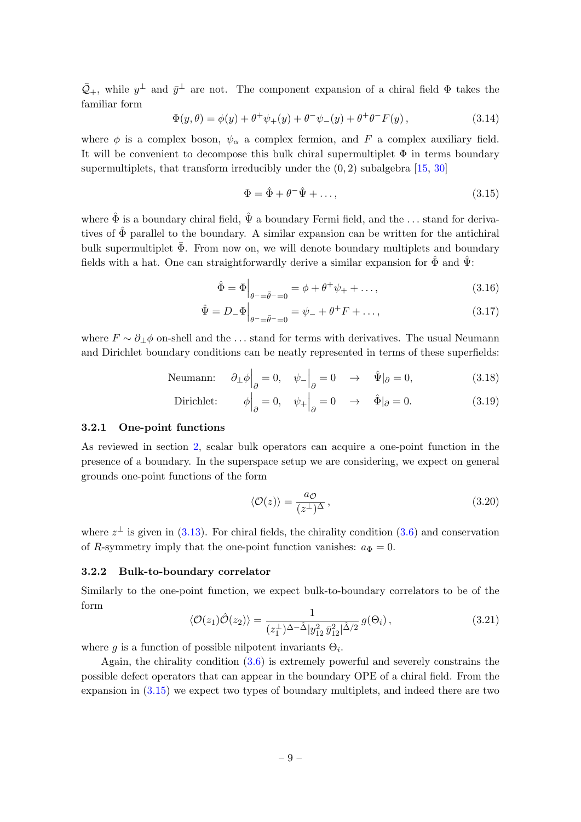$\bar{Q}_{+}$ , while  $y^{\perp}$  and  $\bar{y}^{\perp}$  are not. The component expansion of a chiral field  $\Phi$  takes the familiar form

$$
\Phi(y,\theta) = \phi(y) + \theta^+ \psi_+(y) + \theta^- \psi_-(y) + \theta^+ \theta^- F(y) , \qquad (3.14)
$$

where  $\phi$  is a complex boson,  $\psi_{\alpha}$  a complex fermion, and F a complex auxiliary field. It will be convenient to decompose this bulk chiral supermultiplet  $\Phi$  in terms boundary supermultiplets, that transform irreducibly under the  $(0, 2)$  subalgebra [\[15,](#page-43-2) [30\]](#page-43-17)

<span id="page-9-0"></span>
$$
\Phi = \hat{\Phi} + \theta^{-} \hat{\Psi} + \dots,
$$
\n(3.15)

where  $\hat{\Phi}$  is a boundary chiral field,  $\hat{\Psi}$  a boundary Fermi field, and the ... stand for derivatives of  $\hat{\Phi}$  parallel to the boundary. A similar expansion can be written for the antichiral bulk supermultiplet  $\bar{\Phi}$ . From now on, we will denote boundary multiplets and boundary fields with a hat. One can straightforwardly derive a similar expansion for  $\hat{\Phi}$  and  $\hat{\Psi}$ :

$$
\hat{\Phi} = \Phi \Big|_{\theta^- = \bar{\theta}^- = 0} = \phi + \theta^+ \psi_+ + \dots,\tag{3.16}
$$

$$
\hat{\Psi} = D_{-}\Phi\Big|_{\theta^{-} = \bar{\theta}^{-} = 0} = \psi_{-} + \theta^{+}F + \dots,
$$
\n(3.17)

where  $F \sim \partial_{\perp} \phi$  on-shell and the ... stand for terms with derivatives. The usual Neumann and Dirichlet boundary conditions can be neatly represented in terms of these superfields:

Neumann: 
$$
\partial_{\perp} \phi \Big|_{\partial} = 0, \quad \psi_{-} \Big|_{\partial} = 0 \quad \rightarrow \quad \hat{\Psi} |_{\partial} = 0,
$$
 (3.18)

Dirichlet: 
$$
\phi\Big|_{\partial} = 0, \quad \psi_+\Big|_{\partial} = 0 \quad \rightarrow \quad \hat{\Phi}\Big|_{\partial} = 0.
$$
 (3.19)

## 3.2.1 One-point functions

As reviewed in section [2,](#page-3-0) scalar bulk operators can acquire a one-point function in the presence of a boundary. In the superspace setup we are considering, we expect on general grounds one-point functions of the form

$$
\langle \mathcal{O}(z) \rangle = \frac{a_{\mathcal{O}}}{(z^{\perp})^{\Delta}},\tag{3.20}
$$

where  $z^{\perp}$  is given in [\(3.13\)](#page-8-3). For chiral fields, the chirality condition [\(3.6\)](#page-8-4) and conservation of R-symmetry imply that the one-point function vanishes:  $a_{\Phi} = 0$ .

## <span id="page-9-1"></span>3.2.2 Bulk-to-boundary correlator

Similarly to the one-point function, we expect bulk-to-boundary correlators to be of the form

$$
\langle \mathcal{O}(z_1) \hat{\mathcal{O}}(z_2) \rangle = \frac{1}{(z_1^{\perp})^{\Delta - \hat{\Delta}} |y_{12}^2 \bar{y}_{12}^2|^{\hat{\Delta}/2}} g(\Theta_i), \tag{3.21}
$$

where g is a function of possible nilpotent invariants  $\Theta_i$ .

Again, the chirality condition [\(3.6\)](#page-8-4) is extremely powerful and severely constrains the possible defect operators that can appear in the boundary OPE of a chiral field. From the expansion in [\(3.15\)](#page-9-0) we expect two types of boundary multiplets, and indeed there are two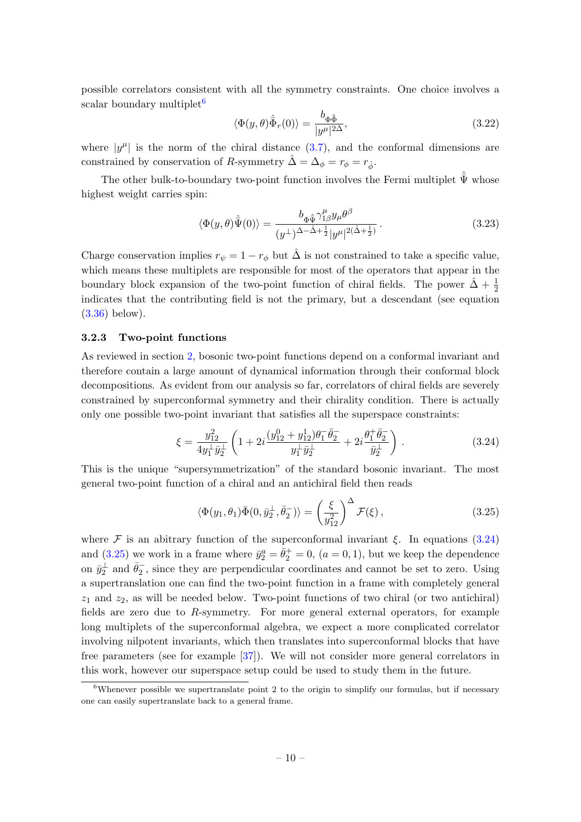possible correlators consistent with all the symmetry constraints. One choice involves a scalar boundary multiplet<sup>[6](#page-10-0)</sup>

<span id="page-10-3"></span>
$$
\langle \Phi(y,\theta)\hat{\bar{\Phi}}_r(0)\rangle = \frac{b_{\Phi\hat{\bar{\Phi}}}}{|y^{\mu}|^{2\Delta}},
$$
\n(3.22)

where  $|y^{\mu}|$  is the norm of the chiral distance  $(3.7)$ , and the conformal dimensions are constrained by conservation of R-symmetry  $\hat{\Delta} = \Delta_{\phi} = r_{\hat{\phi}} = r_{\hat{\phi}}$ .

The other bulk-to-boundary two-point function involves the Fermi multiplet  $\hat{\bar{\Psi}}$  whose highest weight carries spin:

<span id="page-10-4"></span>
$$
\langle \Phi(y,\theta)\hat{\bar{\Psi}}(0)\rangle = \frac{b_{\Phi\hat{\bar{\Psi}}}\gamma_{1\beta}^{\mu}y_{\mu}\theta^{\beta}}{(y^{\perp})^{\Delta-\hat{\Delta}+\frac{1}{2}}|y^{\mu}|^{2(\hat{\Delta}+\frac{1}{2})}}.
$$
\n(3.23)

Charge conservation implies  $r_{\psi} = 1 - r_{\phi}$  but  $\hat{\Delta}$  is not constrained to take a specific value, which means these multiplets are responsible for most of the operators that appear in the boundary block expansion of the two-point function of chiral fields. The power  $\hat{\Delta} + \frac{1}{2}$ indicates that the contributing field is not the primary, but a descendant (see equation [\(3.36\)](#page-12-0) below).

## 3.2.3 Two-point functions

As reviewed in section [2,](#page-3-0) bosonic two-point functions depend on a conformal invariant and therefore contain a large amount of dynamical information through their conformal block decompositions. As evident from our analysis so far, correlators of chiral fields are severely constrained by superconformal symmetry and their chirality condition. There is actually only one possible two-point invariant that satisfies all the superspace constraints:

<span id="page-10-1"></span>
$$
\xi = \frac{y_{12}^2}{4y_1^{\perp}\bar{y}_2^{\perp}} \left( 1 + 2i \frac{(y_{12}^0 + y_{12}^1)\theta_1^{-}\bar{\theta}_2^{-}}{y_1^{\perp}\bar{y}_2^{\perp}} + 2i \frac{\theta_1^{+}\bar{\theta}_2^{-}}{\bar{y}_2^{\perp}} \right).
$$
 (3.24)

This is the unique "supersymmetrization" of the standard bosonic invariant. The most general two-point function of a chiral and an antichiral field then reads

<span id="page-10-2"></span>
$$
\langle \Phi(y_1, \theta_1) \bar{\Phi}(0, \bar{y}_2^{\perp}, \bar{\theta}_2^{-}) \rangle = \left(\frac{\xi}{y_{12}^2}\right)^{\Delta} \mathcal{F}(\xi), \qquad (3.25)
$$

where F is an abitrary function of the superconformal invariant  $\xi$ . In equations [\(3.24\)](#page-10-1) and [\(3.25\)](#page-10-2) we work in a frame where  $\bar{y}_2^a = \bar{\theta}_2^+ = 0$ ,  $(a = 0, 1)$ , but we keep the dependence on  $\bar{y}_2^{\perp}$  and  $\bar{\theta}_2^-$ , since they are perpendicular coordinates and cannot be set to zero. Using a supertranslation one can find the two-point function in a frame with completely general  $z_1$  and  $z_2$ , as will be needed below. Two-point functions of two chiral (or two antichiral) fields are zero due to R-symmetry. For more general external operators, for example long multiplets of the superconformal algebra, we expect a more complicated correlator involving nilpotent invariants, which then translates into superconformal blocks that have free parameters (see for example [\[37\]](#page-44-6)). We will not consider more general correlators in this work, however our superspace setup could be used to study them in the future.

<span id="page-10-0"></span> $6$ Whenever possible we supertranslate point 2 to the origin to simplify our formulas, but if necessary one can easily supertranslate back to a general frame.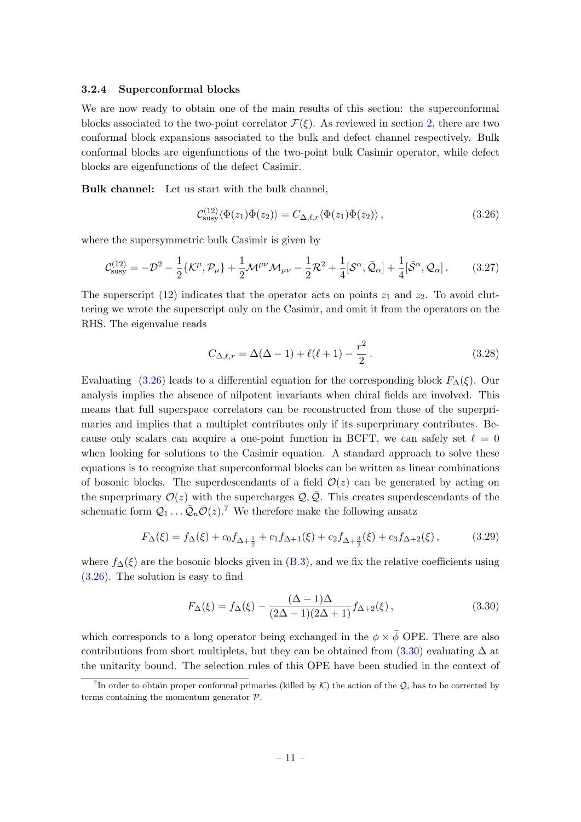#### <span id="page-11-3"></span>3.2.4 Superconformal blocks

We are now ready to obtain one of the main results of this section: the superconformal blocks associated to the two-point correlator  $\mathcal{F}(\xi)$ . As reviewed in section [2,](#page-3-0) there are two conformal block expansions associated to the bulk and defect channel respectively. Bulk conformal blocks are eigenfunctions of the two-point bulk Casimir operator, while defect blocks are eigenfunctions of the defect Casimir.

Bulk channel: Let us start with the bulk channel,

<span id="page-11-0"></span>
$$
\mathcal{C}_{\text{susy}}^{(12)} \langle \Phi(z_1) \bar{\Phi}(z_2) \rangle = C_{\Delta,\ell,r} \langle \Phi(z_1) \bar{\Phi}(z_2) \rangle , \qquad (3.26)
$$

where the supersymmetric bulk Casimir is given by

$$
\mathcal{C}_{\text{susy}}^{(12)} = -\mathcal{D}^2 - \frac{1}{2} \{ \mathcal{K}^{\mu}, \mathcal{P}_{\mu} \} + \frac{1}{2} \mathcal{M}^{\mu\nu} \mathcal{M}_{\mu\nu} - \frac{1}{2} \mathcal{R}^2 + \frac{1}{4} [\mathcal{S}^{\alpha}, \bar{\mathcal{Q}}_{\alpha}] + \frac{1}{4} [\bar{\mathcal{S}}^{\alpha}, \mathcal{Q}_{\alpha}].
$$
 (3.27)

The superscript (12) indicates that the operator acts on points  $z_1$  and  $z_2$ . To avoid cluttering we wrote the superscript only on the Casimir, and omit it from the operators on the RHS. The eigenvalue reads

<span id="page-11-5"></span><span id="page-11-4"></span>
$$
C_{\Delta,\ell,r} = \Delta(\Delta - 1) + \ell(\ell + 1) - \frac{r^2}{2}.
$$
 (3.28)

Evaluating [\(3.26\)](#page-11-0) leads to a differential equation for the corresponding block  $F_{\Delta}(\xi)$ . Our analysis implies the absence of nilpotent invariants when chiral fields are involved. This means that full superspace correlators can be reconstructed from those of the superprimaries and implies that a multiplet contributes only if its superprimary contributes. Because only scalars can acquire a one-point function in BCFT, we can safely set  $\ell = 0$ when looking for solutions to the Casimir equation. A standard approach to solve these equations is to recognize that superconformal blocks can be written as linear combinations of bosonic blocks. The superdescendants of a field  $\mathcal{O}(z)$  can be generated by acting on the superprimary  $\mathcal{O}(z)$  with the supercharges  $\mathcal{Q}, \bar{\mathcal{Q}}$ . This creates superdescendants of the schematic form  $\mathcal{Q}_1 \dots \bar{\mathcal{Q}}_n \mathcal{O}(z)$ .<sup>[7](#page-11-1)</sup> We therefore make the following ansatz

$$
F_{\Delta}(\xi) = f_{\Delta}(\xi) + c_0 f_{\Delta + \frac{1}{2}} + c_1 f_{\Delta + 1}(\xi) + c_2 f_{\Delta + \frac{3}{2}}(\xi) + c_3 f_{\Delta + 2}(\xi) ,\tag{3.29}
$$

where  $f_{\Delta}(\xi)$  are the bosonic blocks given in [\(B.3\)](#page-40-2), and we fix the relative coefficients using [\(3.26\)](#page-11-0). The solution is easy to find

<span id="page-11-2"></span>
$$
F_{\Delta}(\xi) = f_{\Delta}(\xi) - \frac{(\Delta - 1)\Delta}{(2\Delta - 1)(2\Delta + 1)} f_{\Delta + 2}(\xi),
$$
\n(3.30)

which corresponds to a long operator being exchanged in the  $\phi \times \bar{\phi}$  OPE. There are also contributions from short multiplets, but they can be obtained from  $(3.30)$  evaluating  $\Delta$  at the unitarity bound. The selection rules of this OPE have been studied in the context of

<span id="page-11-1"></span><sup>&</sup>lt;sup>7</sup>In order to obtain proper conformal primaries (killed by  $K$ ) the action of the  $\mathcal{Q}_i$  has to be corrected by terms containing the momentum generator  $P$ .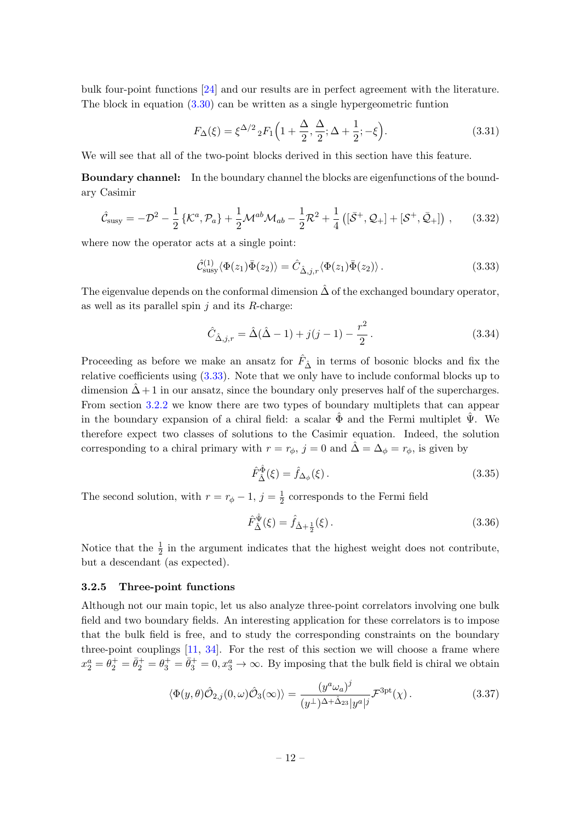bulk four-point functions [\[24\]](#page-43-11) and our results are in perfect agreement with the literature. The block in equation  $(3.30)$  can be written as a single hypergeometric funtion

$$
F_{\Delta}(\xi) = \xi^{\Delta/2} {}_{2}F_{1}\left(1 + \frac{\Delta}{2}, \frac{\Delta}{2}; \Delta + \frac{1}{2}; -\xi\right).
$$
 (3.31)

We will see that all of the two-point blocks derived in this section have this feature.

Boundary channel: In the boundary channel the blocks are eigenfunctions of the boundary Casimir

$$
\hat{\mathcal{C}}_{\text{susy}} = -\mathcal{D}^2 - \frac{1}{2} \left\{ \mathcal{K}^a, \mathcal{P}_a \right\} + \frac{1}{2} \mathcal{M}^{ab} \mathcal{M}_{ab} - \frac{1}{2} \mathcal{R}^2 + \frac{1}{4} \left( [\bar{\mathcal{S}}^+, \mathcal{Q}_+] + [\mathcal{S}^+, \bar{\mathcal{Q}}_+] \right) ,\qquad(3.32)
$$

where now the operator acts at a single point:

<span id="page-12-1"></span>
$$
\hat{\mathcal{C}}^{(1)}_{\text{susy}} \langle \Phi(z_1) \bar{\Phi}(z_2) \rangle = \hat{C}_{\hat{\Delta}, j, r} \langle \Phi(z_1) \bar{\Phi}(z_2) \rangle. \tag{3.33}
$$

The eigenvalue depends on the conformal dimension  $\Delta$  of the exchanged boundary operator, as well as its parallel spin  $j$  and its  $R$ -charge:

$$
\hat{C}_{\hat{\Delta},j,r} = \hat{\Delta}(\hat{\Delta} - 1) + j(j - 1) - \frac{r^2}{2}.
$$
\n(3.34)

Proceeding as before we make an ansatz for  $\hat{F}_{\hat{\Delta}}$  in terms of bosonic blocks and fix the relative coefficients using [\(3.33\)](#page-12-1). Note that we only have to include conformal blocks up to dimension  $\hat{\Delta} + 1$  in our ansatz, since the boundary only preserves half of the supercharges. From section [3.2.2](#page-9-1) we know there are two types of boundary multiplets that can appear in the boundary expansion of a chiral field: a scalar  $\Phi$  and the Fermi multiplet  $\Psi$ . We therefore expect two classes of solutions to the Casimir equation. Indeed, the solution corresponding to a chiral primary with  $r = r_{\phi}$ ,  $j = 0$  and  $\hat{\Delta} = \Delta_{\phi} = r_{\phi}$ , is given by

$$
\hat{F}_{\hat{\Delta}}^{\hat{\Phi}}(\xi) = \hat{f}_{\Delta_{\phi}}(\xi). \tag{3.35}
$$

The second solution, with  $r = r_{\phi} - 1$ ,  $j = \frac{1}{2}$  $\frac{1}{2}$  corresponds to the Fermi field

<span id="page-12-0"></span>
$$
\hat{F}_{\hat{\Delta}}^{\hat{\Psi}}(\xi) = \hat{f}_{\hat{\Delta} + \frac{1}{2}}(\xi). \tag{3.36}
$$

Notice that the  $\frac{1}{2}$  in the argument indicates that the highest weight does not contribute, but a descendant (as expected).

# 3.2.5 Three-point functions

Although not our main topic, let us also analyze three-point correlators involving one bulk field and two boundary fields. An interesting application for these correlators is to impose that the bulk field is free, and to study the corresponding constraints on the boundary three-point couplings  $[11, 34]$  $[11, 34]$ . For the rest of this section we will choose a frame where  $x_2^a = \theta_2^+ = \bar{\theta}_2^+ = \theta_3^+ = \bar{\theta}_3^+ = 0, x_3^a \to \infty$ . By imposing that the bulk field is chiral we obtain

<span id="page-12-2"></span>
$$
\langle \Phi(y,\theta)\hat{\mathcal{O}}_{2,j}(0,\omega)\hat{\mathcal{O}}_{3}(\infty)\rangle = \frac{(y^a\omega_a)^j}{(y^\perp)^{\Delta+\hat{\Delta}_{23}}|y^a|^j} \mathcal{F}^{3pt}(\chi).
$$
 (3.37)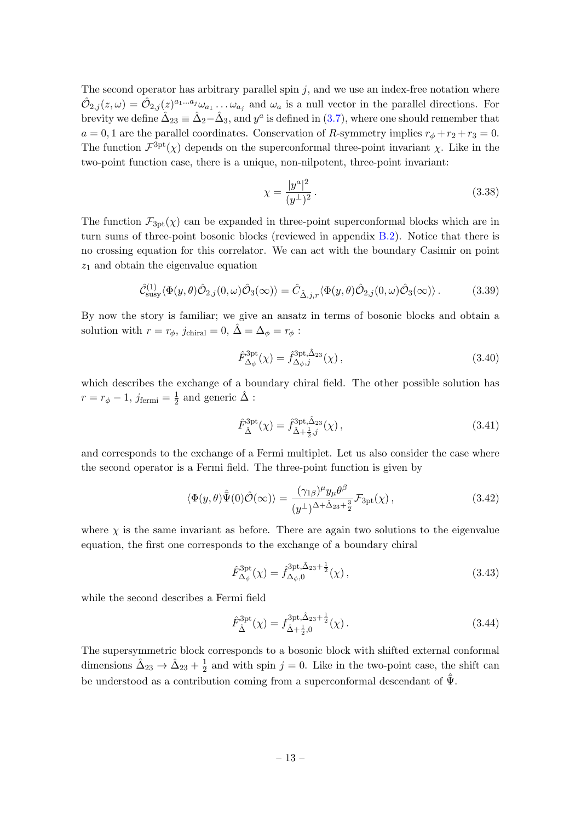The second operator has arbitrary parallel spin  $j$ , and we use an index-free notation where  $\hat{\mathcal{O}}_{2,j}(z,\omega) = \hat{\mathcal{O}}_{2,j}(z)^{a_1...a_j}\omega_{a_1} \ldots \omega_{a_j}$  and  $\omega_a$  is a null vector in the parallel directions. For brevity we define  $\hat{\Delta}_{23} \equiv \hat{\Delta}_2 - \hat{\Delta}_3$ , and  $y^a$  is defined in [\(3.7\)](#page-8-2), where one should remember that  $a = 0, 1$  are the parallel coordinates. Conservation of R-symmetry implies  $r_{\phi} + r_2 + r_3 = 0$ . The function  $\mathcal{F}^{\text{3pt}}(\chi)$  depends on the superconformal three-point invariant  $\chi$ . Like in the two-point function case, there is a unique, non-nilpotent, three-point invariant:

<span id="page-13-1"></span>
$$
\chi = \frac{|y^a|^2}{(y^\perp)^2} \,. \tag{3.38}
$$

The function  $\mathcal{F}_{3pt}(\chi)$  can be expanded in three-point superconformal blocks which are in turn sums of three-point bosonic blocks (reviewed in appendix [B.2\)](#page-41-0). Notice that there is no crossing equation for this correlator. We can act with the boundary Casimir on point  $z_1$  and obtain the eigenvalue equation

$$
\hat{\mathcal{C}}^{(1)}_{\text{susy}}\langle \Phi(y,\theta)\hat{\mathcal{O}}_{2,j}(0,\omega)\hat{\mathcal{O}}_{3}(\infty)\rangle = \hat{C}_{\hat{\Delta},j,r}\langle \Phi(y,\theta)\hat{\mathcal{O}}_{2,j}(0,\omega)\hat{\mathcal{O}}_{3}(\infty)\rangle. \tag{3.39}
$$

By now the story is familiar; we give an ansatz in terms of bosonic blocks and obtain a solution with  $r = r_{\phi}$ ,  $j_{\text{chiral}} = 0$ ,  $\hat{\Delta} = \Delta_{\phi} = r_{\phi}$ :

$$
\hat{F}_{\Delta_{\phi}}^{\text{3pt}}(\chi) = \hat{f}_{\Delta_{\phi},j}^{\text{3pt},\hat{\Delta}_{23}}(\chi) ,\qquad(3.40)
$$

which describes the exchange of a boundary chiral field. The other possible solution has  $r=r_\phi-1,\,j_{\mathrm{fermi}}=\frac{1}{2}$  $\frac{1}{2}$  and generic  $\hat{\Delta}$  :

$$
\hat{F}_{\hat{\Delta}}^{\text{3pt}}(\chi) = \hat{f}_{\hat{\Delta} + \frac{1}{2},j}^{\text{3pt},\hat{\Delta}_{23}}(\chi) ,\qquad(3.41)
$$

and corresponds to the exchange of a Fermi multiplet. Let us also consider the case where the second operator is a Fermi field. The three-point function is given by

<span id="page-13-0"></span>
$$
\langle \Phi(y,\theta)\hat{\bar{\Psi}}(0)\hat{\mathcal{O}}(\infty)\rangle = \frac{(\gamma_{1\beta})^{\mu}y_{\mu}\theta^{\beta}}{(y^{\perp})^{\Delta+\hat{\Delta}_{23}+\frac{3}{2}}}\mathcal{F}_{3pt}(\chi)\,,\tag{3.42}
$$

where  $\chi$  is the same invariant as before. There are again two solutions to the eigenvalue equation, the first one corresponds to the exchange of a boundary chiral

$$
\hat{F}_{\Delta_{\phi}}^{\text{3pt}}(\chi) = \hat{f}_{\Delta_{\phi},0}^{\text{3pt},\hat{\Delta}_{23}+\frac{1}{2}}(\chi)\,,\tag{3.43}
$$

while the second describes a Fermi field

$$
\hat{F}_{\hat{\Delta}}^{\text{3pt}}(\chi) = f_{\hat{\Delta}+\frac{1}{2},0}^{\text{3pt},\hat{\Delta}_{23}+\frac{1}{2}}(\chi). \tag{3.44}
$$

The supersymmetric block corresponds to a bosonic block with shifted external conformal dimensions  $\hat{\Delta}_{23} \rightarrow \hat{\Delta}_{23} + \frac{1}{2}$  $\frac{1}{2}$  and with spin  $j = 0$ . Like in the two-point case, the shift can be understood as a contribution coming from a superconformal descendant of  $\bar{\Psi}$ .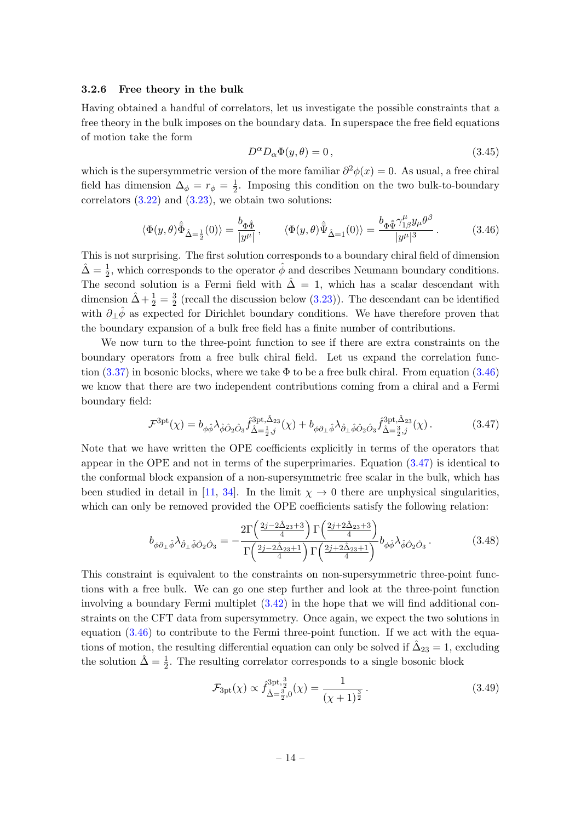#### <span id="page-14-2"></span>3.2.6 Free theory in the bulk

Having obtained a handful of correlators, let us investigate the possible constraints that a free theory in the bulk imposes on the boundary data. In superspace the free field equations of motion take the form

$$
D^{\alpha}D_{\alpha}\Phi(y,\theta) = 0, \qquad (3.45)
$$

which is the supersymmetric version of the more familiar  $\partial^2 \phi(x) = 0$ . As usual, a free chiral field has dimension  $\Delta_{\phi} = r_{\phi} = \frac{1}{2}$  $\frac{1}{2}$ . Imposing this condition on the two bulk-to-boundary correlators  $(3.22)$  and  $(3.23)$ , we obtain two solutions:

<span id="page-14-0"></span>
$$
\langle \Phi(y,\theta)\hat{\Phi}_{\hat{\Delta}=\frac{1}{2}}(0)\rangle = \frac{b_{\Phi\hat{\Phi}}}{|y^{\mu}|}, \qquad \langle \Phi(y,\theta)\hat{\Psi}_{\hat{\Delta}=1}(0)\rangle = \frac{b_{\Phi\hat{\Psi}}\gamma_{1\beta}^{\mu}y_{\mu}\theta^{\beta}}{|y^{\mu}|^{3}}.
$$
 (3.46)

This is not surprising. The first solution corresponds to a boundary chiral field of dimension  $\hat{\Delta} = \frac{1}{2}$ , which corresponds to the operator  $\hat{\phi}$  and describes Neumann boundary conditions. The second solution is a Fermi field with  $\hat{\Delta} = 1$ , which has a scalar descendant with dimension  $\hat{\Delta} + \frac{1}{2} = \frac{3}{2}$  $\frac{3}{2}$  (recall the discussion below  $(3.23)$ ). The descendant can be identified with  $\partial_{\perp}\hat{\phi}$  as expected for Dirichlet boundary conditions. We have therefore proven that the boundary expansion of a bulk free field has a finite number of contributions.

We now turn to the three-point function to see if there are extra constraints on the boundary operators from a free bulk chiral field. Let us expand the correlation func-tion [\(3.37\)](#page-12-2) in bosonic blocks, where we take  $\Phi$  to be a free bulk chiral. From equation [\(3.46\)](#page-14-0) we know that there are two independent contributions coming from a chiral and a Fermi boundary field:

<span id="page-14-1"></span>
$$
\mathcal{F}^{\text{3pt}}(\chi) = b_{\phi\hat{\phi}} \lambda_{\hat{\phi}\hat{O}_2\hat{O}_3} \hat{f}^{\text{3pt},\hat{\Delta}_{23}}_{\hat{\Delta}=\frac{1}{2},j}(\chi) + b_{\phi\partial_{\perp}\hat{\phi}} \lambda_{\hat{\partial}_{\perp}\hat{\phi}\hat{O}_2\hat{O}_3} \hat{f}^{\text{3pt},\hat{\Delta}_{23}}_{\hat{\Delta}=\frac{3}{2},j}(\chi) \,. \tag{3.47}
$$

Note that we have written the OPE coefficients explicitly in terms of the operators that appear in the OPE and not in terms of the superprimaries. Equation  $(3.47)$  is identical to the conformal block expansion of a non-supersymmetric free scalar in the bulk, which has been studied in detail in [\[11,](#page-43-0) [34\]](#page-44-3). In the limit  $\chi \to 0$  there are unphysical singularities, which can only be removed provided the OPE coefficients satisfy the following relation:

$$
b_{\phi\partial_{\perp}\hat{\phi}}\lambda_{\hat{\partial}_{\perp}\hat{\phi}\hat{O}_2\hat{O}_3} = -\frac{2\Gamma\left(\frac{2j-2\hat{\Delta}_{23}+3}{4}\right)\Gamma\left(\frac{2j+2\hat{\Delta}_{23}+3}{4}\right)}{\Gamma\left(\frac{2j-2\hat{\Delta}_{23}+1}{4}\right)\Gamma\left(\frac{2j+2\hat{\Delta}_{23}+1}{4}\right)}b_{\phi\hat{\phi}}\lambda_{\hat{\phi}\hat{O}_2\hat{O}_3}.
$$
(3.48)

This constraint is equivalent to the constraints on non-supersymmetric three-point functions with a free bulk. We can go one step further and look at the three-point function involving a boundary Fermi multiplet [\(3.42\)](#page-13-0) in the hope that we will find additional constraints on the CFT data from supersymmetry. Once again, we expect the two solutions in equation [\(3.46\)](#page-14-0) to contribute to the Fermi three-point function. If we act with the equations of motion, the resulting differential equation can only be solved if  $\hat{\Delta}_{23} = 1$ , excluding the solution  $\hat{\Delta} = \frac{1}{2}$ . The resulting correlator corresponds to a single bosonic block

<span id="page-14-3"></span>
$$
\mathcal{F}_{3pt}(\chi) \propto \hat{f}_{\hat{\Delta}=\frac{3}{2},0}^{3pt,\frac{3}{2}}(\chi) = \frac{1}{(\chi+1)^{\frac{3}{2}}}.
$$
\n(3.49)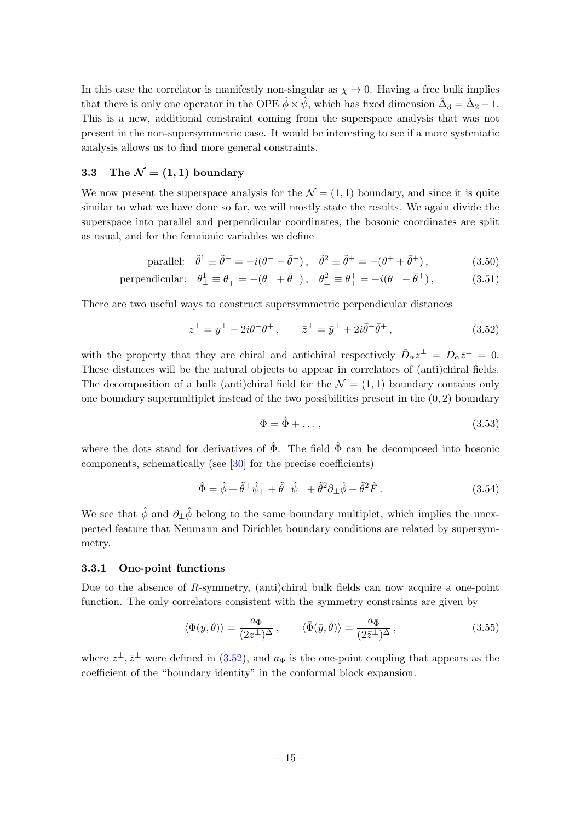In this case the correlator is manifestly non-singular as  $\chi \to 0$ . Having a free bulk implies that there is only one operator in the OPE  $\hat{\phi} \times \hat{\psi}$ , which has fixed dimension  $\hat{\Delta}_3 = \hat{\Delta}_2 - 1$ . This is a new, additional constraint coming from the superspace analysis that was not present in the non-supersymmetric case. It would be interesting to see if a more systematic analysis allows us to find more general constraints.

# <span id="page-15-0"></span>3.3 The  $\mathcal{N} = (1, 1)$  boundary

We now present the superspace analysis for the  $\mathcal{N} = (1, 1)$  boundary, and since it is quite similar to what we have done so far, we will mostly state the results. We again divide the superspace into parallel and perpendicular coordinates, the bosonic coordinates are split as usual, and for the fermionic variables we define

parallel: 
$$
\tilde{\theta}^1 \equiv \tilde{\theta}^- = -i(\theta^- - \bar{\theta}^-), \quad \tilde{\theta}^2 \equiv \tilde{\theta}^+ = -(\theta^+ + \bar{\theta}^+),
$$
 (3.50)

perpendicular: 
$$
\theta_{\perp}^1 \equiv \theta_{\perp}^- = -(\theta^- + \bar{\theta}^-), \quad \theta_{\perp}^2 \equiv \theta_{\perp}^+ = -i(\theta^+ - \bar{\theta}^+),
$$
 (3.51)

There are two useful ways to construct supersymmetric perpendicular distances

<span id="page-15-1"></span>
$$
z^{\perp} = y^{\perp} + 2i\theta^{-} \theta^{+}, \qquad \bar{z}^{\perp} = \bar{y}^{\perp} + 2i\bar{\theta}^{-} \bar{\theta}^{+}, \qquad (3.52)
$$

with the property that they are chiral and antichiral respectively  $\bar{D}_{\alpha}z^{\perp} = D_{\alpha}\bar{z}^{\perp} = 0$ . These distances will be the natural objects to appear in correlators of (anti)chiral fields. The decomposition of a bulk (anti)chiral field for the  $\mathcal{N} = (1, 1)$  boundary contains only one boundary supermultiplet instead of the two possibilities present in the  $(0, 2)$  boundary

$$
\Phi = \hat{\Phi} + \dots \,,\tag{3.53}
$$

where the dots stand for derivatives of  $\hat{\Phi}$ . The field  $\hat{\Phi}$  can be decomposed into bosonic components, schematically (see [\[30\]](#page-43-17) for the precise coefficients)

$$
\hat{\Phi} = \hat{\phi} + \tilde{\theta}^+ \hat{\psi}_+ + \tilde{\theta}^- \hat{\psi}_- + \tilde{\theta}^2 \partial_\perp \hat{\phi} + \tilde{\theta}^2 \hat{F}.
$$
\n(3.54)

We see that  $\hat{\phi}$  and  $\partial_{\perp}\hat{\phi}$  belong to the same boundary multiplet, which implies the unexpected feature that Neumann and Dirichlet boundary conditions are related by supersymmetry.

#### 3.3.1 One-point functions

Due to the absence of  $R$ -symmetry, (anti)chiral bulk fields can now acquire a one-point function. The only correlators consistent with the symmetry constraints are given by

$$
\langle \Phi(y,\theta) \rangle = \frac{a_{\Phi}}{(2z^{\perp})^{\Delta}}, \qquad \langle \bar{\Phi}(\bar{y},\bar{\theta}) \rangle = \frac{a_{\bar{\Phi}}}{(2\bar{z}^{\perp})^{\Delta}}, \qquad (3.55)
$$

where  $z^{\perp}, \bar{z}^{\perp}$  were defined in [\(3.52\)](#page-15-1), and  $a_{\Phi}$  is the one-point coupling that appears as the coefficient of the "boundary identity" in the conformal block expansion.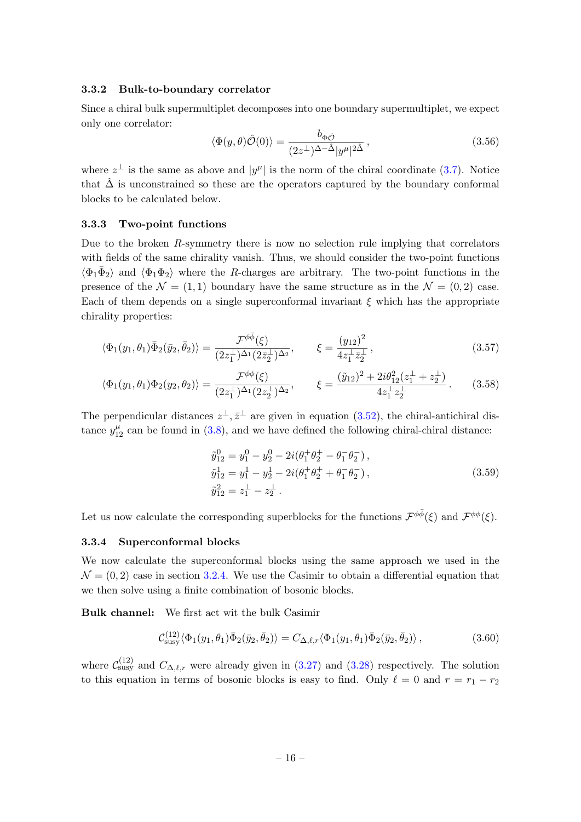## 3.3.2 Bulk-to-boundary correlator

Since a chiral bulk supermultiplet decomposes into one boundary supermultiplet, we expect only one correlator:

<span id="page-16-0"></span>
$$
\langle \Phi(y,\theta)\hat{\mathcal{O}}(0)\rangle = \frac{b_{\Phi\hat{\mathcal{O}}}}{(2z^{\perp})^{\Delta-\hat{\Delta}}|y^{\mu}|^{2\hat{\Delta}}},\qquad(3.56)
$$

where  $z^{\perp}$  is the same as above and  $|y^{\mu}|$  is the norm of the chiral coordinate [\(3.7\)](#page-8-2). Notice that  $\hat{\Delta}$  is unconstrained so these are the operators captured by the boundary conformal blocks to be calculated below.

#### 3.3.3 Two-point functions

Due to the broken R-symmetry there is now no selection rule implying that correlators with fields of the same chirality vanish. Thus, we should consider the two-point functions  $\langle \Phi_1 \bar{\Phi}_2 \rangle$  and  $\langle \Phi_1 \Phi_2 \rangle$  where the R-charges are arbitrary. The two-point functions in the presence of the  $\mathcal{N} = (1, 1)$  boundary have the same structure as in the  $\mathcal{N} = (0, 2)$  case. Each of them depends on a single superconformal invariant  $\xi$  which has the appropriate chirality properties:

$$
\langle \Phi_1(y_1, \theta_1) \bar{\Phi}_2(\bar{y}_2, \bar{\theta}_2) \rangle = \frac{\mathcal{F}^{\phi \bar{\phi}}(\xi)}{(2z_1^{\perp})^{\Delta_1} (2\bar{z}_2^{\perp})^{\Delta_2}}, \qquad \xi = \frac{(y_{12})^2}{4z_1^{\perp} \bar{z}_2^{\perp}}, \tag{3.57}
$$

$$
\langle \Phi_1(y_1, \theta_1) \Phi_2(y_2, \theta_2) \rangle = \frac{\mathcal{F}^{\phi\phi}(\xi)}{(2z_1^{\perp})^{\Delta_1} (2z_2^{\perp})^{\Delta_2}}, \qquad \xi = \frac{(\tilde{y}_{12})^2 + 2i\theta_{12}^2 (z_1^{\perp} + z_2^{\perp})}{4z_1^{\perp} z_2^{\perp}}.
$$
 (3.58)

The perpendicular distances  $z^{\perp}, \bar{z}^{\perp}$  are given in equation [\(3.52\)](#page-15-1), the chiral-antichiral distance  $y_{12}^{\mu}$  can be found in [\(3.8\)](#page-8-5), and we have defined the following chiral-chiral distance:

$$
\tilde{y}_{12}^0 = y_1^0 - y_2^0 - 2i(\theta_1^+ \theta_2^+ - \theta_1^- \theta_2^-), \n\tilde{y}_{12}^1 = y_1^1 - y_2^1 - 2i(\theta_1^+ \theta_2^+ + \theta_1^- \theta_2^-), \n\tilde{y}_{12}^2 = z_1^\perp - z_2^\perp.
$$
\n(3.59)

Let us now calculate the corresponding superblocks for the functions  $\mathcal{F}^{\phi\bar{\phi}}(\xi)$  and  $\mathcal{F}^{\phi\phi}(\xi)$ .

#### 3.3.4 Superconformal blocks

We now calculate the superconformal blocks using the same approach we used in the  $\mathcal{N} = (0, 2)$  case in section [3.2.4.](#page-11-3) We use the Casimir to obtain a differential equation that we then solve using a finite combination of bosonic blocks.

Bulk channel: We first act wit the bulk Casimir

$$
\mathcal{C}^{(12)}_{\text{susy}} \langle \Phi_1(y_1, \theta_1) \bar{\Phi}_2(\bar{y}_2, \bar{\theta}_2) \rangle = C_{\Delta,\ell,r} \langle \Phi_1(y_1, \theta_1) \bar{\Phi}_2(\bar{y}_2, \bar{\theta}_2) \rangle, \qquad (3.60)
$$

where  $\mathcal{C}_{\text{susy}}^{(12)}$  and  $C_{\Delta,\ell,r}$  were already given in [\(3.27\)](#page-11-4) and [\(3.28\)](#page-11-5) respectively. The solution to this equation in terms of bosonic blocks is easy to find. Only  $\ell = 0$  and  $r = r_1 - r_2$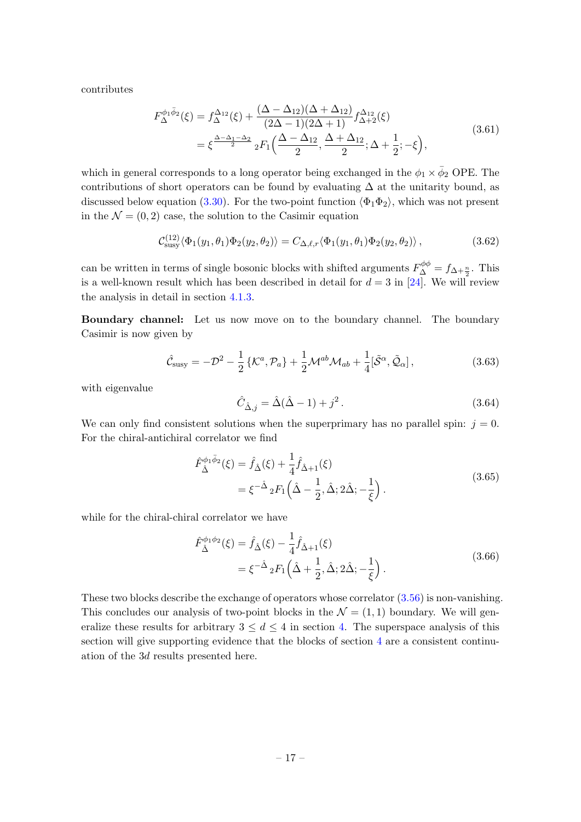contributes

$$
F_{\Delta}^{\phi_1 \bar{\phi}_2}(\xi) = f_{\Delta}^{\Delta_{12}}(\xi) + \frac{(\Delta - \Delta_{12})(\Delta + \Delta_{12})}{(2\Delta - 1)(2\Delta + 1)} f_{\Delta + 2}^{\Delta_{12}}(\xi)
$$
  
=  $\xi^{\frac{\Delta - \Delta_1 - \Delta_2}{2}} {}_2F_1\left(\frac{\Delta - \Delta_{12}}{2}, \frac{\Delta + \Delta_{12}}{2}; \Delta + \frac{1}{2}; -\xi\right),$  (3.61)

which in general corresponds to a long operator being exchanged in the  $\phi_1 \times \bar{\phi}_2$  OPE. The contributions of short operators can be found by evaluating  $\Delta$  at the unitarity bound, as discussed below equation [\(3.30\)](#page-11-2). For the two-point function  $\langle \Phi_1 \Phi_2 \rangle$ , which was not present in the  $\mathcal{N} = (0, 2)$  case, the solution to the Casimir equation

$$
\mathcal{C}_{\text{susy}}^{(12)} \langle \Phi_1(y_1, \theta_1) \Phi_2(y_2, \theta_2) \rangle = C_{\Delta, \ell, r} \langle \Phi_1(y_1, \theta_1) \Phi_2(y_2, \theta_2) \rangle, \qquad (3.62)
$$

can be written in terms of single bosonic blocks with shifted arguments  $F^{\phi\phi}_{\Delta} = f_{\Delta + \frac{n}{2}}$ . This is a well-known result which has been described in detail for  $d = 3$  in [\[24\]](#page-43-11). We will review the analysis in detail in section [4.1.3.](#page-22-0)

Boundary channel: Let us now move on to the boundary channel. The boundary Casimir is now given by

$$
\hat{\mathcal{C}}_{\text{susy}} = -\mathcal{D}^2 - \frac{1}{2} \left\{ \mathcal{K}^a, \mathcal{P}_a \right\} + \frac{1}{2} \mathcal{M}^{ab} \mathcal{M}_{ab} + \frac{1}{4} [\tilde{\mathcal{S}}^\alpha, \tilde{\mathcal{Q}}_\alpha],\tag{3.63}
$$

with eigenvalue

<span id="page-17-1"></span><span id="page-17-0"></span>
$$
\hat{C}_{\hat{\Delta},j} = \hat{\Delta}(\hat{\Delta} - 1) + j^2.
$$
\n(3.64)

We can only find consistent solutions when the superprimary has no parallel spin:  $j = 0$ . For the chiral-antichiral correlator we find

$$
\hat{F}_{\hat{\Delta}}^{\phi_1 \bar{\phi}_2}(\xi) = \hat{f}_{\hat{\Delta}}(\xi) + \frac{1}{4} \hat{f}_{\hat{\Delta}+1}(\xi) \n= \xi^{-\hat{\Delta}} {}_{2}F_{1}(\hat{\Delta} - \frac{1}{2}, \hat{\Delta}; 2\hat{\Delta}; -\frac{1}{\xi}).
$$
\n(3.65)

while for the chiral-chiral correlator we have

<span id="page-17-2"></span>
$$
\hat{F}_{\hat{\Delta}}^{\phi_1 \phi_2}(\xi) = \hat{f}_{\hat{\Delta}}(\xi) - \frac{1}{4} \hat{f}_{\hat{\Delta}+1}(\xi) \n= \xi^{-\hat{\Delta}} {}_{2}F_{1}(\hat{\Delta} + \frac{1}{2}, \hat{\Delta}; 2\hat{\Delta}; -\frac{1}{\xi}).
$$
\n(3.66)

These two blocks describe the exchange of operators whose correlator [\(3.56\)](#page-16-0) is non-vanishing. This concludes our analysis of two-point blocks in the  $\mathcal{N} = (1, 1)$  boundary. We will generalize these results for arbitrary  $3 \leq d \leq 4$  in section [4.](#page-19-0) The superspace analysis of this section will give supporting evidence that the blocks of section [4](#page-19-0) are a consistent continuation of the 3d results presented here.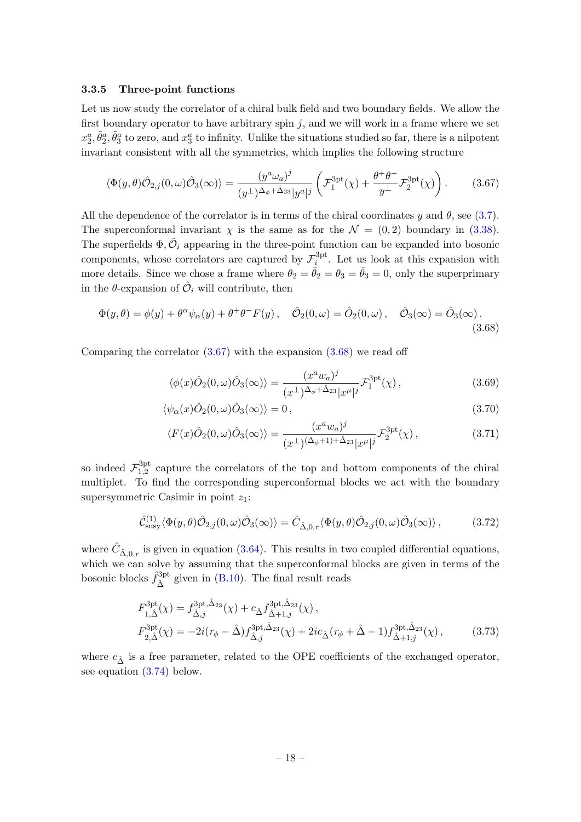## 3.3.5 Three-point functions

Let us now study the correlator of a chiral bulk field and two boundary fields. We allow the first boundary operator to have arbitrary spin  $j$ , and we will work in a frame where we set  $x_2^a, \tilde{\theta}_2^a, \tilde{\theta}_3^a$  to zero, and  $x_3^a$  to infinity. Unlike the situations studied so far, there is a nilpotent invariant consistent with all the symmetries, which implies the following structure

<span id="page-18-0"></span>
$$
\langle \Phi(y,\theta)\hat{\mathcal{O}}_{2,j}(0,\omega)\hat{\mathcal{O}}_{3}(\infty)\rangle = \frac{(y^a\omega_a)^j}{(y^\perp)^{\Delta_\phi+\hat{\Delta}_{23}}|y^a|^j} \left(\mathcal{F}_1^{\text{3pt}}(\chi) + \frac{\theta^+\theta^-}{y^\perp}\mathcal{F}_2^{\text{3pt}}(\chi)\right). \tag{3.67}
$$

All the dependence of the correlator is in terms of the chiral coordinates y and  $\theta$ , see [\(3.7\)](#page-8-2). The superconformal invariant  $\chi$  is the same as for the  $\mathcal{N} = (0, 2)$  boundary in [\(3.38\)](#page-13-1). The superfields  $\Phi, \hat{\mathcal{O}}_i$  appearing in the three-point function can be expanded into bosonic components, whose correlators are captured by  $\mathcal{F}^{\text{3pt}}_i$ <sup>3pt</sup>. Let us look at this expansion with more details. Since we chose a frame where  $\theta_2 = \bar{\theta}_2 = \theta_3 = \bar{\theta}_3 = 0$ , only the superprimary in the  $\theta$ -expansion of  $\hat{\mathcal{O}}_i$  will contribute, then

$$
\Phi(y,\theta) = \phi(y) + \theta^{\alpha}\psi_{\alpha}(y) + \theta^+\theta^-F(y), \quad \hat{\mathcal{O}}_2(0,\omega) = \hat{\mathcal{O}}_2(0,\omega), \quad \hat{\mathcal{O}}_3(\infty) = \hat{\mathcal{O}}_3(\infty). \tag{3.68}
$$

Comparing the correlator  $(3.67)$  with the expansion  $(3.68)$  we read off

<span id="page-18-1"></span>
$$
\langle \phi(x)\hat{O}_2(0,\omega)\hat{O}_3(\infty)\rangle = \frac{(x^a w_a)^j}{(x^{\perp})^{\Delta_\phi+\hat{\Delta}_{23}}|x^\mu|^j} \mathcal{F}_1^{3pt}(\chi) ,\qquad (3.69)
$$

$$
\langle \psi_{\alpha}(x)\hat{O}_2(0,\omega)\hat{O}_3(\infty)\rangle = 0, \qquad (3.70)
$$

$$
\langle F(x)\hat{O}_2(0,\omega)\hat{O}_3(\infty)\rangle = \frac{(x^a w_a)^j}{(x^{\perp})^{(\Delta_{\phi}+1)+\hat{\Delta}_{23}}|x^{\mu}|^j} \mathcal{F}_2^{3pt}(\chi) ,\qquad (3.71)
$$

so indeed  $\mathcal{F}_{1,2}^{3pt}$ <sup>3pt</sup> capture the correlators of the top and bottom components of the chiral multiplet. To find the corresponding superconformal blocks we act with the boundary supersymmetric Casimir in point  $z_1$ :

$$
\hat{\mathcal{C}}^{(1)}_{\text{susy}}\langle \Phi(y,\theta)\hat{\mathcal{O}}_{2,j}(0,\omega)\hat{\mathcal{O}}_{3}(\infty)\rangle = \hat{C}_{\hat{\Delta},0,r}\langle \Phi(y,\theta)\hat{\mathcal{O}}_{2,j}(0,\omega)\hat{\mathcal{O}}_{3}(\infty)\rangle, \tag{3.72}
$$

where  $\hat{C}_{\hat{\Delta},0,r}$  is given in equation [\(3.64\)](#page-17-0). This results in two coupled differential equations, which we can solve by assuming that the superconformal blocks are given in terms of the bosonic blocks  $\hat{f}^{\text{3pt}}_{\hat{\lambda}}$ <sup>3pt</sup> given in [\(B.10\)](#page-41-2). The final result reads

<span id="page-18-2"></span>
$$
F_{1,\hat{\Delta}}^{3pt}(\chi) = f_{\hat{\Delta},j}^{3pt,\hat{\Delta}_{23}}(\chi) + c_{\hat{\Delta}} f_{\hat{\Delta}+1,j}^{3pt,\hat{\Delta}_{23}}(\chi) ,
$$
  
\n
$$
F_{2,\hat{\Delta}}^{3pt}(\chi) = -2i(r_{\phi} - \hat{\Delta}) f_{\hat{\Delta},j}^{3pt,\hat{\Delta}_{23}}(\chi) + 2ic_{\hat{\Delta}}(r_{\phi} + \hat{\Delta} - 1) f_{\hat{\Delta}+1,j}^{3pt,\hat{\Delta}_{23}}(\chi) ,
$$
\n(3.73)

where  $c_{\hat{\Delta}}$  is a free parameter, related to the OPE coefficients of the exchanged operator, see equation [\(3.74\)](#page-19-2) below.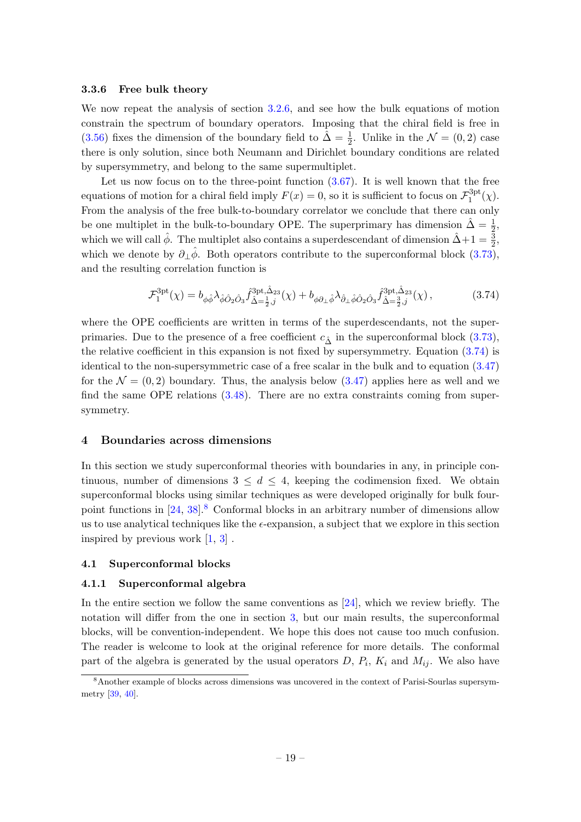#### 3.3.6 Free bulk theory

We now repeat the analysis of section [3.2.6,](#page-14-2) and see how the bulk equations of motion constrain the spectrum of boundary operators. Imposing that the chiral field is free in [\(3.56\)](#page-16-0) fixes the dimension of the boundary field to  $\hat{\Delta} = \frac{1}{2}$ . Unlike in the  $\mathcal{N} = (0, 2)$  case there is only solution, since both Neumann and Dirichlet boundary conditions are related by supersymmetry, and belong to the same supermultiplet.

Let us now focus on to the three-point function  $(3.67)$ . It is well known that the free equations of motion for a chiral field imply  $F(x) = 0$ , so it is sufficient to focus on  $\mathcal{F}^{\text{3pt}}_1$  $1^{\text{opt}}(\chi)$ . From the analysis of the free bulk-to-boundary correlator we conclude that there can only be one multiplet in the bulk-to-boundary OPE. The superprimary has dimension  $\hat{\Delta} = \frac{1}{2}$ , which we will call  $\hat{\phi}$ . The multiplet also contains a superdescendant of dimension  $\hat{\Delta}+1=\frac{3}{2}$ , which we denote by  $\partial_{\perp}\hat{\phi}$ . Both operators contribute to the superconformal block [\(3.73\)](#page-18-2), and the resulting correlation function is

<span id="page-19-2"></span>
$$
\mathcal{F}_{1}^{\text{3pt}}(\chi) = b_{\phi\hat{\phi}}\lambda_{\hat{\phi}\hat{O}_{2}\hat{O}_{3}}\hat{f}_{\hat{\Delta}=\frac{1}{2},j}^{\text{3pt},\hat{\Delta}_{23}}(\chi) + b_{\phi\partial_{\perp}\hat{\phi}}\lambda_{\hat{\partial}_{\perp}\hat{\phi}\hat{O}_{2}\hat{O}_{3}}\hat{f}_{\hat{\Delta}=\frac{3}{2},j}^{\text{3pt},\hat{\Delta}_{23}}(\chi)\,,\tag{3.74}
$$

where the OPE coefficients are written in terms of the superprimaries. Due to the presence of a free coefficient  $c_{\hat{\Lambda}}$  in the superconformal block [\(3.73\)](#page-18-2), the relative coefficient in this expansion is not fixed by supersymmetry. Equation [\(3.74\)](#page-19-2) is identical to the non-supersymmetric case of a free scalar in the bulk and to equation [\(3.47\)](#page-14-1) for the  $\mathcal{N} = (0, 2)$  boundary. Thus, the analysis below  $(3.47)$  applies here as well and we find the same OPE relations  $(3.48)$ . There are no extra constraints coming from supersymmetry.

#### <span id="page-19-0"></span>4 Boundaries across dimensions

In this section we study superconformal theories with boundaries in any, in principle continuous, number of dimensions  $3 \leq d \leq 4$ , keeping the codimension fixed. We obtain superconformal blocks using similar techniques as were developed originally for bulk fourpoint functions in  $[24, 38]$  $[24, 38]$ .<sup>[8](#page-19-3)</sup> Conformal blocks in an arbitrary number of dimensions allow us to use analytical techniques like the  $\epsilon$ -expansion, a subject that we explore in this section inspired by previous work [\[1,](#page-42-0) [3\]](#page-42-2) .

#### <span id="page-19-1"></span>4.1 Superconformal blocks

## 4.1.1 Superconformal algebra

In the entire section we follow the same conventions as  $[24]$ , which we review briefly. The notation will differ from the one in section [3,](#page-7-0) but our main results, the superconformal blocks, will be convention-independent. We hope this does not cause too much confusion. The reader is welcome to look at the original reference for more details. The conformal part of the algebra is generated by the usual operators  $D, P_i, K_i$  and  $M_{ij}$ . We also have

<span id="page-19-3"></span><sup>8</sup>Another example of blocks across dimensions was uncovered in the context of Parisi-Sourlas supersymmetry [\[39,](#page-44-8) [40\]](#page-44-9).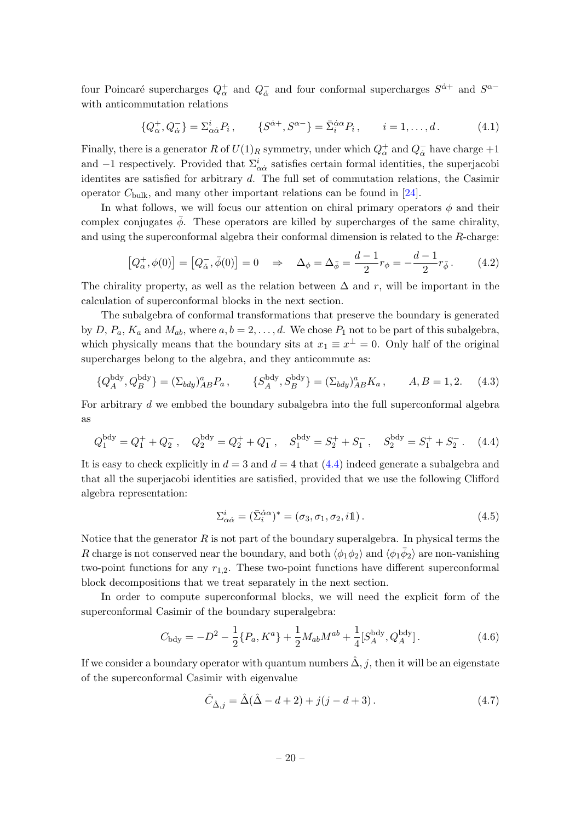four Poincaré supercharges  $Q^+_{\alpha}$  and  $Q^-_{\dot{\alpha}}$  $\overline{\dot{\alpha}}$  and four conformal supercharges  $S^{\dot{\alpha}+}$  and  $S^{\alpha-}$ with anticommutation relations

$$
\{Q_{\alpha}^+, Q_{\dot{\alpha}}^-\} = \Sigma_{\alpha \dot{\alpha}}^i P_i, \qquad \{S^{\dot{\alpha}^+}, S^{\alpha^-}\} = \bar{\Sigma}_i^{\dot{\alpha} \alpha} P_i, \qquad i = 1, \dots, d. \tag{4.1}
$$

Finally, there is a generator R of  $U(1)_R$  symmetry, under which  $Q^+_{\alpha}$  and  $Q^-_{\dot{\alpha}}$  $\overline{\dot{\alpha}}$  have charge  $+1$ and  $-1$  respectively. Provided that  $\Sigma^i_{\alpha\dot{\alpha}}$  satisfies certain formal identities, the superjacobi identites are satisfied for arbitrary d. The full set of commutation relations, the Casimir operator  $C_{\text{bulk}}$ , and many other important relations can be found in [\[24\]](#page-43-11).

In what follows, we will focus our attention on chiral primary operators  $\phi$  and their complex conjugates  $\bar{\phi}$ . These operators are killed by supercharges of the same chirality, and using the superconformal algebra their conformal dimension is related to the R-charge:

$$
[Q_{\alpha}^{+}, \phi(0)] = [Q_{\dot{\alpha}}^{-}, \bar{\phi}(0)] = 0 \quad \Rightarrow \quad \Delta_{\phi} = \Delta_{\bar{\phi}} = \frac{d-1}{2} r_{\phi} = -\frac{d-1}{2} r_{\bar{\phi}}.
$$
 (4.2)

The chirality property, as well as the relation between  $\Delta$  and r, will be important in the calculation of superconformal blocks in the next section.

The subalgebra of conformal transformations that preserve the boundary is generated by D,  $P_a$ ,  $K_a$  and  $M_{ab}$ , where  $a, b = 2, \ldots, d$ . We chose  $P_1$  not to be part of this subalgebra, which physically means that the boundary sits at  $x_1 \equiv x^{\perp} = 0$ . Only half of the original supercharges belong to the algebra, and they anticommute as:

$$
\{Q_A^{\text{bdy}}, Q_B^{\text{bdy}}\} = (\Sigma_{bdy})_{AB}^a P_a, \qquad \{S_A^{\text{bdy}}, S_B^{\text{bdy}}\} = (\Sigma_{bdy})_{AB}^a K_a, \qquad A, B = 1, 2. \tag{4.3}
$$

For arbitrary d we embbed the boundary subalgebra into the full superconformal algebra as

$$
Q_1^{\text{bdy}} = Q_1^+ + Q_2^-, \quad Q_2^{\text{bdy}} = Q_2^+ + Q_1^-, \quad S_1^{\text{bdy}} = S_2^+ + S_1^-, \quad S_2^{\text{bdy}} = S_1^+ + S_2^-. \tag{4.4}
$$

It is easy to check explicitly in  $d = 3$  and  $d = 4$  that  $(4.4)$  indeed generate a subalgebra and that all the superjacobi identities are satisfied, provided that we use the following Clifford algebra representation:

<span id="page-20-2"></span><span id="page-20-0"></span>
$$
\Sigma_{\alpha\dot{\alpha}}^i = (\bar{\Sigma}_i^{\dot{\alpha}\alpha})^* = (\sigma_3, \sigma_1, \sigma_2, i\mathbb{1}). \tag{4.5}
$$

Notice that the generator  $R$  is not part of the boundary superalgebra. In physical terms the R charge is not conserved near the boundary, and both  $\langle \phi_1 \phi_2 \rangle$  and  $\langle \phi_1 \bar{\phi}_2 \rangle$  are non-vanishing two-point functions for any  $r_{1,2}$ . These two-point functions have different superconformal block decompositions that we treat separately in the next section.

In order to compute superconformal blocks, we will need the explicit form of the superconformal Casimir of the boundary superalgebra:

$$
C_{\text{bdy}} = -D^2 - \frac{1}{2} \{ P_a, K^a \} + \frac{1}{2} M_{ab} M^{ab} + \frac{1}{4} [S_A^{\text{bdy}}, Q_A^{\text{bdy}}].
$$
 (4.6)

If we consider a boundary operator with quantum numbers  $\hat{\Delta}$ , j, then it will be an eigenstate of the superconformal Casimir with eigenvalue

<span id="page-20-3"></span><span id="page-20-1"></span>
$$
\hat{C}_{\hat{\Delta},j} = \hat{\Delta}(\hat{\Delta} - d + 2) + j(j - d + 3).
$$
 (4.7)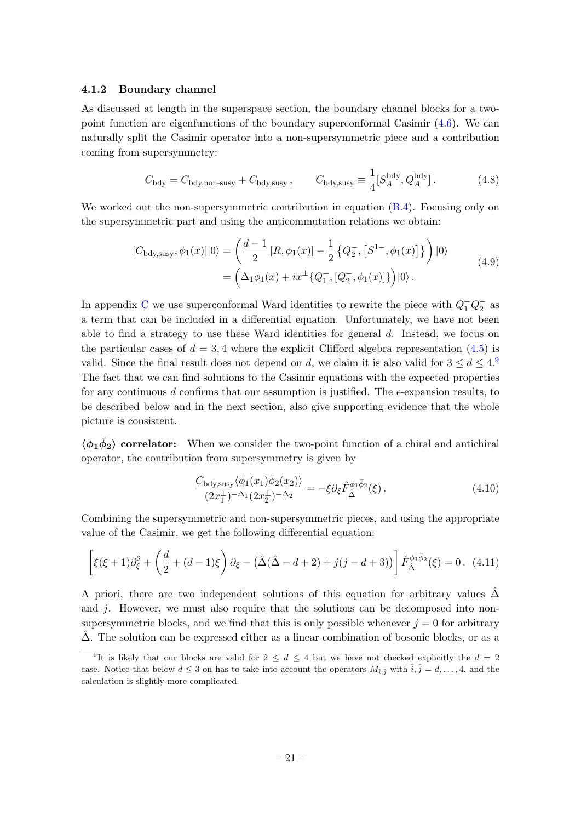#### 4.1.2 Boundary channel

As discussed at length in the superspace section, the boundary channel blocks for a twopoint function are eigenfunctions of the boundary superconformal Casimir  $(4.6)$ . We can naturally split the Casimir operator into a non-supersymmetric piece and a contribution coming from supersymmetry:

$$
C_{\text{bdy}} = C_{\text{bdy,non-susy}} + C_{\text{bdy,susy}} , \qquad C_{\text{bdy,susy}} \equiv \frac{1}{4} [S_A^{\text{bdy}}, Q_A^{\text{bdy}}]. \tag{4.8}
$$

We worked out the non-supersymmetric contribution in equation  $(B.4)$ . Focusing only on the supersymmetric part and using the anticommutation relations we obtain:

$$
[C_{\text{bdy,susy}}, \phi_1(x)]|0\rangle = \left(\frac{d-1}{2}[R, \phi_1(x)] - \frac{1}{2}\left\{Q_2^-, [S^{1-}, \phi_1(x)]\right\}\right)|0\rangle
$$
  
=  $\left(\Delta_1\phi_1(x) + ix^{\perp}\{Q_1^-, [Q_2^-, \phi_1(x)]\}\right)|0\rangle.$  (4.9)

In appendix [C](#page-41-1) we use superconformal Ward identities to rewrite the piece with  $Q_1^- Q_2^-$  as a term that can be included in a differential equation. Unfortunately, we have not been able to find a strategy to use these Ward identities for general  $d$ . Instead, we focus on the particular cases of  $d = 3, 4$  where the explicit Clifford algebra representation [\(4.5\)](#page-20-2) is valid. Since the final result does not depend on d, we claim it is also valid for  $3 \le d \le 4$ . The fact that we can find solutions to the Casimir equations with the expected properties for any continuous d confirms that our assumption is justified. The  $\epsilon$ -expansion results, to be described below and in the next section, also give supporting evidence that the whole picture is consistent.

 $\langle \phi_1 \phi_2 \rangle$  correlator: When we consider the two-point function of a chiral and antichiral operator, the contribution from supersymmetry is given by

<span id="page-21-1"></span>
$$
\frac{C_{\text{bdy,susy}}\langle \phi_1(x_1)\overline{\phi}_2(x_2)\rangle}{(2x_1^{\perp})^{-\Delta_1}(2x_2^{\perp})^{-\Delta_2}} = -\xi \partial_{\xi} \hat{F}_{\hat{\Delta}}^{\phi_1\bar{\phi}_2}(\xi). \tag{4.10}
$$

Combining the supersymmetric and non-supersymmetric pieces, and using the appropriate value of the Casimir, we get the following differential equation:

$$
\left[ \xi(\xi+1)\partial_{\xi}^{2} + \left( \frac{d}{2} + (d-1)\xi \right) \partial_{\xi} - \left( \hat{\Delta}(\hat{\Delta} - d + 2) + j(j - d + 3) \right) \right] \hat{F}_{\hat{\Delta}}^{\phi_{1}\bar{\phi}_{2}}(\xi) = 0. \tag{4.11}
$$

A priori, there are two independent solutions of this equation for arbitrary values  $\Delta$ and  $j$ . However, we must also require that the solutions can be decomposed into nonsupersymmetric blocks, and we find that this is only possible whenever  $j = 0$  for arbitrary  $\Delta$ . The solution can be expressed either as a linear combination of bosonic blocks, or as a

<span id="page-21-0"></span><sup>&</sup>lt;sup>9</sup>It is likely that our blocks are valid for  $2 \leq d \leq 4$  but we have not checked explicitly the  $d = 2$ case. Notice that below  $d \leq 3$  on has to take into account the operators  $M_{\hat{i},\hat{j}}$  with  $\hat{i},\hat{j} = d, \ldots, 4$ , and the calculation is slightly more complicated.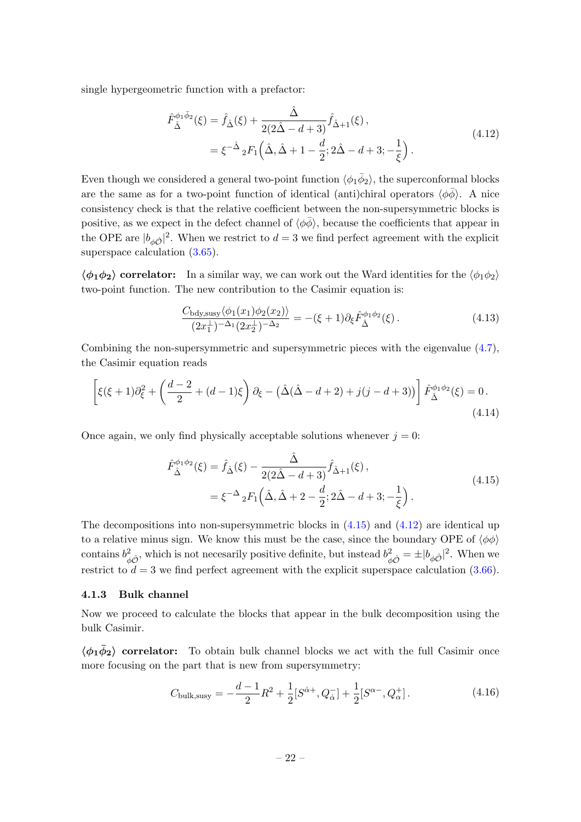single hypergeometric function with a prefactor:

<span id="page-22-2"></span>
$$
\hat{F}_{\hat{\Delta}}^{\phi_1 \bar{\phi}_2}(\xi) = \hat{f}_{\hat{\Delta}}(\xi) + \frac{\hat{\Delta}}{2(2\hat{\Delta} - d + 3)} \hat{f}_{\hat{\Delta}+1}(\xi), \n= \xi^{-\hat{\Delta}} {}_{2}F_{1}\left(\hat{\Delta}, \hat{\Delta} + 1 - \frac{d}{2}; 2\hat{\Delta} - d + 3; -\frac{1}{\xi}\right).
$$
\n(4.12)

Even though we considered a general two-point function  $\langle \phi_1 \bar{\phi}_2 \rangle$ , the superconformal blocks are the same as for a two-point function of identical (anti)chiral operators  $\langle \phi \bar{\phi} \rangle$ . A nice consistency check is that the relative coefficient between the non-supersymmetric blocks is positive, as we expect in the defect channel of  $\langle \phi \bar{\phi} \rangle$ , because the coefficients that appear in the OPE are  $|b_{\phi\hat{O}}|^2$ . When we restrict to  $d=3$  we find perfect agreement with the explicit superspace calculation  $(3.65)$ .

 $\langle \phi_1 \phi_2 \rangle$  correlator: In a similar way, we can work out the Ward identities for the  $\langle \phi_1 \phi_2 \rangle$ two-point function. The new contribution to the Casimir equation is:

<span id="page-22-3"></span>
$$
\frac{C_{\text{bdy,susy}}\langle \phi_1(x_1)\phi_2(x_2) \rangle}{(2x_1^{\perp})^{-\Delta_1}(2x_2^{\perp})^{-\Delta_2}} = -(\xi+1)\partial_{\xi}\hat{F}_{\hat{\Delta}}^{\phi_1\phi_2}(\xi). \tag{4.13}
$$

Combining the non-supersymmetric and supersymmetric pieces with the eigenvalue  $(4.7)$ , the Casimir equation reads

$$
\[ \left[ \xi(\xi+1)\partial_{\xi}^{2} + \left( \frac{d-2}{2} + (d-1)\xi \right) \partial_{\xi} - \left( \hat{\Delta}(\hat{\Delta} - d + 2) + j(j - d + 3) \right) \right] \hat{F}_{\hat{\Delta}}^{\phi_{1}\phi_{2}}(\xi) = 0. \tag{4.14}
$$

Once again, we only find physically acceptable solutions whenever  $j = 0$ :

<span id="page-22-1"></span>
$$
\hat{F}_{\hat{\Delta}}^{\phi_1 \phi_2}(\xi) = \hat{f}_{\hat{\Delta}}(\xi) - \frac{\hat{\Delta}}{2(2\hat{\Delta} - d + 3)} \hat{f}_{\hat{\Delta} + 1}(\xi), \n= \xi^{-\Delta} {}_{2}F_{1}\left(\hat{\Delta}, \hat{\Delta} + 2 - \frac{d}{2}; 2\hat{\Delta} - d + 3; -\frac{1}{\xi}\right).
$$
\n(4.15)

The decompositions into non-supersymmetric blocks in  $(4.15)$  and  $(4.12)$  are identical up to a relative minus sign. We know this must be the case, since the boundary OPE of  $\langle \phi \phi \rangle$ contains  $b^2_{\phi\hat{O}}$ , which is not necesarily positive definite, but instead  $b^2_{\phi\hat{O}} = \pm |b_{\phi\hat{O}}|^2$ . When we restrict to  $d = 3$  we find perfect agreement with the explicit superspace calculation [\(3.66\)](#page-17-2).

## <span id="page-22-0"></span>4.1.3 Bulk channel

Now we proceed to calculate the blocks that appear in the bulk decomposition using the bulk Casimir.

 $\langle \phi_1 \phi_2 \rangle$  correlator: To obtain bulk channel blocks we act with the full Casimir once more focusing on the part that is new from supersymmetry:

$$
C_{\text{bulk,susy}} = -\frac{d-1}{2}R^2 + \frac{1}{2}[S^{\dot{\alpha}+}, Q_{\dot{\alpha}}^-] + \frac{1}{2}[S^{\alpha-}, Q_{\alpha}^+].
$$
 (4.16)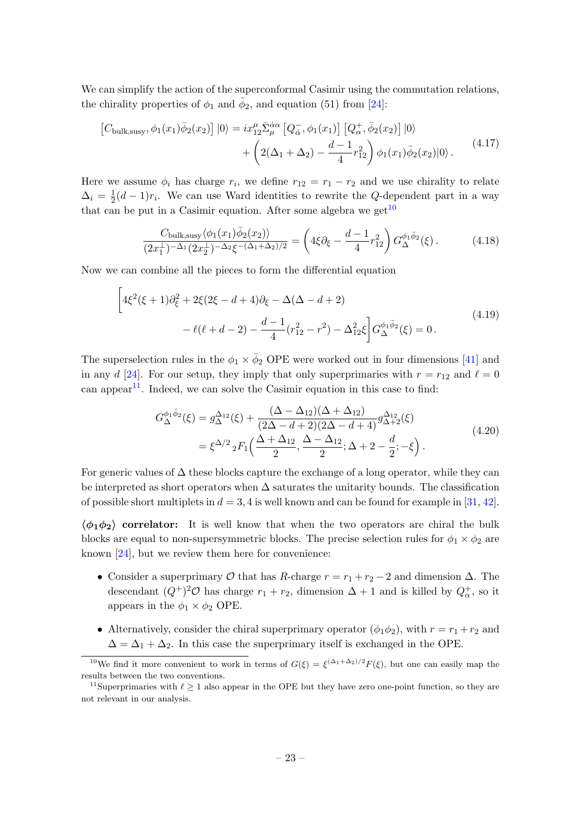We can simplify the action of the superconformal Casimir using the commutation relations, the chirality properties of  $\phi_1$  and  $\bar{\phi}_2$ , and equation (51) from [\[24\]](#page-43-11):

$$
\begin{split} \left[C_{\text{bulk,susy}}, \phi_1(x_1)\bar{\phi}_2(x_2)\right] |0\rangle &= ix_{12}^{\mu} \bar{\Sigma}_{\mu}^{\dot{\alpha}\alpha} \left[Q_{\dot{\alpha}}^{-}, \phi_1(x_1)\right] \left[Q_{\alpha}^{+}, \bar{\phi}_2(x_2)\right] |0\rangle \\ &+ \left(2(\Delta_1 + \Delta_2) - \frac{d-1}{4}r_{12}^2\right) \phi_1(x_1)\bar{\phi}_2(x_2)|0\rangle \,. \end{split} \tag{4.17}
$$

Here we assume  $\phi_i$  has charge  $r_i$ , we define  $r_{12} = r_1 - r_2$  and we use chirality to relate  $\Delta_i = \frac{1}{2}$  $\frac{1}{2}(d-1)r_i$ . We can use Ward identities to rewrite the Q-dependent part in a way that can be put in a Casimir equation. After some algebra we get  $10$ 

<span id="page-23-2"></span>
$$
\frac{C_{\text{bulk,susy}}\langle \phi_1(x_1)\bar{\phi}_2(x_2)\rangle}{(2x_1^{\perp})^{-\Delta_1}(2x_2^{\perp})^{-\Delta_2}\xi^{-(\Delta_1+\Delta_2)/2}} = \left(4\xi\partial_{\xi} - \frac{d-1}{4}r_{12}^2\right)G_{\Delta}^{\phi_1\bar{\phi}_2}(\xi). \tag{4.18}
$$

Now we can combine all the pieces to form the differential equation

$$
\left[4\xi^2(\xi+1)\partial_{\xi}^2 + 2\xi(2\xi - d + 4)\partial_{\xi} - \Delta(\Delta - d + 2) - \ell(\ell + d - 2) - \frac{d-1}{4}(r_{12}^2 - r^2) - \Delta_{12}^2\xi\right]G_{\Delta}^{\phi_1\bar{\phi}_2}(\xi) = 0.
$$
\n(4.19)

The superselection rules in the  $\phi_1 \times \bar{\phi}_2$  OPE were worked out in four dimensions [\[41\]](#page-44-10) and in any d [\[24\]](#page-43-11). For our setup, they imply that only superprimaries with  $r = r_{12}$  and  $\ell = 0$ can appear<sup>[11](#page-23-1)</sup>. Indeed, we can solve the Casimir equation in this case to find:

$$
G_{\Delta}^{\phi_1 \bar{\phi}_2}(\xi) = g_{\Delta}^{\Delta_{12}}(\xi) + \frac{(\Delta - \Delta_{12})(\Delta + \Delta_{12})}{(2\Delta - d + 2)(2\Delta - d + 4)} g_{\Delta + 2}^{\Delta_{12}}(\xi)
$$
  
=  $\xi^{\Delta/2} {}_{2}F_{1}\left(\frac{\Delta + \Delta_{12}}{2}, \frac{\Delta - \Delta_{12}}{2}; \Delta + 2 - \frac{d}{2}; -\xi\right).$  (4.20)

For generic values of  $\Delta$  these blocks capture the exchange of a long operator, while they can be interpreted as short operators when  $\Delta$  saturates the unitarity bounds. The classification of possible short multiplets in  $d = 3, 4$  is well known and can be found for example in [\[31,](#page-44-0) [42\]](#page-44-11).

 $\langle \phi_1 \phi_2 \rangle$  correlator: It is well know that when the two operators are chiral the bulk blocks are equal to non-supersymmetric blocks. The precise selection rules for  $\phi_1 \times \phi_2$  are known [\[24\]](#page-43-11), but we review them here for convenience:

- Consider a superprimary  $\mathcal O$  that has R-charge  $r = r_1 + r_2 2$  and dimension  $\Delta$ . The descendant  $(Q^+)^2O$  has charge  $r_1 + r_2$ , dimension  $\Delta + 1$  and is killed by  $Q^+_{\alpha}$ , so it appears in the  $\phi_1 \times \phi_2$  OPE.
- Alternatively, consider the chiral superprimary operator  $(\phi_1 \phi_2)$ , with  $r = r_1 + r_2$  and  $\Delta = \Delta_1 + \Delta_2$ . In this case the superprimary itself is exchanged in the OPE.

<span id="page-23-0"></span><sup>&</sup>lt;sup>10</sup>We find it more convenient to work in terms of  $G(\xi) = \xi^{(\Delta_1 + \Delta_2)/2} F(\xi)$ , but one can easily map the results between the two conventions.

<span id="page-23-1"></span><sup>&</sup>lt;sup>11</sup>Superprimaries with  $\ell \geq 1$  also appear in the OPE but they have zero one-point function, so they are not relevant in our analysis.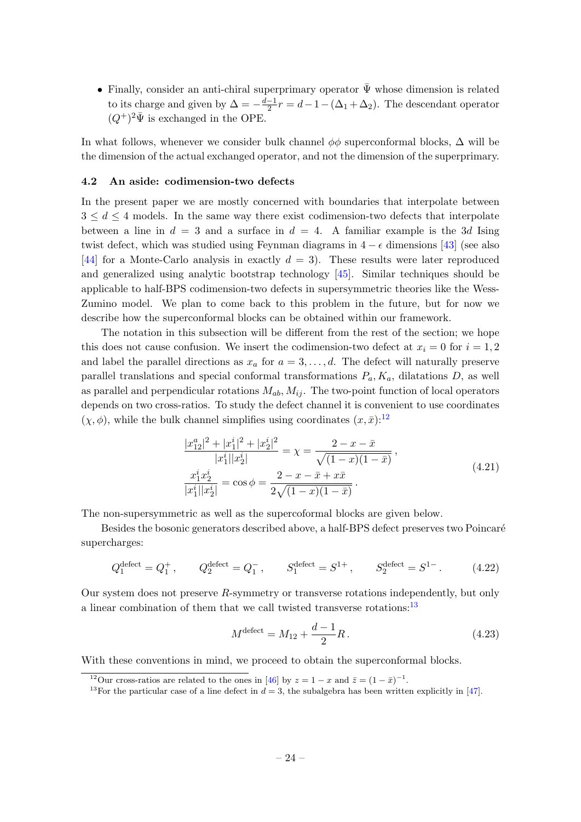• Finally, consider an anti-chiral superprimary operator  $\bar{\Psi}$  whose dimension is related to its charge and given by  $\Delta = -\frac{d-1}{2}$  $\frac{-1}{2}r = d - 1 - (\Delta_1 + \Delta_2)$ . The descendant operator  $(Q^+)^2 \bar{\Psi}$  is exchanged in the OPE.

In what follows, whenever we consider bulk channel  $\phi\phi$  superconformal blocks,  $\Delta$  will be the dimension of the actual exchanged operator, and not the dimension of the superprimary.

## <span id="page-24-0"></span>4.2 An aside: codimension-two defects

In the present paper we are mostly concerned with boundaries that interpolate between  $3 \leq d \leq 4$  models. In the same way there exist codimension-two defects that interpolate between a line in  $d = 3$  and a surface in  $d = 4$ . A familiar example is the 3d Ising twist defect, which was studied using Feynman diagrams in  $4 - \epsilon$  dimensions [\[43\]](#page-44-12) (see also [\[44\]](#page-44-13) for a Monte-Carlo analysis in exactly  $d = 3$ . These results were later reproduced and generalized using analytic bootstrap technology [\[45\]](#page-44-14). Similar techniques should be applicable to half-BPS codimension-two defects in supersymmetric theories like the Wess-Zumino model. We plan to come back to this problem in the future, but for now we describe how the superconformal blocks can be obtained within our framework.

The notation in this subsection will be different from the rest of the section; we hope this does not cause confusion. We insert the codimension-two defect at  $x_i = 0$  for  $i = 1, 2$ and label the parallel directions as  $x_a$  for  $a = 3, \ldots, d$ . The defect will naturally preserve parallel translations and special conformal transformations  $P_a, K_a$ , dilatations D, as well as parallel and perpendicular rotations  $M_{ab}$ ,  $M_{ij}$ . The two-point function of local operators depends on two cross-ratios. To study the defect channel it is convenient to use coordinates  $(\chi, \phi)$ , while the bulk channel simplifies using coordinates  $(x, \bar{x})$ :<sup>[12](#page-24-1)</sup>

$$
\frac{|x_{12}^a|^2 + |x_1^i|^2 + |x_2^i|^2}{|x_1^i||x_2^i|} = \chi = \frac{2 - x - \bar{x}}{\sqrt{(1 - x)(1 - \bar{x})}},
$$
  

$$
\frac{x_1^i x_2^i}{|x_1^i||x_2^i|} = \cos\phi = \frac{2 - x - \bar{x} + x\bar{x}}{2\sqrt{(1 - x)(1 - \bar{x})}}.
$$
\n(4.21)

The non-supersymmetric as well as the supercoformal blocks are given below.

Besides the bosonic generators described above, a half-BPS defect preserves two Poincaré supercharges:

$$
Q_1^{\text{defect}} = Q_1^+, \qquad Q_2^{\text{defect}} = Q_1^-, \qquad S_1^{\text{defect}} = S^{1+}, \qquad S_2^{\text{defect}} = S^{1-}.
$$
 (4.22)

Our system does not preserve R-symmetry or transverse rotations independently, but only a linear combination of them that we call twisted transverse rotations:  $^{13}$  $^{13}$  $^{13}$ 

<span id="page-24-3"></span>
$$
M^{\text{defect}} = M_{12} + \frac{d-1}{2}R. \tag{4.23}
$$

With these conventions in mind, we proceed to obtain the superconformal blocks.

<span id="page-24-1"></span><sup>&</sup>lt;sup>12</sup>Our cross-ratios are related to the ones in [\[46\]](#page-44-15) by  $z = 1 - x$  and  $\bar{z} = (1 - \bar{x})^{-1}$ .

<span id="page-24-2"></span><sup>&</sup>lt;sup>13</sup>For the particular case of a line defect in  $d = 3$ , the subalgebra has been written explicitly in [\[47\]](#page-44-16).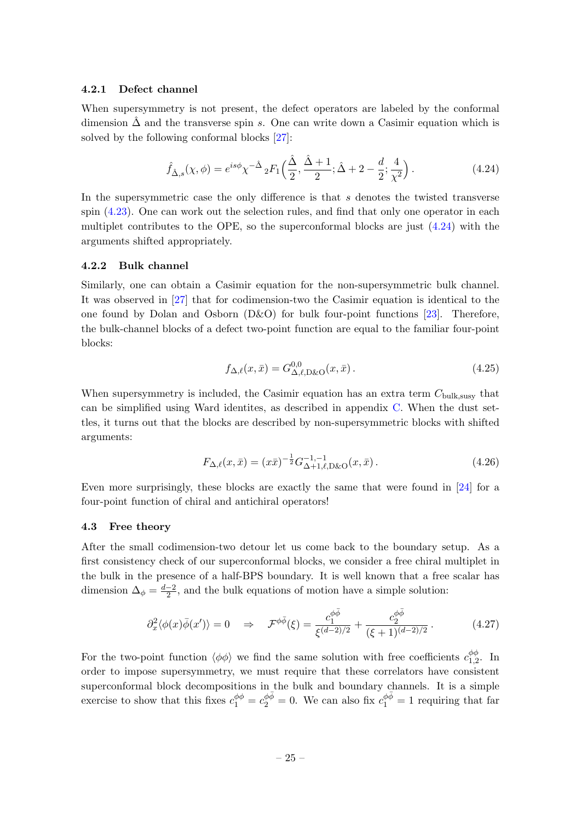## 4.2.1 Defect channel

When supersymmetry is not present, the defect operators are labeled by the conformal dimension  $\Delta$  and the transverse spin s. One can write down a Casimir equation which is solved by the following conformal blocks [\[27\]](#page-43-14):

<span id="page-25-1"></span>
$$
\hat{f}_{\hat{\Delta},s}(\chi,\phi) = e^{is\phi}\chi^{-\hat{\Delta}}{}_2F_1\left(\frac{\hat{\Delta}}{2},\frac{\hat{\Delta}+1}{2};\hat{\Delta}+2-\frac{d}{2};\frac{4}{\chi^2}\right). \tag{4.24}
$$

In the supersymmetric case the only difference is that  $s$  denotes the twisted transverse spin [\(4.23\)](#page-24-3). One can work out the selection rules, and find that only one operator in each multiplet contributes to the OPE, so the superconformal blocks are just [\(4.24\)](#page-25-1) with the arguments shifted appropriately.

## 4.2.2 Bulk channel

Similarly, one can obtain a Casimir equation for the non-supersymmetric bulk channel. It was observed in [\[27\]](#page-43-14) that for codimension-two the Casimir equation is identical to the one found by Dolan and Osborn  $(D&O)$  for bulk four-point functions [\[23\]](#page-43-10). Therefore, the bulk-channel blocks of a defect two-point function are equal to the familiar four-point blocks:

$$
f_{\Delta,\ell}(x,\bar{x}) = G_{\Delta,\ell,\mathrm{D\&O}}^{0,0}(x,\bar{x}).\tag{4.25}
$$

When supersymmetry is included, the Casimir equation has an extra term  $C_{\text{bulk,susy}}$  that can be simplified using Ward identites, as described in appendix [C.](#page-41-1) When the dust settles, it turns out that the blocks are described by non-supersymmetric blocks with shifted arguments:

$$
F_{\Delta,\ell}(x,\bar{x}) = (x\bar{x})^{-\frac{1}{2}} G_{\Delta+1,\ell,\mathrm{D\&O}}^{-1,-1}(x,\bar{x}).\tag{4.26}
$$

Even more surprisingly, these blocks are exactly the same that were found in [\[24\]](#page-43-11) for a four-point function of chiral and antichiral operators!

#### <span id="page-25-0"></span>4.3 Free theory

After the small codimension-two detour let us come back to the boundary setup. As a first consistency check of our superconformal blocks, we consider a free chiral multiplet in the bulk in the presence of a half-BPS boundary. It is well known that a free scalar has dimension  $\Delta_{\phi} = \frac{d-2}{2}$  $\frac{-2}{2}$ , and the bulk equations of motion have a simple solution:

$$
\partial_x^2 \langle \phi(x)\bar{\phi}(x') \rangle = 0 \quad \Rightarrow \quad \mathcal{F}^{\phi\bar{\phi}}(\xi) = \frac{c_1^{\phi\bar{\phi}}}{\xi^{(d-2)/2}} + \frac{c_2^{\phi\bar{\phi}}}{(\xi+1)^{(d-2)/2}}. \tag{4.27}
$$

For the two-point function  $\langle \phi \phi \rangle$  we find the same solution with free coefficients  $c_{12}^{\phi\phi}$  $f_{1,2}^{\varphi\varphi}$ . In order to impose supersymmetry, we must require that these correlators have consistent superconformal block decompositions in the bulk and boundary channels. It is a simple exercise to show that this fixes  $c_1^{\phi\phi} = c_2^{\phi\bar{\phi}} = 0$ . We can also fix  $c_1^{\phi\bar{\phi}} = 1$  requiring that far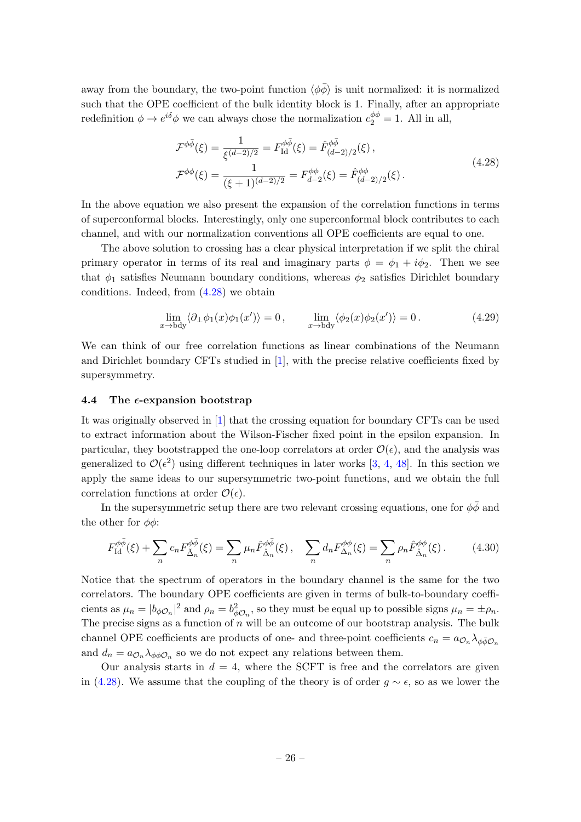away from the boundary, the two-point function  $\langle \phi \bar{\phi} \rangle$  is unit normalized: it is normalized such that the OPE coefficient of the bulk identity block is 1. Finally, after an appropriate redefinition  $\phi \to e^{i\delta}\phi$  we can always chose the normalization  $c_2^{\phi\phi} = 1$ . All in all,

<span id="page-26-1"></span>
$$
\mathcal{F}^{\phi\bar{\phi}}(\xi) = \frac{1}{\xi^{(d-2)/2}} = F_{\text{Id}}^{\phi\bar{\phi}}(\xi) = \hat{F}_{(d-2)/2}^{\phi\bar{\phi}}(\xi),
$$
\n
$$
\mathcal{F}^{\phi\phi}(\xi) = \frac{1}{(\xi+1)^{(d-2)/2}} = F_{d-2}^{\phi\phi}(\xi) = \hat{F}_{(d-2)/2}^{\phi\phi}(\xi).
$$
\n(4.28)

In the above equation we also present the expansion of the correlation functions in terms of superconformal blocks. Interestingly, only one superconformal block contributes to each channel, and with our normalization conventions all OPE coefficients are equal to one.

The above solution to crossing has a clear physical interpretation if we split the chiral primary operator in terms of its real and imaginary parts  $\phi = \phi_1 + i\phi_2$ . Then we see that  $\phi_1$  satisfies Neumann boundary conditions, whereas  $\phi_2$  satisfies Dirichlet boundary conditions. Indeed, from [\(4.28\)](#page-26-1) we obtain

$$
\lim_{x \to \text{bdy}} \langle \partial_{\perp} \phi_1(x) \phi_1(x') \rangle = 0, \qquad \lim_{x \to \text{bdy}} \langle \phi_2(x) \phi_2(x') \rangle = 0.
$$
 (4.29)

We can think of our free correlation functions as linear combinations of the Neumann and Dirichlet boundary CFTs studied in [\[1\]](#page-42-0), with the precise relative coefficients fixed by supersymmetry.

## <span id="page-26-0"></span>4.4 The  $\epsilon$ -expansion bootstrap

It was originally observed in [\[1\]](#page-42-0) that the crossing equation for boundary CFTs can be used to extract information about the Wilson-Fischer fixed point in the epsilon expansion. In particular, they bootstrapped the one-loop correlators at order  $\mathcal{O}(\epsilon)$ , and the analysis was generalized to  $\mathcal{O}(\epsilon^2)$  using different techniques in later works [\[3,](#page-42-2) [4,](#page-42-3) [48\]](#page-44-17). In this section we apply the same ideas to our supersymmetric two-point functions, and we obtain the full correlation functions at order  $\mathcal{O}(\epsilon)$ .

In the supersymmetric setup there are two relevant crossing equations, one for  $\phi\bar{\phi}$  and the other for  $\phi\phi$ :

<span id="page-26-2"></span>
$$
F_{\rm Id}^{\phi\bar{\phi}}(\xi) + \sum_n c_n F_{\tilde{\Delta}_n}^{\phi\bar{\phi}}(\xi) = \sum_n \mu_n \hat{F}_{\hat{\Delta}_n}^{\phi\bar{\phi}}(\xi), \quad \sum_n d_n F_{\Delta_n}^{\phi\phi}(\xi) = \sum_n \rho_n \hat{F}_{\hat{\Delta}_n}^{\phi\phi}(\xi). \tag{4.30}
$$

Notice that the spectrum of operators in the boundary channel is the same for the two correlators. The boundary OPE coefficients are given in terms of bulk-to-boundary coefficients as  $\mu_n = |b_{\phi\mathcal{O}_n}|^2$  and  $\rho_n = b_{\phi\mathcal{O}_n}^2$ , so they must be equal up to possible signs  $\mu_n = \pm \rho_n$ . The precise signs as a function of  $n$  will be an outcome of our bootstrap analysis. The bulk channel OPE coefficients are products of one- and three-point coefficients  $c_n = a_{\mathcal{O}_n} \lambda_{\phi \bar{\phi} \mathcal{O}_n}$ and  $d_n = a_{\mathcal{O}_n} \lambda_{\phi \phi \mathcal{O}_n}$  so we do not expect any relations between them.

Our analysis starts in  $d = 4$ , where the SCFT is free and the correlators are given in [\(4.28\)](#page-26-1). We assume that the coupling of the theory is of order  $q \sim \epsilon$ , so as we lower the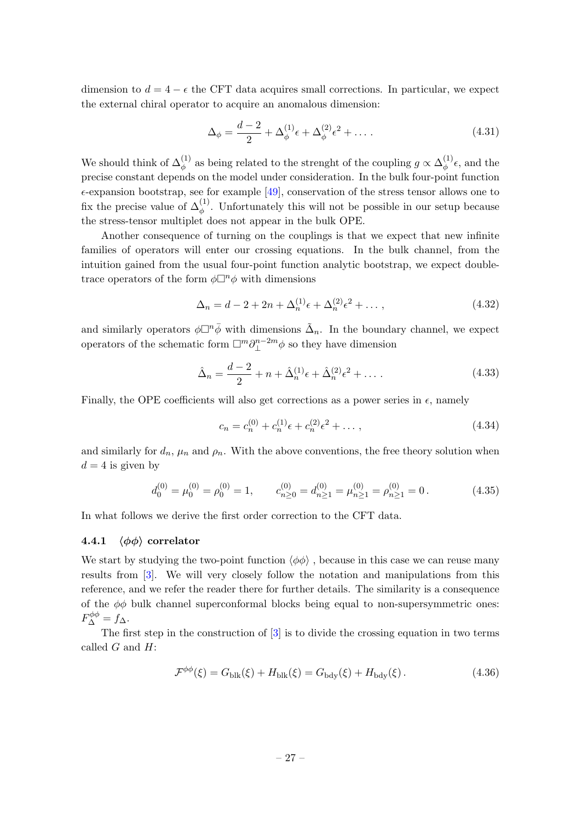dimension to  $d = 4 - \epsilon$  the CFT data acquires small corrections. In particular, we expect the external chiral operator to acquire an anomalous dimension:

$$
\Delta_{\phi} = \frac{d-2}{2} + \Delta_{\phi}^{(1)}\epsilon + \Delta_{\phi}^{(2)}\epsilon^{2} + \dots
$$
 (4.31)

We should think of  $\Delta_{\phi}^{(1)}$  as being related to the strenght of the coupling  $g \propto \Delta_{\phi}^{(1)}$  $\phi^{(1)}\epsilon$ , and the precise constant depends on the model under consideration. In the bulk four-point function  $\epsilon$ -expansion bootstrap, see for example [\[49\]](#page-44-18), conservation of the stress tensor allows one to fix the precise value of  $\Delta_{\phi}^{(1)}$ . Unfortunately this will not be possible in our setup because the stress-tensor multiplet does not appear in the bulk OPE.

Another consequence of turning on the couplings is that we expect that new infinite families of operators will enter our crossing equations. In the bulk channel, from the intuition gained from the usual four-point function analytic bootstrap, we expect doubletrace operators of the form  $\phi \Box^n \phi$  with dimensions

$$
\Delta_n = d - 2 + 2n + \Delta_n^{(1)} \epsilon + \Delta_n^{(2)} \epsilon^2 + \dots \,, \tag{4.32}
$$

and similarly operators  $\phi \Box^n \bar{\phi}$  with dimensions  $\tilde{\Delta}_n$ . In the boundary channel, we expect operators of the schematic form  $\Box^m \partial_{\perp}^{n-2m}$  $\mathbb{L}^{n-2m}\phi$  so they have dimension

$$
\hat{\Delta}_n = \frac{d-2}{2} + n + \hat{\Delta}_n^{(1)} \epsilon + \hat{\Delta}_n^{(2)} \epsilon^2 + \dots \,. \tag{4.33}
$$

Finally, the OPE coefficients will also get corrections as a power series in  $\epsilon$ , namely

$$
c_n = c_n^{(0)} + c_n^{(1)}\epsilon + c_n^{(2)}\epsilon^2 + \dots,\tag{4.34}
$$

and similarly for  $d_n$ ,  $\mu_n$  and  $\rho_n$ . With the above conventions, the free theory solution when  $d = 4$  is given by

$$
d_0^{(0)} = \mu_0^{(0)} = \rho_0^{(0)} = 1, \qquad c_{n \ge 0}^{(0)} = d_{n \ge 1}^{(0)} = \mu_{n \ge 1}^{(0)} = \rho_{n \ge 1}^{(0)} = 0.
$$
 (4.35)

In what follows we derive the first order correction to the CFT data.

## 4.4.1  $\langle \phi \phi \rangle$  correlator

We start by studying the two-point function  $\langle \phi \phi \rangle$ , because in this case we can reuse many results from [\[3\]](#page-42-2). We will very closely follow the notation and manipulations from this reference, and we refer the reader there for further details. The similarity is a consequence of the  $\phi\phi$  bulk channel superconformal blocks being equal to non-supersymmetric ones:  $F_{\Delta}^{\phi\phi} = f_{\Delta}$ .

The first step in the construction of [\[3\]](#page-42-2) is to divide the crossing equation in two terms called  $G$  and  $H$ :

$$
\mathcal{F}^{\phi\phi}(\xi) = G_{\text{blk}}(\xi) + H_{\text{blk}}(\xi) = G_{\text{bdy}}(\xi) + H_{\text{bdy}}(\xi). \tag{4.36}
$$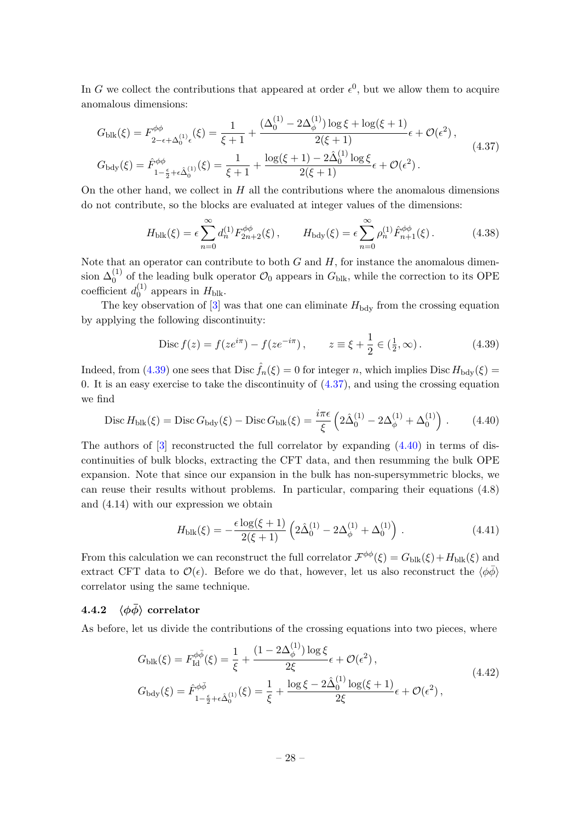In G we collect the contributions that appeared at order  $\epsilon^0$ , but we allow them to acquire anomalous dimensions:

$$
G_{\text{blk}}(\xi) = F_{2-\epsilon+\Delta_0^{(1)}\epsilon}^{\phi\phi}(\xi) = \frac{1}{\xi+1} + \frac{(\Delta_0^{(1)} - 2\Delta_\phi^{(1)})\log\xi + \log(\xi+1)}{2(\xi+1)}\epsilon + \mathcal{O}(\epsilon^2),
$$
  
\n
$$
G_{\text{bdy}}(\xi) = \hat{F}_{1-\frac{\epsilon}{2}+\epsilon\hat{\Delta}_0^{(1)}}^{\phi\phi}(\xi) = \frac{1}{\xi+1} + \frac{\log(\xi+1) - 2\hat{\Delta}_0^{(1)}\log\xi}{2(\xi+1)}\epsilon + \mathcal{O}(\epsilon^2).
$$
\n(4.37)

On the other hand, we collect in  $H$  all the contributions where the anomalous dimensions do not contribute, so the blocks are evaluated at integer values of the dimensions:

<span id="page-28-3"></span><span id="page-28-1"></span>
$$
H_{\text{blk}}(\xi) = \epsilon \sum_{n=0}^{\infty} d_n^{(1)} F_{2n+2}^{\phi\phi}(\xi), \qquad H_{\text{bdy}}(\xi) = \epsilon \sum_{n=0}^{\infty} \rho_n^{(1)} \hat{F}_{n+1}^{\phi\phi}(\xi). \tag{4.38}
$$

Note that an operator can contribute to both  $G$  and  $H$ , for instance the anomalous dimension  $\Delta_0^{(1)}$  of the leading bulk operator  $\mathcal{O}_0$  appears in  $G_{\text{blk}}$ , while the correction to its OPE coefficient  $d_0^{(1)}$  $_{0}^{(1)}$  appears in  $H_{\text{blk}}$ .

The key observation of  $[3]$  was that one can eliminate  $H_{\text{bdy}}$  from the crossing equation by applying the following discontinuity:

<span id="page-28-0"></span>
$$
\text{Disc } f(z) = f(ze^{i\pi}) - f(ze^{-i\pi}), \qquad z \equiv \xi + \frac{1}{2} \in (\frac{1}{2}, \infty). \tag{4.39}
$$

Indeed, from [\(4.39\)](#page-28-0) one sees that Disc  $\hat{f}_n(\xi) = 0$  for integer n, which implies Disc  $H_{\text{bdy}}(\xi) =$ 0. It is an easy exercise to take the discontinuity of  $(4.37)$ , and using the crossing equation we find

$$
\text{Disc } H_{\text{blk}}(\xi) = \text{Disc } G_{\text{bdy}}(\xi) - \text{Disc } G_{\text{blk}}(\xi) = \frac{i\pi\epsilon}{\xi} \left( 2\hat{\Delta}_0^{(1)} - 2\Delta_\phi^{(1)} + \Delta_0^{(1)} \right) \,. \tag{4.40}
$$

The authors of  $[3]$  reconstructed the full correlator by expanding  $(4.40)$  in terms of discontinuities of bulk blocks, extracting the CFT data, and then resumming the bulk OPE expansion. Note that since our expansion in the bulk has non-supersymmetric blocks, we can reuse their results without problems. In particular, comparing their equations (4.8) and (4.14) with our expression we obtain

<span id="page-28-2"></span>
$$
H_{\text{blk}}(\xi) = -\frac{\epsilon \log(\xi + 1)}{2(\xi + 1)} \left( 2\hat{\Delta}_0^{(1)} - 2\Delta_\phi^{(1)} + \Delta_0^{(1)} \right) \,. \tag{4.41}
$$

From this calculation we can reconstruct the full correlator  $\mathcal{F}^{\phi\phi}(\xi) = G_{\text{blk}}(\xi) + H_{\text{blk}}(\xi)$  and extract CFT data to  $\mathcal{O}(\epsilon)$ . Before we do that, however, let us also reconstruct the  $\langle \phi \bar{\phi} \rangle$ correlator using the same technique.

# 4.4.2  $\langle \phi \bar{\phi} \rangle$  correlator

As before, let us divide the contributions of the crossing equations into two pieces, where

$$
G_{\text{blk}}(\xi) = F_{\text{Id}}^{\phi\bar{\phi}}(\xi) = \frac{1}{\xi} + \frac{(1 - 2\Delta_{\phi}^{(1)})\log\xi}{2\xi} \epsilon + \mathcal{O}(\epsilon^2),
$$
  
\n
$$
G_{\text{bdy}}(\xi) = \hat{F}_{1-\frac{\epsilon}{2}+\epsilon\hat{\Delta}_{0}^{(1)}}^{(\phi\bar{\phi})}(\xi) = \frac{1}{\xi} + \frac{\log\xi - 2\hat{\Delta}_{0}^{(1)}\log(\xi + 1)}{2\xi} \epsilon + \mathcal{O}(\epsilon^2),
$$
\n(4.42)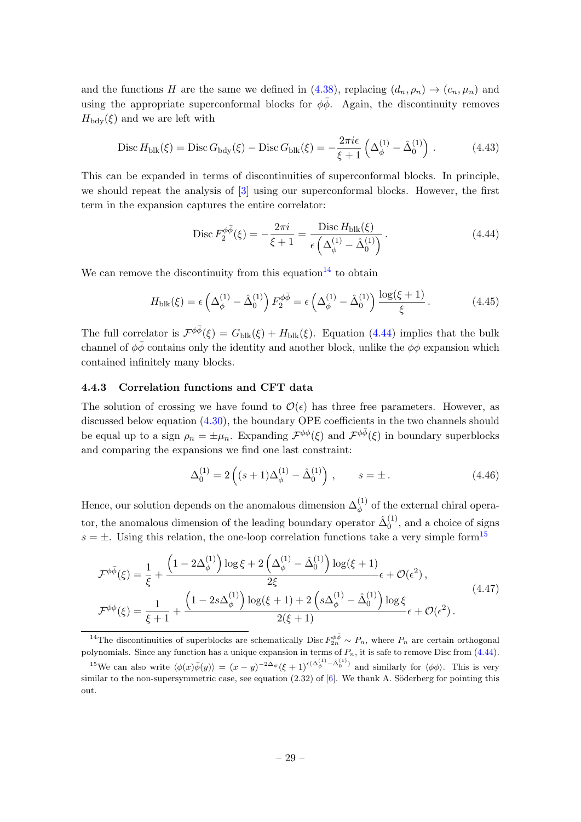and the functions H are the same we defined in [\(4.38\)](#page-28-3), replacing  $(d_n, \rho_n) \to (c_n, \mu_n)$  and using the appropriate superconformal blocks for  $\phi\bar{\phi}$ . Again, the discontinuity removes  $H_{\text{bdy}}(\xi)$  and we are left with

$$
\text{Disc}\,H_{\text{blk}}(\xi) = \text{Disc}\,G_{\text{bdy}}(\xi) - \text{Disc}\,G_{\text{blk}}(\xi) = -\frac{2\pi i\epsilon}{\xi+1}\left(\Delta_{\phi}^{(1)} - \hat{\Delta}_{0}^{(1)}\right). \tag{4.43}
$$

This can be expanded in terms of discontinuities of superconformal blocks. In principle, we should repeat the analysis of [\[3\]](#page-42-2) using our superconformal blocks. However, the first term in the expansion captures the entire correlator:

<span id="page-29-1"></span>
$$
\text{Disc}\, F_2^{\phi\bar{\phi}}(\xi) = -\frac{2\pi i}{\xi + 1} = \frac{\text{Disc}\, H_{\text{blk}}(\xi)}{\epsilon \left(\Delta_{\phi}^{(1)} - \hat{\Delta}_0^{(1)}\right)}\,. \tag{4.44}
$$

We can remove the discontinuity from this equation  $14$  to obtain

$$
H_{\text{blk}}(\xi) = \epsilon \left( \Delta_{\phi}^{(1)} - \hat{\Delta}_{0}^{(1)} \right) F_{2}^{\phi \bar{\phi}} = \epsilon \left( \Delta_{\phi}^{(1)} - \hat{\Delta}_{0}^{(1)} \right) \frac{\log(\xi + 1)}{\xi}.
$$
 (4.45)

The full correlator is  $\mathcal{F}^{\phi\bar{\phi}}(\xi) = G_{\text{blk}}(\xi) + H_{\text{blk}}(\xi)$ . Equation [\(4.44\)](#page-29-1) implies that the bulk channel of  $\phi\bar{\phi}$  contains only the identity and another block, unlike the  $\phi\phi$  expansion which contained infinitely many blocks.

#### 4.4.3 Correlation functions and CFT data

The solution of crossing we have found to  $\mathcal{O}(\epsilon)$  has three free parameters. However, as discussed below equation  $(4.30)$ , the boundary OPE coefficients in the two channels should be equal up to a sign  $\rho_n = \pm \mu_n$ . Expanding  $\mathcal{F}^{\phi\phi}(\xi)$  and  $\mathcal{F}^{\phi\bar{\phi}}(\xi)$  in boundary superblocks and comparing the expansions we find one last constraint:

<span id="page-29-4"></span><span id="page-29-3"></span>
$$
\Delta_0^{(1)} = 2\left( (s+1)\Delta_\phi^{(1)} - \hat{\Delta}_0^{(1)} \right) , \qquad s = \pm . \tag{4.46}
$$

Hence, our solution depends on the anomalous dimension  $\Delta_{\phi}^{(1)}$  of the external chiral operator, the anomalous dimension of the leading boundary operator  $\hat{\Delta}_0^{(1)}$  $_0^{(1)}$ , and a choice of signs  $s = \pm$ . Using this relation, the one-loop correlation functions take a very simple form<sup>[15](#page-29-2)</sup>

$$
\mathcal{F}^{\phi\bar{\phi}}(\xi) = \frac{1}{\xi} + \frac{\left(1 - 2\Delta_{\phi}^{(1)}\right)\log\xi + 2\left(\Delta_{\phi}^{(1)} - \hat{\Delta}_{0}^{(1)}\right)\log(\xi + 1)}{2\xi} \epsilon + \mathcal{O}(\epsilon^{2}),
$$
\n
$$
\mathcal{F}^{\phi\phi}(\xi) = \frac{1}{\xi + 1} + \frac{\left(1 - 2s\Delta_{\phi}^{(1)}\right)\log(\xi + 1) + 2\left(s\Delta_{\phi}^{(1)} - \hat{\Delta}_{0}^{(1)}\right)\log\xi}{2(\xi + 1)} \epsilon + \mathcal{O}(\epsilon^{2}).
$$
\n(4.47)

<span id="page-29-0"></span><sup>14</sup>The discontinuities of superblocks are schematically Disc  $F_{2n}^{\phi\bar{\phi}} \sim P_n$ , where  $P_n$  are certain orthogonal polynomials. Since any function has a unique expansion in terms of  $P_n$ , it is safe to remove Disc from  $(4.44)$ .

<span id="page-29-2"></span><sup>&</sup>lt;sup>15</sup>We can also write  $\langle \phi(x)\overline{\phi}(y)\rangle = (x-y)^{-2\Delta_{\phi}}(\xi+1)^{\epsilon(\Delta_{\phi}^{(1)}-\hat{\Delta}_{0}^{(1)})}$  and similarly for  $\langle \phi\phi \rangle$ . This is very similar to the non-supersymmetric case, see equation  $(2.32)$  of  $[6]$ . We thank A. Söderberg for pointing this out.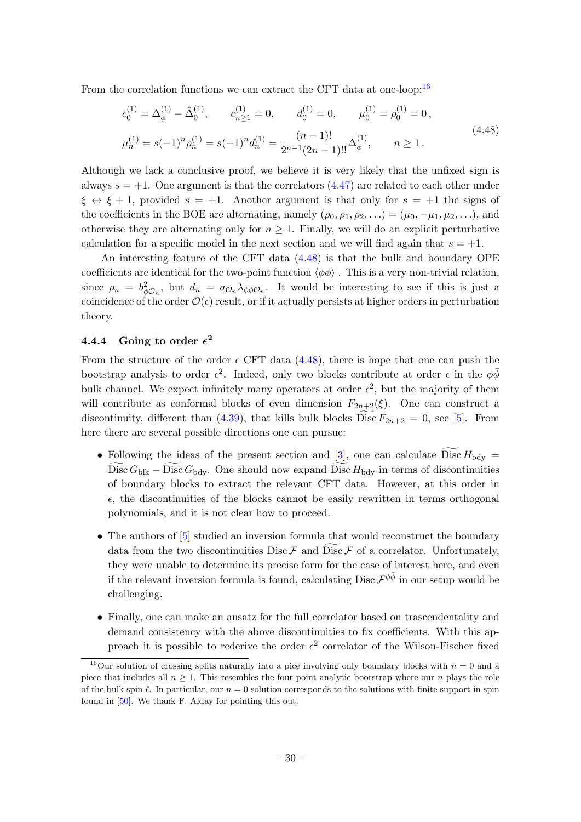From the correlation functions we can extract the CFT data at one-loop:  $16$ 

<span id="page-30-1"></span>
$$
c_0^{(1)} = \Delta_{\phi}^{(1)} - \hat{\Delta}_0^{(1)}, \qquad c_{n \ge 1}^{(1)} = 0, \qquad d_0^{(1)} = 0, \qquad \mu_0^{(1)} = \rho_0^{(1)} = 0,
$$
  

$$
\mu_n^{(1)} = s(-1)^n \rho_n^{(1)} = s(-1)^n d_n^{(1)} = \frac{(n-1)!}{2^{n-1}(2n-1)!!} \Delta_{\phi}^{(1)}, \qquad n \ge 1.
$$
  
(4.48)

Although we lack a conclusive proof, we believe it is very likely that the unfixed sign is always  $s = +1$ . One argument is that the correlators  $(4.47)$  are related to each other under  $\xi \leftrightarrow \xi + 1$ , provided  $s = +1$ . Another argument is that only for  $s = +1$  the signs of the coefficients in the BOE are alternating, namely  $(\rho_0, \rho_1, \rho_2, \ldots) = (\mu_0, -\mu_1, \mu_2, \ldots)$ , and otherwise they are alternating only for  $n \geq 1$ . Finally, we will do an explicit perturbative calculation for a specific model in the next section and we will find again that  $s = +1$ .

An interesting feature of the CFT data [\(4.48\)](#page-30-1) is that the bulk and boundary OPE coefficients are identical for the two-point function  $\langle \phi \phi \rangle$ . This is a very non-trivial relation, since  $\rho_n = b_{\phi \mathcal{O}_n}^2$ , but  $d_n = a_{\mathcal{O}_n} \lambda_{\phi \phi \mathcal{O}_n}$ . It would be interesting to see if this is just a coincidence of the order  $\mathcal{O}(\epsilon)$  result, or if it actually persists at higher orders in perturbation theory.

# $4.4.4$  Going to order  $\epsilon^2$

From the structure of the order  $\epsilon$  CFT data [\(4.48\)](#page-30-1), there is hope that one can push the bootstrap analysis to order  $\epsilon^2$ . Indeed, only two blocks contribute at order  $\epsilon$  in the  $\phi\bar{\phi}$ bulk channel. We expect infinitely many operators at order  $\epsilon^2$ , but the majority of them will contribute as conformal blocks of even dimension  $F_{2n+2}(\xi)$ . One can construct a discontinuity, different than [\(4.39\)](#page-28-0), that kills bulk blocks Disc  $F_{2n+2} = 0$ , see [\[5\]](#page-42-4). From here there are several possible directions one can pursue:

- Following the ideas of the present section and [\[3\]](#page-42-2), one can calculate  $\widetilde{Disc} H_{\text{bdy}} =$ Disc  $G_{\text{blk}} - \text{Disc } G_{\text{bdy}}$ . One should now expand Disc  $H_{\text{bdy}}$  in terms of discontinuities of boundary blocks to extract the relevant CFT data. However, at this order in  $\epsilon$ , the discontinuities of the blocks cannot be easily rewritten in terms orthogonal polynomials, and it is not clear how to proceed.
- The authors of  $[5]$  studied an inversion formula that would reconstruct the boundary data from the two discontinuities Disc  $\mathcal F$  and Disc  $\mathcal F$  of a correlator. Unfortunately, they were unable to determine its precise form for the case of interest here, and even if the relevant inversion formula is found, calculating  $\text{Disc } \mathcal{F}^{\phi \bar{\phi}}$  in our setup would be challenging.
- Finally, one can make an ansatz for the full correlator based on trascendentality and demand consistency with the above discontinuities to fix coefficients. With this approach it is possible to rederive the order  $\epsilon^2$  correlator of the Wilson-Fischer fixed

<span id="page-30-0"></span><sup>&</sup>lt;sup>16</sup>Our solution of crossing splits naturally into a pice involving only boundary blocks with  $n = 0$  and a piece that includes all  $n \geq 1$ . This resembles the four-point analytic bootstrap where our n plays the role of the bulk spin  $\ell$ . In particular, our  $n = 0$  solution corresponds to the solutions with finite support in spin found in [\[50\]](#page-44-19). We thank F. Alday for pointing this out.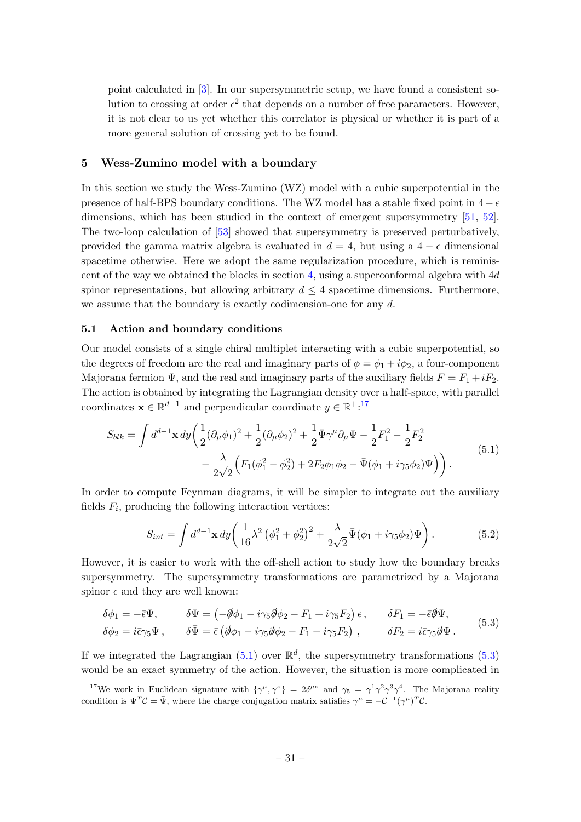point calculated in [\[3\]](#page-42-2). In our supersymmetric setup, we have found a consistent solution to crossing at order  $\epsilon^2$  that depends on a number of free parameters. However, it is not clear to us yet whether this correlator is physical or whether it is part of a more general solution of crossing yet to be found.

### <span id="page-31-0"></span>5 Wess-Zumino model with a boundary

In this section we study the Wess-Zumino (WZ) model with a cubic superpotential in the presence of half-BPS boundary conditions. The WZ model has a stable fixed point in  $4 - \epsilon$ dimensions, which has been studied in the context of emergent supersymmetry [\[51,](#page-44-20) [52\]](#page-45-0). The two-loop calculation of [\[53\]](#page-45-1) showed that supersymmetry is preserved perturbatively, provided the gamma matrix algebra is evaluated in  $d = 4$ , but using a  $4 - \epsilon$  dimensional spacetime otherwise. Here we adopt the same regularization procedure, which is reminis-cent of the way we obtained the blocks in section [4,](#page-19-0) using a superconformal algebra with  $4d$ spinor representations, but allowing arbitrary  $d \leq 4$  spacetime dimensions. Furthermore, we assume that the boundary is exactly codimension-one for any d.

## <span id="page-31-1"></span>5.1 Action and boundary conditions

Our model consists of a single chiral multiplet interacting with a cubic superpotential, so the degrees of freedom are the real and imaginary parts of  $\phi = \phi_1 + i\phi_2$ , a four-component Majorana fermion  $\Psi$ , and the real and imaginary parts of the auxiliary fields  $F = F_1 + iF_2$ . The action is obtained by integrating the Lagrangian density over a half-space, with parallel coordinates  $\mathbf{x} \in \mathbb{R}^{d-1}$  and perpendicular coordinate  $y \in \mathbb{R}^{+,17}$  $y \in \mathbb{R}^{+,17}$  $y \in \mathbb{R}^{+,17}$ 

$$
S_{blk} = \int d^{d-1} \mathbf{x} \, dy \left( \frac{1}{2} (\partial_{\mu} \phi_1)^2 + \frac{1}{2} (\partial_{\mu} \phi_2)^2 + \frac{1}{2} \bar{\Psi} \gamma^{\mu} \partial_{\mu} \Psi - \frac{1}{2} F_1^2 - \frac{1}{2} F_2^2 - \frac{1}{2} F_2^2 - \frac{1}{2 \sqrt{2}} \left( F_1 (\phi_1^2 - \phi_2^2) + 2 F_2 \phi_1 \phi_2 - \bar{\Psi} (\phi_1 + i \gamma_5 \phi_2) \Psi \right) \right).
$$
(5.1)

In order to compute Feynman diagrams, it will be simpler to integrate out the auxiliary fields  $F_i$ , producing the following interaction vertices:

<span id="page-31-5"></span><span id="page-31-4"></span><span id="page-31-3"></span>
$$
S_{int} = \int d^{d-1} \mathbf{x} \, dy \left( \frac{1}{16} \lambda^2 \left( \phi_1^2 + \phi_2^2 \right)^2 + \frac{\lambda}{2\sqrt{2}} \bar{\Psi} (\phi_1 + i \gamma_5 \phi_2) \Psi \right). \tag{5.2}
$$

However, it is easier to work with the off-shell action to study how the boundary breaks supersymmetry. The supersymmetry transformations are parametrized by a Majorana spinor  $\epsilon$  and they are well known:

$$
\delta\phi_1 = -\bar{\epsilon}\Psi, \qquad \delta\Psi = \left(-\partial\phi_1 - i\gamma_5\partial\phi_2 - F_1 + i\gamma_5F_2\right)\epsilon, \qquad \delta F_1 = -\bar{\epsilon}\partial\Psi,
$$
  

$$
\delta\phi_2 = i\bar{\epsilon}\gamma_5\Psi, \qquad \delta\bar{\Psi} = \bar{\epsilon}\left(\partial\phi_1 - i\gamma_5\partial\phi_2 - F_1 + i\gamma_5F_2\right), \qquad \delta F_2 = i\bar{\epsilon}\gamma_5\partial\Psi.
$$
 (5.3)

If we integrated the Lagrangian  $(5.1)$  over  $\mathbb{R}^d$ , the supersymmetry transformations  $(5.3)$ would be an exact symmetry of the action. However, the situation is more complicated in

<span id="page-31-2"></span><sup>&</sup>lt;sup>17</sup>We work in Euclidean signature with  $\{\gamma^{\mu}, \gamma^{\nu}\}=2\delta^{\mu\nu}$  and  $\gamma_5=\gamma^1\gamma^2\gamma^3\gamma^4$ . The Majorana reality condition is  $\Psi^T \mathcal{C} = \bar{\Psi}$ , where the charge conjugation matrix satisfies  $\gamma^{\mu} = -\mathcal{C}^{-1}(\gamma^{\mu})^T \mathcal{C}$ .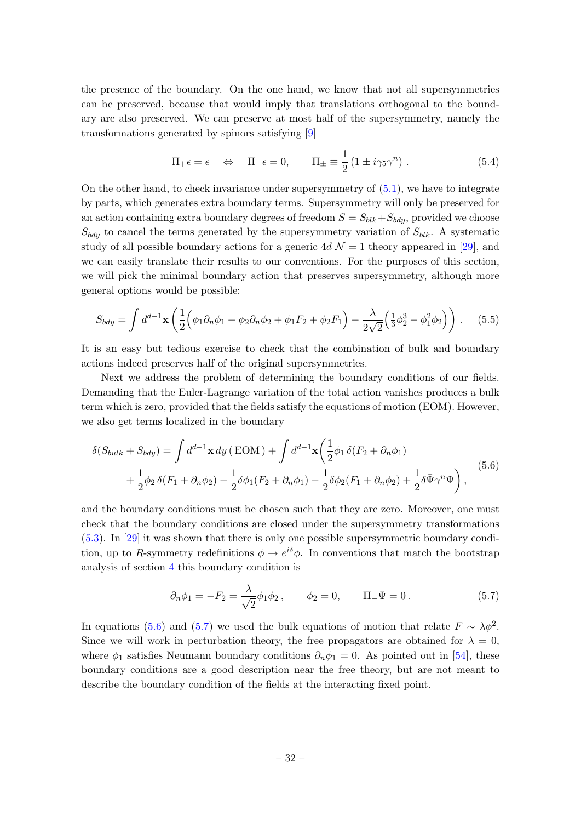the presence of the boundary. On the one hand, we know that not all supersymmetries can be preserved, because that would imply that translations orthogonal to the boundary are also preserved. We can preserve at most half of the supersymmetry, namely the transformations generated by spinors satisfying [\[9\]](#page-42-6)

$$
\Pi_{+} \epsilon = \epsilon \quad \Leftrightarrow \quad \Pi_{-} \epsilon = 0, \qquad \Pi_{\pm} \equiv \frac{1}{2} \left( 1 \pm i \gamma_5 \gamma^n \right). \tag{5.4}
$$

On the other hand, to check invariance under supersymmetry of  $(5.1)$ , we have to integrate by parts, which generates extra boundary terms. Supersymmetry will only be preserved for an action containing extra boundary degrees of freedom  $S = S_{blk} + S_{bdy}$ , provided we choose  $S_{bdy}$  to cancel the terms generated by the supersymmetry variation of  $S_{blk}$ . A systematic study of all possible boundary actions for a generic  $4d \mathcal{N} = 1$  theory appeared in [\[29\]](#page-43-16), and we can easily translate their results to our conventions. For the purposes of this section, we will pick the minimal boundary action that preserves supersymmetry, although more general options would be possible:

$$
S_{bdy} = \int d^{d-1}x \left( \frac{1}{2} \Big( \phi_1 \partial_n \phi_1 + \phi_2 \partial_n \phi_2 + \phi_1 F_2 + \phi_2 F_1 \Big) - \frac{\lambda}{2\sqrt{2}} \Big( \frac{1}{3} \phi_2^3 - \phi_1^2 \phi_2 \Big) \right) . \tag{5.5}
$$

It is an easy but tedious exercise to check that the combination of bulk and boundary actions indeed preserves half of the original supersymmetries.

Next we address the problem of determining the boundary conditions of our fields. Demanding that the Euler-Lagrange variation of the total action vanishes produces a bulk term which is zero, provided that the fields satisfy the equations of motion (EOM). However, we also get terms localized in the boundary

$$
\delta(S_{bulk} + S_{bdy}) = \int d^{d-1}x \, dy \, (\text{EOM}) + \int d^{d-1}x \left(\frac{1}{2}\phi_1 \, \delta(F_2 + \partial_n \phi_1) + \frac{1}{2}\phi_2 \, \delta(F_1 + \partial_n \phi_2) - \frac{1}{2}\delta\phi_1(F_2 + \partial_n \phi_1) - \frac{1}{2}\delta\phi_2(F_1 + \partial_n \phi_2) + \frac{1}{2}\delta\bar{\Psi}\gamma^n\Psi\right),\tag{5.6}
$$

and the boundary conditions must be chosen such that they are zero. Moreover, one must check that the boundary conditions are closed under the supersymmetry transformations [\(5.3\)](#page-31-4). In [\[29\]](#page-43-16) it was shown that there is only one possible supersymmetric boundary condition, up to R-symmetry redefinitions  $\phi \to e^{i\delta}\phi$ . In conventions that match the bootstrap analysis of section [4](#page-19-0) this boundary condition is

<span id="page-32-1"></span><span id="page-32-0"></span>
$$
\partial_n \phi_1 = -F_2 = \frac{\lambda}{\sqrt{2}} \phi_1 \phi_2, \qquad \phi_2 = 0, \qquad \Pi_- \Psi = 0.
$$
 (5.7)

In equations [\(5.6\)](#page-32-0) and [\(5.7\)](#page-32-1) we used the bulk equations of motion that relate  $F \sim \lambda \phi^2$ . Since we will work in perturbation theory, the free propagators are obtained for  $\lambda = 0$ , where  $\phi_1$  satisfies Neumann boundary conditions  $\partial_n \phi_1 = 0$ . As pointed out in [\[54\]](#page-45-2), these boundary conditions are a good description near the free theory, but are not meant to describe the boundary condition of the fields at the interacting fixed point.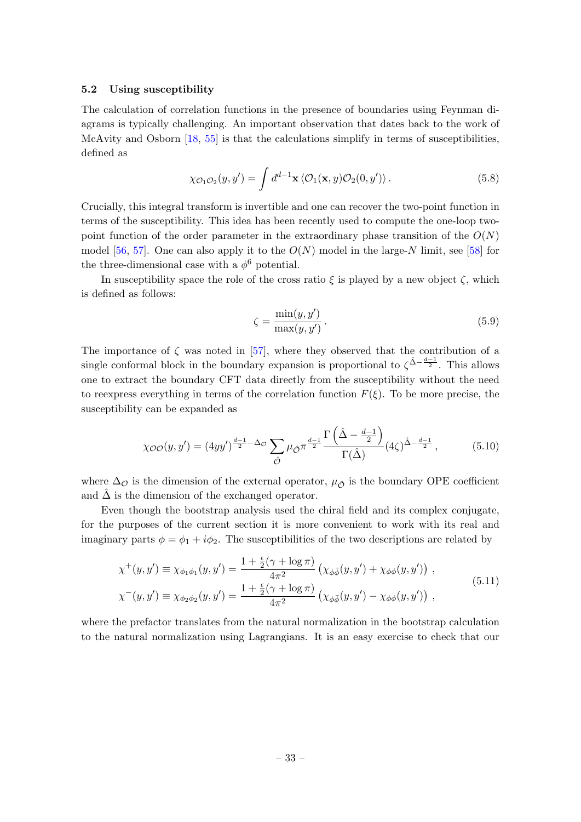## <span id="page-33-0"></span>5.2 Using susceptibility

The calculation of correlation functions in the presence of boundaries using Feynman diagrams is typically challenging. An important observation that dates back to the work of McAvity and Osborn [\[18,](#page-43-5) [55\]](#page-45-3) is that the calculations simplify in terms of susceptibilities, defined as

$$
\chi_{\mathcal{O}_1\mathcal{O}_2}(y,y') = \int d^{d-1}\mathbf{x} \langle \mathcal{O}_1(\mathbf{x},y)\mathcal{O}_2(0,y')\rangle.
$$
 (5.8)

Crucially, this integral transform is invertible and one can recover the two-point function in terms of the susceptibility. This idea has been recently used to compute the one-loop twopoint function of the order parameter in the extraordinary phase transition of the  $O(N)$ model [\[56,](#page-45-4) [57\]](#page-45-5). One can also apply it to the  $O(N)$  model in the large-N limit, see [\[58\]](#page-45-6) for the three-dimensional case with a  $\phi^6$  potential.

In susceptibility space the role of the cross ratio  $\xi$  is played by a new object  $\zeta$ , which is defined as follows:

<span id="page-33-1"></span>
$$
\zeta = \frac{\min(y, y')}{\max(y, y')} \,. \tag{5.9}
$$

The importance of  $\zeta$  was noted in [\[57\]](#page-45-5), where they observed that the contribution of a single conformal block in the boundary expansion is proportional to  $\zeta^{\hat{\Delta}-\frac{d-1}{2}}$ . This allows one to extract the boundary CFT data directly from the susceptibility without the need to reexpress everything in terms of the correlation function  $F(\xi)$ . To be more precise, the susceptibility can be expanded as

$$
\chi_{\mathcal{O}\mathcal{O}}(y, y') = (4yy')^{\frac{d-1}{2} - \Delta_{\mathcal{O}}} \sum_{\hat{\mathcal{O}}} \mu_{\hat{\mathcal{O}}} \pi^{\frac{d-1}{2}} \frac{\Gamma\left(\hat{\Delta} - \frac{d-1}{2}\right)}{\Gamma(\hat{\Delta})} (4\zeta)^{\hat{\Delta} - \frac{d-1}{2}}, \tag{5.10}
$$

where  $\Delta_{\mathcal{O}}$  is the dimension of the external operator,  $\mu_{\hat{\mathcal{O}}}$  is the boundary OPE coefficient and  $\Delta$  is the dimension of the exchanged operator.

Even though the bootstrap analysis used the chiral field and its complex conjugate, for the purposes of the current section it is more convenient to work with its real and imaginary parts  $\phi = \phi_1 + i\phi_2$ . The susceptibilities of the two descriptions are related by

$$
\chi^{+}(y, y') \equiv \chi_{\phi_1 \phi_1}(y, y') = \frac{1 + \frac{\epsilon}{2}(\gamma + \log \pi)}{4\pi^2} \left( \chi_{\phi\bar{\phi}}(y, y') + \chi_{\phi\phi}(y, y') \right),
$$
  
\n
$$
\chi^{-}(y, y') \equiv \chi_{\phi_2 \phi_2}(y, y') = \frac{1 + \frac{\epsilon}{2}(\gamma + \log \pi)}{4\pi^2} \left( \chi_{\phi\bar{\phi}}(y, y') - \chi_{\phi\phi}(y, y') \right),
$$
\n(5.11)

where the prefactor translates from the natural normalization in the bootstrap calculation to the natural normalization using Lagrangians. It is an easy exercise to check that our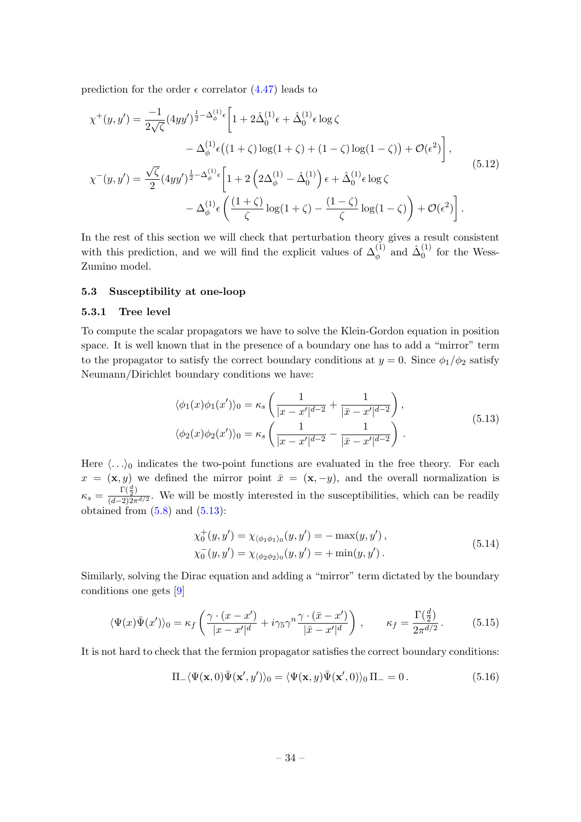prediction for the order  $\epsilon$  correlator [\(4.47\)](#page-29-3) leads to

$$
\chi^{+}(y, y') = \frac{-1}{2\sqrt{\zeta}} (4yy')^{\frac{1}{2} - \Delta_{\phi}^{(1)}} \epsilon \left[ 1 + 2\hat{\Delta}_{0}^{(1)} \epsilon + \hat{\Delta}_{0}^{(1)} \epsilon \log \zeta \n- \Delta_{\phi}^{(1)} \epsilon ((1 + \zeta) \log(1 + \zeta) + (1 - \zeta) \log(1 - \zeta)) + \mathcal{O}(\epsilon^{2}) \right],
$$
\n
$$
\chi^{-}(y, y') = \frac{\sqrt{\zeta}}{2} (4yy')^{\frac{1}{2} - \Delta_{\phi}^{(1)}} \epsilon \left[ 1 + 2 \left( 2\Delta_{\phi}^{(1)} - \hat{\Delta}_{0}^{(1)} \right) \epsilon + \hat{\Delta}_{0}^{(1)} \epsilon \log \zeta \n- \Delta_{\phi}^{(1)} \epsilon \left( \frac{(1 + \zeta)}{\zeta} \log(1 + \zeta) - \frac{(1 - \zeta)}{\zeta} \log(1 - \zeta) \right) + \mathcal{O}(\epsilon^{2}) \right].
$$
\n(5.12)

In the rest of this section we will check that perturbation theory gives a result consistent with this prediction, and we will find the explicit values of  $\Delta_{\phi}^{(1)}$  and  $\hat{\Delta}_{0}^{(1)}$  $_0^{(1)}$  for the Wess-Zumino model.

## <span id="page-34-0"></span>5.3 Susceptibility at one-loop

#### 5.3.1 Tree level

To compute the scalar propagators we have to solve the Klein-Gordon equation in position space. It is well known that in the presence of a boundary one has to add a "mirror" term to the propagator to satisfy the correct boundary conditions at  $y = 0$ . Since  $\phi_1/\phi_2$  satisfy Neumann/Dirichlet boundary conditions we have:

<span id="page-34-3"></span><span id="page-34-1"></span>
$$
\langle \phi_1(x)\phi_1(x')\rangle_0 = \kappa_s \left(\frac{1}{|x-x'|^{d-2}} + \frac{1}{|\bar{x}-x'|^{d-2}}\right),
$$
  

$$
\langle \phi_2(x)\phi_2(x')\rangle_0 = \kappa_s \left(\frac{1}{|x-x'|^{d-2}} - \frac{1}{|\bar{x}-x'|^{d-2}}\right).
$$
 (5.13)

Here  $\langle \ldots \rangle_0$  indicates the two-point functions are evaluated in the free theory. For each  $x = (\mathbf{x}, y)$  we defined the mirror point  $\bar{x} = (\mathbf{x}, -y)$ , and the overall normalization is  $\kappa_s = \frac{\Gamma(\frac{d}{2})}{(d-2)2\pi}$  $\frac{1}{(d-2)2\pi^{d/2}}$ . We will be mostly interested in the susceptibilities, which can be readily obtained from  $(5.8)$  and  $(5.13)$ :

<span id="page-34-2"></span>
$$
\chi_0^+(y, y') = \chi_{\langle \phi_1 \phi_1 \rangle_0}(y, y') = -\max(y, y'),\n\chi_0^-(y, y') = \chi_{\langle \phi_2 \phi_2 \rangle_0}(y, y') = +\min(y, y').
$$
\n(5.14)

Similarly, solving the Dirac equation and adding a "mirror" term dictated by the boundary conditions one gets [\[9\]](#page-42-6)

$$
\langle \Psi(x)\bar{\Psi}(x')\rangle_0 = \kappa_f \left(\frac{\gamma \cdot (x - x')}{|x - x'|^d} + i\gamma_5 \gamma^n \frac{\gamma \cdot (\bar{x} - x')}{|\bar{x} - x'|^d}\right), \qquad \kappa_f = \frac{\Gamma(\frac{d}{2})}{2\pi^{d/2}}.
$$
 (5.15)

It is not hard to check that the fermion propagator satisfies the correct boundary conditions:

$$
\Pi_{-}\langle\Psi(\mathbf{x},0)\overline{\Psi}(\mathbf{x}',y')\rangle_{0} = \langle\Psi(\mathbf{x},y)\overline{\Psi}(\mathbf{x}',0)\rangle_{0}\,\Pi_{-} = 0.\tag{5.16}
$$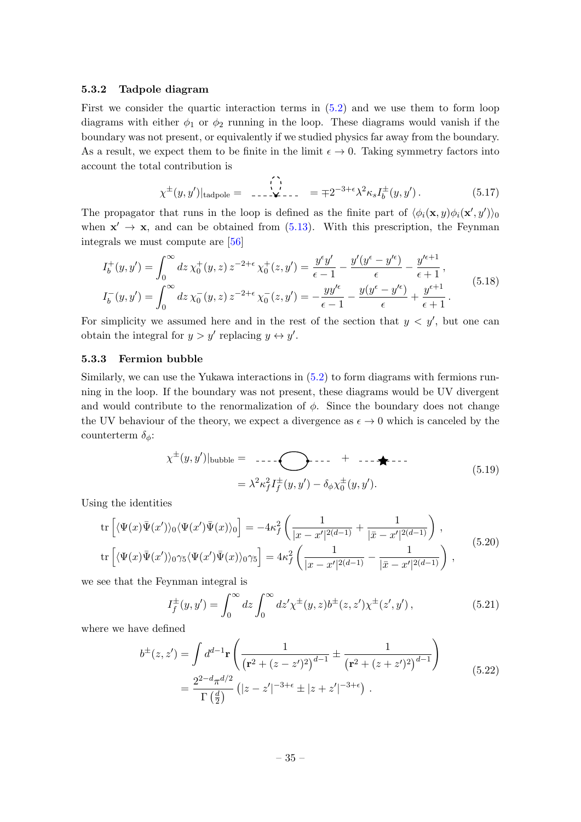## 5.3.2 Tadpole diagram

First we consider the quartic interaction terms in [\(5.2\)](#page-31-5) and we use them to form loop diagrams with either  $\phi_1$  or  $\phi_2$  running in the loop. These diagrams would vanish if the boundary was not present, or equivalently if we studied physics far away from the boundary. As a result, we expect them to be finite in the limit  $\epsilon \to 0$ . Taking symmetry factors into account the total contribution is

<span id="page-35-0"></span>
$$
\chi^{\pm}(y, y')|_{\text{tadpole}} = \qquad \qquad \sum_{\lambda=-\infty}^{\binom{1}{2}} \qquad \qquad = \mp 2^{-3+\epsilon} \lambda^2 \kappa_s I_b^{\pm}(y, y') \,. \tag{5.17}
$$

The propagator that runs in the loop is defined as the finite part of  $\langle \phi_i(\mathbf{x}, y) \phi_i(\mathbf{x}', y') \rangle_0$ when  $x' \rightarrow x$ , and can be obtained from [\(5.13\)](#page-34-1). With this prescription, the Feynman integrals we must compute are [\[56\]](#page-45-4)

$$
I_b^+(y, y') = \int_0^\infty dz \,\chi_0^+(y, z) \, z^{-2+\epsilon} \,\chi_0^+(z, y') = \frac{y^{\epsilon}y'}{\epsilon - 1} - \frac{y'(y^{\epsilon} - y'^{\epsilon})}{\epsilon} - \frac{y'^{\epsilon+1}}{\epsilon + 1},
$$
\n
$$
I_b^-(y, y') = \int_0^\infty dz \,\chi_0^-(y, z) \, z^{-2+\epsilon} \,\chi_0^-(z, y') = -\frac{y y'^{\epsilon}}{\epsilon - 1} - \frac{y(y^{\epsilon} - y'^{\epsilon})}{\epsilon} + \frac{y^{\epsilon+1}}{\epsilon + 1}.
$$
\n(5.18)

For simplicity we assumed here and in the rest of the section that  $y < y'$ , but one can obtain the integral for  $y > y'$  replacing  $y \leftrightarrow y'$ .

## 5.3.3 Fermion bubble

Similarly, we can use the Yukawa interactions in [\(5.2\)](#page-31-5) to form diagrams with fermions running in the loop. If the boundary was not present, these diagrams would be UV divergent and would contribute to the renormalization of  $\phi$ . Since the boundary does not change the UV behaviour of the theory, we expect a divergence as  $\epsilon \to 0$  which is canceled by the counterterm  $\delta_{\phi}$ :

$$
\chi^{\pm}(y, y')|_{\text{bubble}} = \dots - \bigotimes_{\lambda^2 \kappa_f^2 I_f^{\pm}(y, y') - \delta_{\phi} \chi_0^{\pm}(y, y').}
$$
\n(5.19)

Using the identities

$$
\operatorname{tr}\left[\langle\Psi(x)\bar{\Psi}(x')\rangle_0\langle\Psi(x')\bar{\Psi}(x)\rangle_0\right] = -4\kappa_f^2 \left(\frac{1}{|x-x'|^{2(d-1)}} + \frac{1}{|\bar{x}-x'|^{2(d-1)}}\right),
$$
  

$$
\operatorname{tr}\left[\langle\Psi(x)\bar{\Psi}(x')\rangle_0\gamma_5\langle\Psi(x')\bar{\Psi}(x)\rangle_0\gamma_5\right] = 4\kappa_f^2 \left(\frac{1}{|x-x'|^{2(d-1)}} - \frac{1}{|\bar{x}-x'|^{2(d-1)}}\right),
$$
(5.20)

we see that the Feynman integral is

$$
I_f^{\pm}(y, y') = \int_0^{\infty} dz \int_0^{\infty} dz' \chi^{\pm}(y, z) b^{\pm}(z, z') \chi^{\pm}(z', y'), \qquad (5.21)
$$

where we have defined

$$
b^{\pm}(z, z') = \int d^{d-1} \mathbf{r} \left( \frac{1}{(\mathbf{r}^2 + (z - z')^2)^{d-1}} \pm \frac{1}{(\mathbf{r}^2 + (z + z')^2)^{d-1}} \right)
$$
  
= 
$$
\frac{2^{2-d} \pi^{d/2}}{\Gamma(\frac{d}{2})} \left( |z - z'|^{-3 + \epsilon} \pm |z + z'|^{-3 + \epsilon} \right).
$$
 (5.22)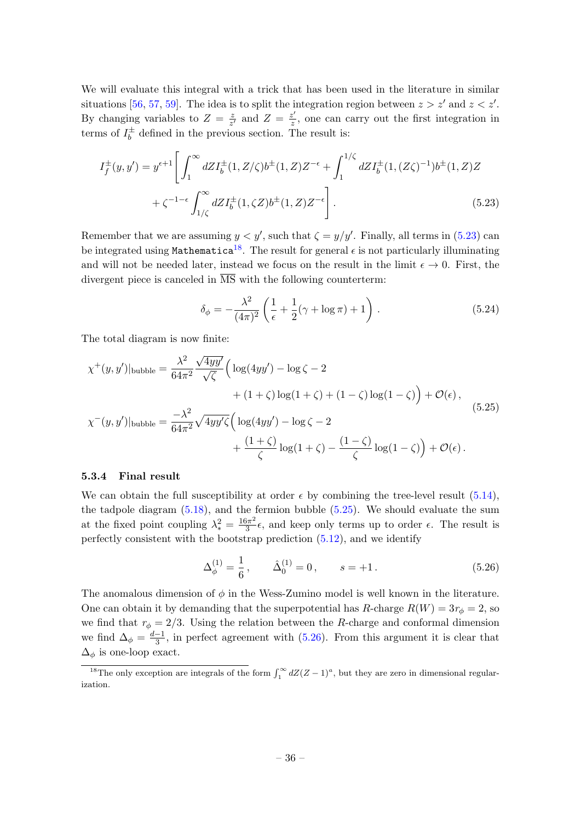We will evaluate this integral with a trick that has been used in the literature in similar situations [\[56,](#page-45-4) [57,](#page-45-5) [59\]](#page-45-7). The idea is to split the integration region between  $z > z'$  and  $z < z'$ . By changing variables to  $Z = \frac{z}{z}$  $\frac{z}{z'}$  and  $Z = \frac{z'}{z}$  $\frac{z'}{z}$ , one can carry out the first integration in terms of  $I_h^{\pm}$  $\bar{b}$  defined in the previous section. The result is:

$$
I_f^{\pm}(y, y') = y^{\epsilon+1} \left[ \int_1^{\infty} dZ I_b^{\pm}(1, Z/\zeta) b^{\pm}(1, Z) Z^{-\epsilon} + \int_1^{1/\zeta} dZ I_b^{\pm}(1, (Z\zeta)^{-1}) b^{\pm}(1, Z) Z \right. \\
\left. + \zeta^{-1-\epsilon} \int_{1/\zeta}^{\infty} dZ I_b^{\pm}(1, \zeta Z) b^{\pm}(1, Z) Z^{-\epsilon} \right].
$$
\n(5.23)

Remember that we are assuming  $y < y'$ , such that  $\zeta = y/y'$ . Finally, all terms in [\(5.23\)](#page-36-1) can be integrated using Mathematica<sup>[18](#page-36-2)</sup>. The result for general  $\epsilon$  is not particularly illuminating and will not be needed later, instead we focus on the result in the limit  $\epsilon \to 0$ . First, the divergent piece is canceled in  $\overline{\text{MS}}$  with the following counterterm:

<span id="page-36-3"></span><span id="page-36-1"></span>
$$
\delta_{\phi} = -\frac{\lambda^2}{(4\pi)^2} \left( \frac{1}{\epsilon} + \frac{1}{2} (\gamma + \log \pi) + 1 \right) . \tag{5.24}
$$

The total diagram is now finite:

$$
\chi^{+}(y, y')|_{\text{bubble}} = \frac{\lambda^{2}}{64\pi^{2}} \frac{\sqrt{4yy'}}{\sqrt{\zeta}} \Big( \log(4yy') - \log \zeta - 2 \n+ (1 + \zeta) \log(1 + \zeta) + (1 - \zeta) \log(1 - \zeta) \Big) + \mathcal{O}(\epsilon), \n\chi^{-}(y, y')|_{\text{bubble}} = \frac{-\lambda^{2}}{64\pi^{2}} \sqrt{4yy'\zeta} \Big( \log(4yy') - \log \zeta - 2 \n+ \frac{(1 + \zeta)}{\zeta} \log(1 + \zeta) - \frac{(1 - \zeta)}{\zeta} \log(1 - \zeta) \Big) + \mathcal{O}(\epsilon).
$$
\n(5.25)

#### <span id="page-36-0"></span>5.3.4 Final result

We can obtain the full susceptibility at order  $\epsilon$  by combining the tree-level result [\(5.14\)](#page-34-2), the tadpole diagram [\(5.18\)](#page-35-0), and the fermion bubble [\(5.25\)](#page-36-3). We should evaluate the sum at the fixed point coupling  $\lambda_*^2 = \frac{16\pi^2}{3}$  $\frac{3\pi^2}{3}\epsilon$ , and keep only terms up to order  $\epsilon$ . The result is perfectly consistent with the bootstrap prediction [\(5.12\)](#page-34-3), and we identify

<span id="page-36-4"></span>
$$
\Delta_{\phi}^{(1)} = \frac{1}{6}, \qquad \hat{\Delta}_{0}^{(1)} = 0, \qquad s = +1. \tag{5.26}
$$

The anomalous dimension of  $\phi$  in the Wess-Zumino model is well known in the literature. One can obtain it by demanding that the superpotential has R-charge  $R(W) = 3r_{\phi} = 2$ , so we find that  $r_{\phi} = 2/3$ . Using the relation between the R-charge and conformal dimension we find  $\Delta_{\phi} = \frac{d-1}{3}$  $\frac{-1}{3}$ , in perfect agreement with  $(5.26)$ . From this argument it is clear that  $\Delta_{\phi}$  is one-loop exact.

<span id="page-36-2"></span><sup>&</sup>lt;sup>18</sup>The only exception are integrals of the form  $\int_1^{\infty} dZ(Z-1)^a$ , but they are zero in dimensional regularization.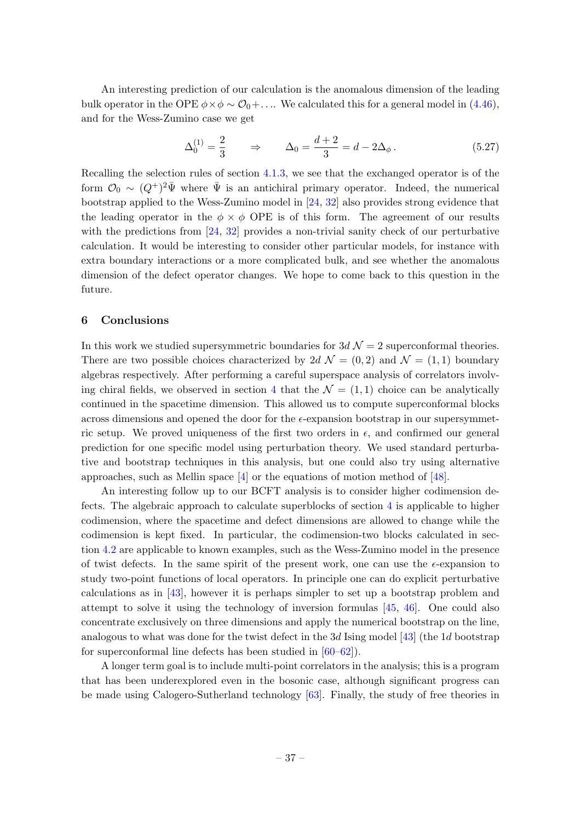An interesting prediction of our calculation is the anomalous dimension of the leading bulk operator in the OPE  $\phi \times \phi \sim \mathcal{O}_0 + ...$  We calculated this for a general model in [\(4.46\)](#page-29-4), and for the Wess-Zumino case we get

$$
\Delta_0^{(1)} = \frac{2}{3} \qquad \Rightarrow \qquad \Delta_0 = \frac{d+2}{3} = d - 2\Delta_\phi \,. \tag{5.27}
$$

Recalling the selection rules of section [4.1.3,](#page-22-0) we see that the exchanged operator is of the form  $\mathcal{O}_0 \sim (Q^+)^2 \bar{\Psi}$  where  $\bar{\Psi}$  is an antichiral primary operator. Indeed, the numerical bootstrap applied to the Wess-Zumino model in [\[24,](#page-43-11) [32\]](#page-44-1) also provides strong evidence that the leading operator in the  $\phi \times \phi$  OPE is of this form. The agreement of our results with the predictions from [\[24,](#page-43-11) [32\]](#page-44-1) provides a non-trivial sanity check of our perturbative calculation. It would be interesting to consider other particular models, for instance with extra boundary interactions or a more complicated bulk, and see whether the anomalous dimension of the defect operator changes. We hope to come back to this question in the future.

### <span id="page-37-0"></span>6 Conclusions

In this work we studied supersymmetric boundaries for  $3d \mathcal{N} = 2$  superconformal theories. There are two possible choices characterized by 2d  $\mathcal{N} = (0, 2)$  and  $\mathcal{N} = (1, 1)$  boundary algebras respectively. After performing a careful superspace analysis of correlators involv-ing chiral fields, we observed in section [4](#page-19-0) that the  $\mathcal{N} = (1, 1)$  choice can be analytically continued in the spacetime dimension. This allowed us to compute superconformal blocks across dimensions and opened the door for the  $\epsilon$ -expansion bootstrap in our supersymmetric setup. We proved uniqueness of the first two orders in  $\epsilon$ , and confirmed our general prediction for one specific model using perturbation theory. We used standard perturbative and bootstrap techniques in this analysis, but one could also try using alternative approaches, such as Mellin space  $\left[4\right]$  or the equations of motion method of  $\left[48\right]$ .

An interesting follow up to our BCFT analysis is to consider higher codimension defects. The algebraic approach to calculate superblocks of section [4](#page-19-0) is applicable to higher codimension, where the spacetime and defect dimensions are allowed to change while the codimension is kept fixed. In particular, the codimension-two blocks calculated in section [4.2](#page-24-0) are applicable to known examples, such as the Wess-Zumino model in the presence of twist defects. In the same spirit of the present work, one can use the  $\epsilon$ -expansion to study two-point functions of local operators. In principle one can do explicit perturbative calculations as in [\[43\]](#page-44-12), however it is perhaps simpler to set up a bootstrap problem and attempt to solve it using the technology of inversion formulas  $[45, 46]$  $[45, 46]$ . One could also concentrate exclusively on three dimensions and apply the numerical bootstrap on the line, analogous to what was done for the twist defect in the 3d Ising model  $[43]$  (the 1d bootstrap for superconformal line defects has been studied in [\[60–](#page-45-8)[62\]](#page-45-9)).

A longer term goal is to include multi-point correlators in the analysis; this is a program that has been underexplored even in the bosonic case, although significant progress can be made using Calogero-Sutherland technology [\[63\]](#page-45-10). Finally, the study of free theories in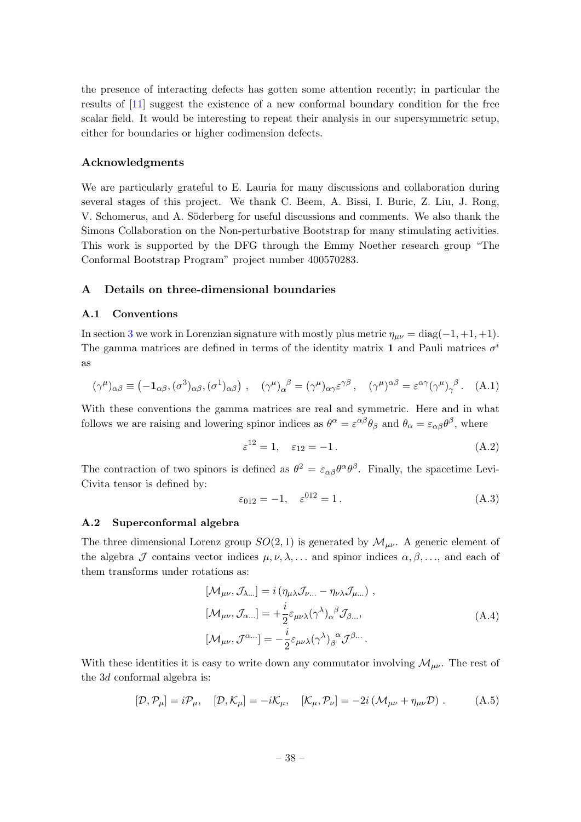the presence of interacting defects has gotten some attention recently; in particular the results of [\[11\]](#page-43-0) suggest the existence of a new conformal boundary condition for the free scalar field. It would be interesting to repeat their analysis in our supersymmetric setup, either for boundaries or higher codimension defects.

## Acknowledgments

We are particularly grateful to E. Lauria for many discussions and collaboration during several stages of this project. We thank C. Beem, A. Bissi, I. Buric, Z. Liu, J. Rong, V. Schomerus, and A. Söderberg for useful discussions and comments. We also thank the Simons Collaboration on the Non-perturbative Bootstrap for many stimulating activities. This work is supported by the DFG through the Emmy Noether research group "The Conformal Bootstrap Program" project number 400570283.

## <span id="page-38-0"></span>A Details on three-dimensional boundaries

#### <span id="page-38-1"></span>A.1 Conventions

In section [3](#page-7-0) we work in Lorenzian signature with mostly plus metric  $\eta_{\mu\nu} = \text{diag}(-1, +1, +1)$ . The gamma matrices are defined in terms of the identity matrix 1 and Pauli matrices  $\sigma^i$ as

$$
(\gamma^{\mu})_{\alpha\beta} \equiv (-\mathbf{1}_{\alpha\beta}, (\sigma^3)_{\alpha\beta}, (\sigma^1)_{\alpha\beta}), \quad (\gamma^{\mu})_{\alpha}{}^{\beta} = (\gamma^{\mu})_{\alpha\gamma} \varepsilon^{\gamma\beta}, \quad (\gamma^{\mu})^{\alpha\beta} = \varepsilon^{\alpha\gamma} (\gamma^{\mu})_{\gamma}{}^{\beta}. \quad (A.1)
$$

With these conventions the gamma matrices are real and symmetric. Here and in what follows we are raising and lowering spinor indices as  $\theta^{\alpha} = \varepsilon^{\alpha\beta} \theta_{\beta}$  and  $\theta_{\alpha} = \varepsilon_{\alpha\beta} \theta^{\beta}$ , where

$$
\varepsilon^{12} = 1, \quad \varepsilon_{12} = -1. \tag{A.2}
$$

The contraction of two spinors is defined as  $\theta^2 = \epsilon_{\alpha\beta}\theta^{\alpha}\theta^{\beta}$ . Finally, the spacetime Levi-Civita tensor is defined by:

$$
\varepsilon_{012} = -1, \quad \varepsilon^{012} = 1. \tag{A.3}
$$

#### <span id="page-38-2"></span>A.2 Superconformal algebra

The three dimensional Lorenz group  $SO(2,1)$  is generated by  $\mathcal{M}_{\mu\nu}$ . A generic element of the algebra  $\mathcal J$  contains vector indices  $\mu, \nu, \lambda, \ldots$  and spinor indices  $\alpha, \beta, \ldots$ , and each of them transforms under rotations as:

$$
[\mathcal{M}_{\mu\nu}, \mathcal{J}_{\lambda...}] = i (\eta_{\mu\lambda} \mathcal{J}_{\nu...} - \eta_{\nu\lambda} \mathcal{J}_{\mu...}) ,
$$
  
\n
$$
[\mathcal{M}_{\mu\nu}, \mathcal{J}_{\alpha...}] = +\frac{i}{2} \varepsilon_{\mu\nu\lambda} (\gamma^{\lambda})_{\alpha}{}^{\beta} \mathcal{J}_{\beta...},
$$
  
\n
$$
[\mathcal{M}_{\mu\nu}, \mathcal{J}^{\alpha...}] = -\frac{i}{2} \varepsilon_{\mu\nu\lambda} (\gamma^{\lambda})_{\beta}{}^{\alpha} \mathcal{J}^{\beta...}.
$$
\n(A.4)

With these identities it is easy to write down any commutator involving  $\mathcal{M}_{\mu\nu}$ . The rest of the 3d conformal algebra is:

$$
[\mathcal{D}, \mathcal{P}_{\mu}] = i\mathcal{P}_{\mu}, \quad [\mathcal{D}, \mathcal{K}_{\mu}] = -i\mathcal{K}_{\mu}, \quad [\mathcal{K}_{\mu}, \mathcal{P}_{\nu}] = -2i\left(\mathcal{M}_{\mu\nu} + \eta_{\mu\nu}\mathcal{D}\right). \tag{A.5}
$$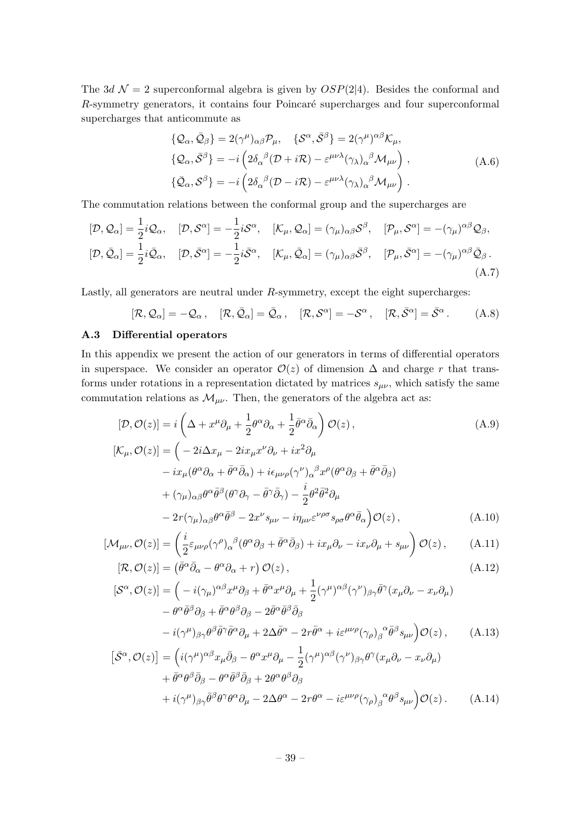The 3d  $\mathcal{N} = 2$  superconformal algebra is given by  $OSP(2|4)$ . Besides the conformal and  $R$ -symmetry generators, it contains four Poincaré supercharges and four superconformal supercharges that anticommute as

$$
\{\mathcal{Q}_{\alpha}, \bar{\mathcal{Q}}_{\beta}\} = 2(\gamma^{\mu})_{\alpha\beta} \mathcal{P}_{\mu}, \quad \{\mathcal{S}^{\alpha}, \bar{\mathcal{S}}^{\beta}\} = 2(\gamma^{\mu})^{\alpha\beta} \mathcal{K}_{\mu}, \{\mathcal{Q}_{\alpha}, \bar{\mathcal{S}}^{\beta}\} = -i\left(2\delta_{\alpha}{}^{\beta} (\mathcal{D} + i\mathcal{R}) - \varepsilon^{\mu\nu\lambda} (\gamma_{\lambda})_{\alpha}{}^{\beta} \mathcal{M}_{\mu\nu}\right), \{\bar{\mathcal{Q}}_{\alpha}, \mathcal{S}^{\beta}\} = -i\left(2\delta_{\alpha}{}^{\beta} (\mathcal{D} - i\mathcal{R}) - \varepsilon^{\mu\nu\lambda} (\gamma_{\lambda})_{\alpha}{}^{\beta} \mathcal{M}_{\mu\nu}\right).
$$
\n(A.6)

The commutation relations between the conformal group and the supercharges are

$$
[\mathcal{D}, \mathcal{Q}_{\alpha}] = \frac{1}{2} i \mathcal{Q}_{\alpha}, \quad [\mathcal{D}, \mathcal{S}^{\alpha}] = -\frac{1}{2} i \mathcal{S}^{\alpha}, \quad [\mathcal{K}_{\mu}, \mathcal{Q}_{\alpha}] = (\gamma_{\mu})_{\alpha\beta} \mathcal{S}^{\beta}, \quad [\mathcal{P}_{\mu}, \mathcal{S}^{\alpha}] = -(\gamma_{\mu})^{\alpha\beta} \mathcal{Q}_{\beta}, [\mathcal{D}, \bar{\mathcal{Q}}_{\alpha}] = \frac{1}{2} i \bar{\mathcal{Q}}_{\alpha}, \quad [\mathcal{D}, \bar{\mathcal{S}}^{\alpha}] = -\frac{1}{2} i \bar{\mathcal{S}}^{\alpha}, \quad [\mathcal{K}_{\mu}, \bar{\mathcal{Q}}_{\alpha}] = (\gamma_{\mu})_{\alpha\beta} \bar{\mathcal{S}}^{\beta}, \quad [\mathcal{P}_{\mu}, \bar{\mathcal{S}}^{\alpha}] = -(\gamma_{\mu})^{\alpha\beta} \bar{\mathcal{Q}}_{\beta}.
$$
\n(A.7)

Lastly, all generators are neutral under  $R$ -symmetry, except the eight supercharges:

$$
[\mathcal{R}, \mathcal{Q}_{\alpha}] = -\mathcal{Q}_{\alpha}, \quad [\mathcal{R}, \bar{\mathcal{Q}}_{\alpha}] = \bar{\mathcal{Q}}_{\alpha}, \quad [\mathcal{R}, \mathcal{S}^{\alpha}] = -\mathcal{S}^{\alpha}, \quad [\mathcal{R}, \bar{\mathcal{S}}^{\alpha}] = \bar{\mathcal{S}}^{\alpha}.
$$
 (A.8)

## <span id="page-39-0"></span>A.3 Differential operators

In this appendix we present the action of our generators in terms of differential operators in superspace. We consider an operator  $\mathcal{O}(z)$  of dimension  $\Delta$  and charge r that transforms under rotations in a representation dictated by matrices  $s_{\mu\nu}$ , which satisfy the same commutation relations as  $\mathcal{M}_{\mu\nu}$ . Then, the generators of the algebra act as:

$$
[\mathcal{D}, \mathcal{O}(z)] = i \left( \Delta + x^{\mu} \partial_{\mu} + \frac{1}{2} \theta^{\alpha} \partial_{\alpha} + \frac{1}{2} \bar{\theta}^{\alpha} \bar{\partial}_{\alpha} \right) \mathcal{O}(z) ,
$$
\n(A.9)

$$
[\mathcal{K}_{\mu}, \mathcal{O}(z)] = \left( -2i\Delta x_{\mu} - 2ix_{\mu}x^{\nu}\partial_{\nu} + ix^{2}\partial_{\mu} - ix_{\mu}(\theta^{\alpha}\partial_{\alpha} + \bar{\theta}^{\alpha}\bar{\partial}_{\alpha}) + i\epsilon_{\mu\nu\rho}(\gamma^{\nu})_{\alpha}{}^{\beta}x^{\rho}(\theta^{\alpha}\partial_{\beta} + \bar{\theta}^{\alpha}\bar{\partial}_{\beta}) + (\gamma_{\mu})_{\alpha\beta}\theta^{\alpha}\bar{\theta}^{\beta}(\theta^{\gamma}\partial_{\gamma} - \bar{\theta}^{\gamma}\bar{\partial}_{\gamma}) - \frac{i}{2}\theta^{2}\bar{\theta}^{2}\partial_{\mu} - 2r(\gamma_{\mu})_{\alpha\beta}\theta^{\alpha}\bar{\theta}^{\beta} - 2x^{\nu}s_{\mu\nu} - i\eta_{\mu\nu}\epsilon^{\nu\rho\sigma}s_{\rho\sigma}\theta^{\alpha}\bar{\theta}_{\alpha}\right) \mathcal{O}(z),
$$
\n(A.10)

$$
[\mathcal{M}_{\mu\nu}, \mathcal{O}(z)] = \left(\frac{i}{2}\varepsilon_{\mu\nu\rho}(\gamma^{\rho})_{\alpha}{}^{\beta}(\theta^{\alpha}\partial_{\beta} + \bar{\theta}^{\alpha}\bar{\partial}_{\beta}) + ix_{\mu}\partial_{\nu} - ix_{\nu}\partial_{\mu} + s_{\mu\nu}\right)\mathcal{O}(z)\,,\tag{A.11}
$$

$$
[\mathcal{R}, \mathcal{O}(z)] = (\bar{\theta}^{\alpha}\bar{\partial}_{\alpha} - \theta^{\alpha}\partial_{\alpha} + r) \mathcal{O}(z), \qquad (A.12)
$$

$$
[\mathcal{S}^{\alpha}, \mathcal{O}(z)] = \left( -i(\gamma_{\mu})^{\alpha\beta} x^{\mu} \partial_{\beta} + \bar{\theta}^{\alpha} x^{\mu} \partial_{\mu} + \frac{1}{2} (\gamma^{\mu})^{\alpha\beta} (\gamma^{\nu})_{\beta\gamma} \bar{\theta}^{\gamma} (x_{\mu} \partial_{\nu} - x_{\nu} \partial_{\mu}) - \theta^{\alpha} \bar{\theta}^{\beta} \partial_{\beta} + \bar{\theta}^{\alpha} \theta^{\beta} \partial_{\beta} - 2 \bar{\theta}^{\alpha} \bar{\theta}^{\beta} \bar{\partial}_{\beta} - \bar{\theta}^{\alpha} \bar{\theta}^{\beta} \bar{\theta}^{\gamma} \bar{\theta}^{\alpha} - 2r \bar{\theta}^{\alpha} + i \varepsilon^{\mu \nu \rho} (\gamma_{\rho})_{\beta}^{\alpha} \bar{\theta}^{\beta} s_{\mu \nu} \right) \mathcal{O}(z), \qquad (A.13)
$$

$$
\begin{split}\n\left[\bar{\mathcal{S}}^{\alpha},\mathcal{O}(z)\right] &= \left(i(\gamma^{\mu})^{\alpha\beta}x_{\mu}\bar{\partial}_{\beta} - \theta^{\alpha}x^{\mu}\partial_{\mu} - \frac{1}{2}(\gamma^{\mu})^{\alpha\beta}(\gamma^{\nu})_{\beta\gamma}\theta^{\gamma}(x_{\mu}\partial_{\nu} - x_{\nu}\partial_{\mu})\right. \\
&\quad \left. + \bar{\theta}^{\alpha}\theta^{\beta}\bar{\partial}_{\beta} - \theta^{\alpha}\bar{\theta}^{\beta}\bar{\partial}_{\beta} + 2\theta^{\alpha}\theta^{\beta}\partial_{\beta} + 2\theta^{\alpha}\theta^{\beta}\partial_{\beta}\right. \\
&\quad \left. + i(\gamma^{\mu})_{\beta\gamma}\bar{\theta}^{\beta}\theta^{\gamma}\theta^{\alpha}\partial_{\mu} - 2\Delta\theta^{\alpha} - 2r\theta^{\alpha} - i\epsilon^{\mu\nu\rho}(\gamma_{\rho})_{\beta}^{\ \alpha}\theta^{\beta}s_{\mu\nu}\right)\mathcal{O}(z) \,.\n\end{split} \tag{A.14}
$$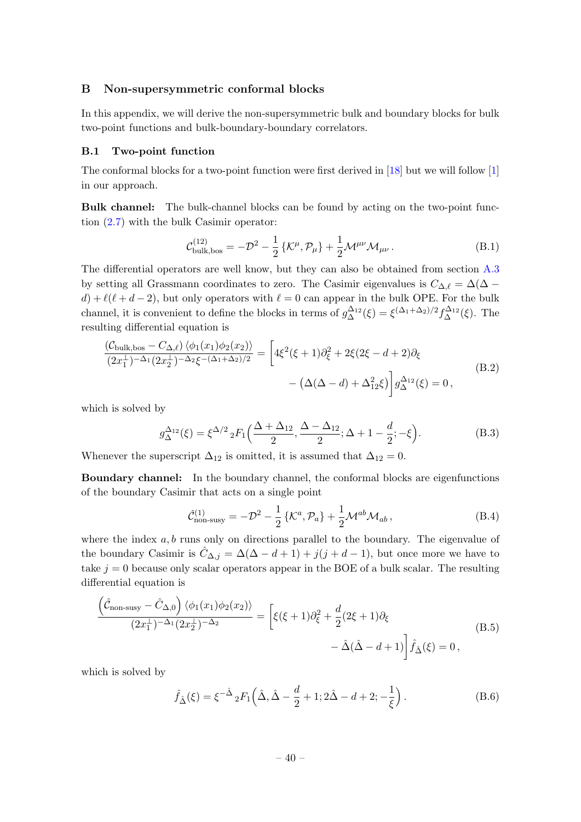## <span id="page-40-0"></span>B Non-supersymmetric conformal blocks

In this appendix, we will derive the non-supersymmetric bulk and boundary blocks for bulk two-point functions and bulk-boundary-boundary correlators.

#### <span id="page-40-1"></span>B.1 Two-point function

The conformal blocks for a two-point function were first derived in [\[18\]](#page-43-5) but we will follow [\[1\]](#page-42-0) in our approach.

Bulk channel: The bulk-channel blocks can be found by acting on the two-point function [\(2.7\)](#page-6-1) with the bulk Casimir operator:

$$
\mathcal{C}_{\text{bulk,bos}}^{(12)} = -\mathcal{D}^2 - \frac{1}{2} \{ \mathcal{K}^{\mu}, \mathcal{P}_{\mu} \} + \frac{1}{2} \mathcal{M}^{\mu\nu} \mathcal{M}_{\mu\nu} \,. \tag{B.1}
$$

The differential operators are well know, but they can also be obtained from section [A.3](#page-39-0) by setting all Grassmann coordinates to zero. The Casimir eigenvalues is  $C_{\Delta,\ell} = \Delta(\Delta$  $d) + \ell(\ell + d - 2)$ , but only operators with  $\ell = 0$  can appear in the bulk OPE. For the bulk channel, it is convenient to define the blocks in terms of  $g_{\Delta}^{\Delta_{12}}(\xi) = \xi^{(\Delta_1 + \Delta_2)/2} f_{\Delta}^{\Delta_{12}}(\xi)$ . The resulting differential equation is

$$
\frac{(\mathcal{C}_{\text{bulk},\text{bos}} - C_{\Delta,\ell}) \langle \phi_1(x_1) \phi_2(x_2) \rangle}{(2x_1^{\perp})^{-\Delta_1} (2x_2^{\perp})^{-\Delta_2} \xi^{-(\Delta_1 + \Delta_2)/2}} = \left[ 4\xi^2(\xi + 1)\partial_{\xi}^2 + 2\xi(2\xi - d + 2)\partial_{\xi} - (\Delta(\Delta - d) + \Delta_{12}^2 \xi) \right] g_{\Delta}^{\Delta_{12}}(\xi) = 0,
$$
\n(B.2)

which is solved by

$$
g_{\Delta}^{\Delta_{12}}(\xi) = \xi^{\Delta/2} {}_{2}F_{1}\left(\frac{\Delta+\Delta_{12}}{2}, \frac{\Delta-\Delta_{12}}{2}; \Delta+1-\frac{d}{2}; -\xi\right).
$$
 (B.3)

Whenever the superscript  $\Delta_{12}$  is omitted, it is assumed that  $\Delta_{12} = 0$ .

Boundary channel: In the boundary channel, the conformal blocks are eigenfunctions of the boundary Casimir that acts on a single point

<span id="page-40-3"></span><span id="page-40-2"></span>
$$
\hat{\mathcal{C}}_{\text{non-susy}}^{(1)} = -\mathcal{D}^2 - \frac{1}{2} \left\{ \mathcal{K}^a, \mathcal{P}_a \right\} + \frac{1}{2} \mathcal{M}^{ab} \mathcal{M}_{ab} ,\qquad (B.4)
$$

where the index  $a, b$  runs only on directions parallel to the boundary. The eigenvalue of the boundary Casimir is  $\hat{C}_{\Delta,i} = \Delta(\Delta - d + 1) + j(j + d - 1)$ , but once more we have to take  $j = 0$  because only scalar operators appear in the BOE of a bulk scalar. The resulting differential equation is

$$
\frac{\left(\hat{\mathcal{C}}_{\text{non-susy}} - \hat{\mathcal{C}}_{\Delta,0}\right) \langle \phi_1(x_1)\phi_2(x_2) \rangle}{(2x_1^{\perp})^{-\Delta_1}(2x_2^{\perp})^{-\Delta_2}} = \left[\xi(\xi+1)\partial_{\xi}^2 + \frac{d}{2}(2\xi+1)\partial_{\xi} - \hat{\Delta}(\hat{\Delta}-d+1)\right]\hat{f}_{\hat{\Delta}}(\xi) = 0,
$$
\n(B.5)

which is solved by

$$
\hat{f}_{\hat{\Delta}}(\xi) = \xi^{-\hat{\Delta}} {}_2F_1\left(\hat{\Delta}, \hat{\Delta} - \frac{d}{2} + 1; 2\hat{\Delta} - d + 2; -\frac{1}{\xi}\right). \tag{B.6}
$$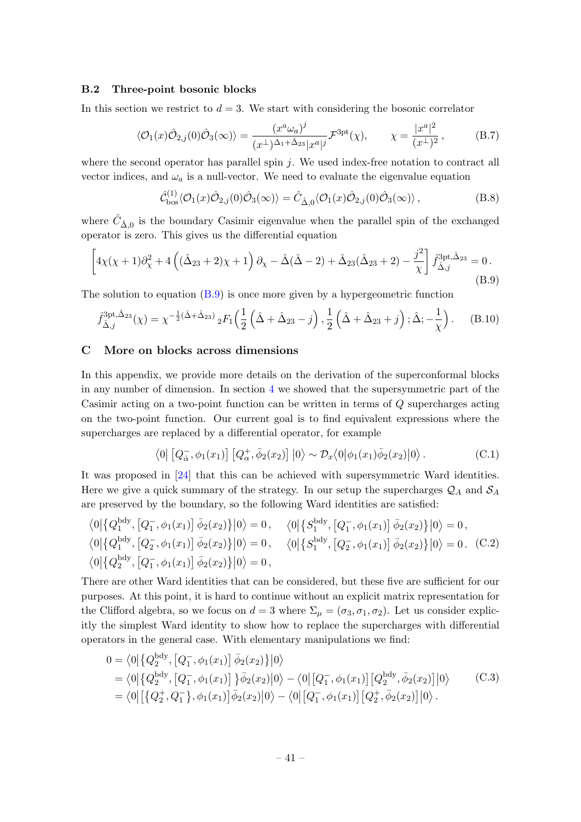## <span id="page-41-0"></span>B.2 Three-point bosonic blocks

In this section we restrict to  $d = 3$ . We start with considering the bosonic correlator

$$
\langle \mathcal{O}_1(x)\hat{\mathcal{O}}_{2,j}(0)\hat{\mathcal{O}}_3(\infty)\rangle = \frac{(x^a\omega_a)^j}{(x^\perp)^{\Delta_1+\hat{\Delta}_{23}}|x^a|^j} \mathcal{F}^{3pt}(\chi), \qquad \chi = \frac{|x^a|^2}{(x^\perp)^2},\tag{B.7}
$$

where the second operator has parallel spin  $j$ . We used index-free notation to contract all vector indices, and  $\omega_a$  is a null-vector. We need to evaluate the eigenvalue equation

$$
\hat{\mathcal{C}}_{\text{bos}}^{(1)} \langle \mathcal{O}_1(x) \hat{\mathcal{O}}_{2,j}(0) \hat{\mathcal{O}}_3(\infty) \rangle = \hat{C}_{\hat{\Delta},0} \langle \mathcal{O}_1(x) \hat{\mathcal{O}}_{2,j}(0) \hat{\mathcal{O}}_3(\infty) \rangle, \tag{B.8}
$$

where  $\hat{C}_{\hat{\Delta},0}$  is the boundary Casimir eigenvalue when the parallel spin of the exchanged operator is zero. This gives us the differential equation

<span id="page-41-3"></span>
$$
\[4\chi(\chi+1)\partial_{\chi}^{2} + 4\left((\hat{\Delta}_{23}+2)\chi+1\right)\partial_{\chi} - \hat{\Delta}(\hat{\Delta}-2) + \hat{\Delta}_{23}(\hat{\Delta}_{23}+2) - \frac{j^{2}}{\chi}\right] \hat{f}_{\hat{\Delta},j}^{3\text{pt},\hat{\Delta}_{23}} = 0. \tag{B.9}
$$

The solution to equation [\(B.9\)](#page-41-3) is once more given by a hypergeometric function

<span id="page-41-2"></span>
$$
\hat{f}_{\hat{\Delta},j}^{3\text{pt},\hat{\Delta}_{23}}(\chi) = \chi^{-\frac{1}{2}(\hat{\Delta} + \hat{\Delta}_{23})} {}_{2}F_{1}\left(\frac{1}{2}\left(\hat{\Delta} + \hat{\Delta}_{23} - j\right), \frac{1}{2}\left(\hat{\Delta} + \hat{\Delta}_{23} + j\right); \hat{\Delta}; -\frac{1}{\chi}\right). \tag{B.10}
$$

#### <span id="page-41-1"></span>C More on blocks across dimensions

In this appendix, we provide more details on the derivation of the superconformal blocks in any number of dimension. In section [4](#page-19-0) we showed that the supersymmetric part of the Casimir acting on a two-point function can be written in terms of Q supercharges acting on the two-point function. Our current goal is to find equivalent expressions where the supercharges are replaced by a differential operator, for example

$$
\langle 0 | \left[ Q_{\dot{\alpha}}^-, \phi_1(x_1) \right] \left[ Q_{\alpha}^+, \bar{\phi}_2(x_2) \right] | 0 \rangle \sim \mathcal{D}_x \langle 0 | \phi_1(x_1) \bar{\phi}_2(x_2) | 0 \rangle. \tag{C.1}
$$

It was proposed in [\[24\]](#page-43-11) that this can be achieved with supersymmetric Ward identities. Here we give a quick summary of the strategy. In our setup the supercharges  $\mathcal{Q}_A$  and  $\mathcal{S}_A$ are preserved by the boundary, so the following Ward identities are satisfied:

$$
\langle 0 | \{Q_1^{\text{bdy}}, [Q_1^-, \phi_1(x_1)] \overline{\phi}_2(x_2) \} | 0 \rangle = 0, \quad \langle 0 | \{S_1^{\text{bdy}}, [Q_1^-, \phi_1(x_1)] \overline{\phi}_2(x_2) \} | 0 \rangle = 0, \langle 0 | \{Q_1^{\text{bdy}}, [Q_2^-, \phi_1(x_1)] \overline{\phi}_2(x_2) \} | 0 \rangle = 0, \quad \langle 0 | \{S_1^{\text{bdy}}, [Q_2^-, \phi_1(x_1)] \overline{\phi}_2(x_2) \} | 0 \rangle = 0. (C.2) \langle 0 | \{Q_2^{\text{bdy}}, [Q_1^-, \phi_1(x_1)] \overline{\phi}_2(x_2) \} | 0 \rangle = 0,
$$

There are other Ward identities that can be considered, but these five are sufficient for our purposes. At this point, it is hard to continue without an explicit matrix representation for the Clifford algebra, so we focus on  $d = 3$  where  $\Sigma_{\mu} = (\sigma_3, \sigma_1, \sigma_2)$ . Let us consider explicitly the simplest Ward identity to show how to replace the supercharges with differential operators in the general case. With elementary manipulations we find:

$$
0 = \langle 0 | \{ Q_2^{\text{bdy}}, [Q_1^-, \phi_1(x_1)] \overline{\phi}_2(x_2) \} | 0 \rangle
$$
  
=  $\langle 0 | \{ Q_2^{\text{bdy}}, [Q_1^-, \phi_1(x_1)] \} \overline{\phi}_2(x_2) | 0 \rangle - \langle 0 | [Q_1^-, \phi_1(x_1)] [Q_2^{\text{bdy}}, \overline{\phi}_2(x_2)] | 0 \rangle$  (C.3)  
=  $\langle 0 | [ \{ Q_2^+, Q_1^-\}, \phi_1(x_1)] \overline{\phi}_2(x_2) | 0 \rangle - \langle 0 | [Q_1^-, \phi_1(x_1)] [Q_2^+, \overline{\phi}_2(x_2)] | 0 \rangle$ .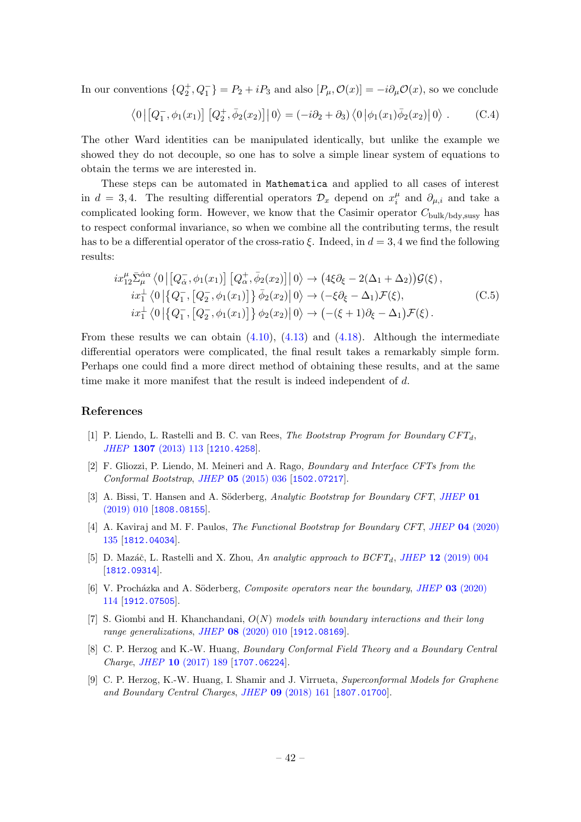In our conventions  $\{Q_2^+, Q_1^-\}=P_2+iP_3$  and also  $[P_\mu, \mathcal{O}(x)]=-i\partial_\mu \mathcal{O}(x)$ , so we conclude

$$
\langle 0 | [Q_1^-,\phi_1(x_1)] [Q_2^+, \bar{\phi}_2(x_2)] | 0 \rangle = (-i\partial_2 + \partial_3) \langle 0 | \phi_1(x_1) \bar{\phi}_2(x_2) | 0 \rangle . \tag{C.4}
$$

The other Ward identities can be manipulated identically, but unlike the example we showed they do not decouple, so one has to solve a simple linear system of equations to obtain the terms we are interested in.

These steps can be automated in Mathematica and applied to all cases of interest in  $d = 3, 4$ . The resulting differential operators  $\mathcal{D}_x$  depend on  $x_i^{\mu}$  $\frac{\mu}{i}$  and  $\partial_{\mu,i}$  and take a complicated looking form. However, we know that the Casimir operator  $C_{\text{bulk/bdv,susv}}$  has to respect conformal invariance, so when we combine all the contributing terms, the result has to be a differential operator of the cross-ratio  $\xi$ . Indeed, in  $d = 3, 4$  we find the following results:

$$
ix_{12}^{\mu}\bar{\Sigma}_{\mu}^{\dot{\alpha}\alpha}\langle 0 | [Q_{\dot{\alpha}}^{-}, \phi_1(x_1)] [Q_{\alpha}^{+}, \bar{\phi}_2(x_2)] | 0 \rangle \rightarrow (4\xi\partial_{\xi} - 2(\Delta_1 + \Delta_2))\mathcal{G}(\xi),\nix_{1}^{\perp}\langle 0 | \{Q_{1}^{-}, [Q_{2}^{-}, \phi_1(x_1)]\} \bar{\phi}_2(x_2) | 0 \rangle \rightarrow (-\xi\partial_{\xi} - \Delta_1)\mathcal{F}(\xi),\nix_{1}^{\perp}\langle 0 | \{Q_{1}^{-}, [Q_{2}^{-}, \phi_1(x_1)]\} \phi_2(x_2) | 0 \rangle \rightarrow (-(\xi + 1)\partial_{\xi} - \Delta_1)\mathcal{F}(\xi).
$$
\n(C.5)

From these results we can obtain  $(4.10)$ ,  $(4.13)$  and  $(4.18)$ . Although the intermediate differential operators were complicated, the final result takes a remarkably simple form. Perhaps one could find a more direct method of obtaining these results, and at the same time make it more manifest that the result is indeed independent of d.

# References

- <span id="page-42-0"></span>[1] P. Liendo, L. Rastelli and B. C. van Rees, *The Bootstrap Program for Boundary CFT<sub>d</sub>*. JHEP 1307 [\(2013\) 113](https://doi.org/10.1007/JHEP07(2013)113) [[1210.4258](https://arxiv.org/abs/1210.4258)].
- <span id="page-42-1"></span>[2] F. Gliozzi, P. Liendo, M. Meineri and A. Rago, Boundary and Interface CFTs from the Conformal Bootstrap, JHEP 05 [\(2015\) 036](https://doi.org/10.1007/JHEP05(2015)036) [[1502.07217](https://arxiv.org/abs/1502.07217)].
- <span id="page-42-2"></span>[3] A. Bissi, T. Hansen and A. Söderberg, Analytic Bootstrap for Boundary CFT, [JHEP](https://doi.org/10.1007/JHEP01(2019)010) 01 [\(2019\) 010](https://doi.org/10.1007/JHEP01(2019)010) [[1808.08155](https://arxiv.org/abs/1808.08155)].
- <span id="page-42-3"></span>[4] A. Kaviraj and M. F. Paulos, The Functional Bootstrap for Boundary CFT, JHEP 04 [\(2020\)](https://doi.org/10.1007/JHEP04(2020)135) [135](https://doi.org/10.1007/JHEP04(2020)135) [[1812.04034](https://arxiv.org/abs/1812.04034)].
- <span id="page-42-4"></span>[5] D. Mazáč, L. Rastelli and X. Zhou, An analytic approach to  $BCFT_d$ , JHEP 12 [\(2019\) 004](https://doi.org/10.1007/JHEP12(2019)004) [[1812.09314](https://arxiv.org/abs/1812.09314)].
- <span id="page-42-5"></span>[6] V. Procházka and A. Söderberg, *Composite operators near the boundary*, *JHEP* 03 [\(2020\)](https://doi.org/10.1007/JHEP03(2020)114) [114](https://doi.org/10.1007/JHEP03(2020)114) [[1912.07505](https://arxiv.org/abs/1912.07505)].
- [7] S. Giombi and H. Khanchandani,  $O(N)$  models with boundary interactions and their long range generalizations, JHEP 08 [\(2020\) 010](https://doi.org/10.1007/JHEP08(2020)010) [[1912.08169](https://arxiv.org/abs/1912.08169)].
- [8] C. P. Herzog and K.-W. Huang, Boundary Conformal Field Theory and a Boundary Central Charge, JHEP 10 [\(2017\) 189](https://doi.org/10.1007/JHEP10(2017)189) [[1707.06224](https://arxiv.org/abs/1707.06224)].
- <span id="page-42-6"></span>[9] C. P. Herzog, K.-W. Huang, I. Shamir and J. Virrueta, Superconformal Models for Graphene and Boundary Central Charges, JHEP 09 [\(2018\) 161](https://doi.org/10.1007/JHEP09(2018)161) [[1807.01700](https://arxiv.org/abs/1807.01700)].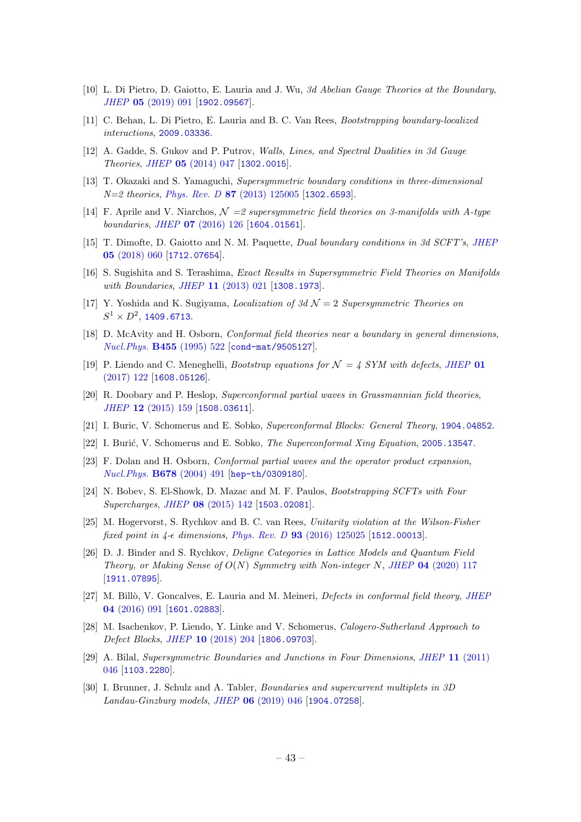- [10] L. Di Pietro, D. Gaiotto, E. Lauria and J. Wu, 3d Abelian Gauge Theories at the Boundary, JHEP 05 [\(2019\) 091](https://doi.org/10.1007/JHEP05(2019)091) [[1902.09567](https://arxiv.org/abs/1902.09567)].
- <span id="page-43-0"></span>[11] C. Behan, L. Di Pietro, E. Lauria and B. C. Van Rees, Bootstrapping boundary-localized interactions, [2009.03336](https://arxiv.org/abs/2009.03336).
- <span id="page-43-1"></span>[12] A. Gadde, S. Gukov and P. Putrov, Walls, Lines, and Spectral Dualities in 3d Gauge Theories, JHEP 05 [\(2014\) 047](https://doi.org/10.1007/JHEP05(2014)047) [[1302.0015](https://arxiv.org/abs/1302.0015)].
- [13] T. Okazaki and S. Yamaguchi, Supersymmetric boundary conditions in three-dimensional  $N=2$  theories, Phys. Rev. D 87 [\(2013\) 125005](https://doi.org/10.1103/PhysRevD.87.125005) [[1302.6593](https://arxiv.org/abs/1302.6593)].
- [14] F. Aprile and V. Niarchos,  $\mathcal{N} = 2$  supersymmetric field theories on 3-manifolds with A-type boundaries, JHEP 07 [\(2016\) 126](https://doi.org/10.1007/JHEP07(2016)126) [[1604.01561](https://arxiv.org/abs/1604.01561)].
- <span id="page-43-2"></span>[15] T. Dimofte, D. Gaiotto and N. M. Paquette, Dual boundary conditions in 3d SCFT's, [JHEP](https://doi.org/10.1007/JHEP05(2018)060) 05 [\(2018\) 060](https://doi.org/10.1007/JHEP05(2018)060) [[1712.07654](https://arxiv.org/abs/1712.07654)].
- <span id="page-43-3"></span>[16] S. Sugishita and S. Terashima, Exact Results in Supersymmetric Field Theories on Manifolds with Boundaries, JHEP 11 [\(2013\) 021](https://doi.org/10.1007/JHEP11(2013)021) [[1308.1973](https://arxiv.org/abs/1308.1973)].
- <span id="page-43-4"></span>[17] Y. Yoshida and K. Sugiyama, *Localization of 3d*  $\mathcal{N}=2$  *Supersymmetric Theories on*  $S^1\times D^2$ , [1409.6713](https://arxiv.org/abs/1409.6713).
- <span id="page-43-5"></span>[18] D. McAvity and H. Osborn, *Conformal field theories near a boundary in general dimensions*, [Nucl.Phys.](https://doi.org/10.1016/0550-3213(95)00476-9) B455 (1995) 522 [[cond-mat/9505127](https://arxiv.org/abs/cond-mat/9505127)].
- <span id="page-43-6"></span>[19] P. Liendo and C. Meneghelli, *Bootstrap equations for*  $\mathcal{N} = 4$  SYM with defects, [JHEP](https://doi.org/10.1007/JHEP01(2017)122) 01 [\(2017\) 122](https://doi.org/10.1007/JHEP01(2017)122) [[1608.05126](https://arxiv.org/abs/1608.05126)].
- <span id="page-43-7"></span>[20] R. Doobary and P. Heslop, Superconformal partial waves in Grassmannian field theories, JHEP 12 [\(2015\) 159](https://doi.org/10.1007/JHEP12(2015)159) [[1508.03611](https://arxiv.org/abs/1508.03611)].
- <span id="page-43-8"></span>[21] I. Buric, V. Schomerus and E. Sobko, Superconformal Blocks: General Theory, [1904.04852](https://arxiv.org/abs/1904.04852).
- <span id="page-43-9"></span>[22] I. Burić, V. Schomerus and E. Sobko, *The Superconformal Xing Equation*, [2005.13547](https://arxiv.org/abs/2005.13547).
- <span id="page-43-10"></span>[23] F. Dolan and H. Osborn, Conformal partial waves and the operator product expansion, [Nucl.Phys.](https://doi.org/10.1016/j.nuclphysb.2003.11.016) B678 (2004) 491 [[hep-th/0309180](https://arxiv.org/abs/hep-th/0309180)].
- <span id="page-43-11"></span>[24] N. Bobev, S. El-Showk, D. Mazac and M. F. Paulos, Bootstrapping SCFTs with Four Supercharges, JHEP 08 [\(2015\) 142](https://doi.org/10.1007/JHEP08(2015)142) [[1503.02081](https://arxiv.org/abs/1503.02081)].
- <span id="page-43-12"></span>[25] M. Hogervorst, S. Rychkov and B. C. van Rees, Unitarity violation at the Wilson-Fisher fixed point in  $4$ - $\epsilon$  dimensions, Phys. Rev. D **93** [\(2016\) 125025](https://doi.org/10.1103/PhysRevD.93.125025) [[1512.00013](https://arxiv.org/abs/1512.00013)].
- <span id="page-43-13"></span>[26] D. J. Binder and S. Rychkov, Deligne Categories in Lattice Models and Quantum Field Theory, or Making Sense of  $O(N)$  Symmetry with Non-integer N, JHEP 04 [\(2020\) 117](https://doi.org/10.1007/JHEP04(2020)117) [[1911.07895](https://arxiv.org/abs/1911.07895)].
- <span id="page-43-14"></span>[27] M. Billò, V. Goncalves, E. Lauria and M. Meineri, *Defects in conformal field theory, [JHEP](https://doi.org/10.1007/JHEP04(2016)091)* 04 [\(2016\) 091](https://doi.org/10.1007/JHEP04(2016)091) [[1601.02883](https://arxiv.org/abs/1601.02883)].
- <span id="page-43-15"></span>[28] M. Isachenkov, P. Liendo, Y. Linke and V. Schomerus, Calogero-Sutherland Approach to Defect Blocks, JHEP 10 [\(2018\) 204](https://doi.org/10.1007/JHEP10(2018)204) [[1806.09703](https://arxiv.org/abs/1806.09703)].
- <span id="page-43-16"></span>[29] A. Bilal, Supersymmetric Boundaries and Junctions in Four Dimensions, JHEP 11 [\(2011\)](https://doi.org/10.1007/JHEP11(2011)046) [046](https://doi.org/10.1007/JHEP11(2011)046) [[1103.2280](https://arxiv.org/abs/1103.2280)].
- <span id="page-43-17"></span>[30] I. Brunner, J. Schulz and A. Tabler, Boundaries and supercurrent multiplets in 3D Landau-Ginzburg models, JHEP 06 [\(2019\) 046](https://doi.org/10.1007/JHEP06(2019)046) [[1904.07258](https://arxiv.org/abs/1904.07258)].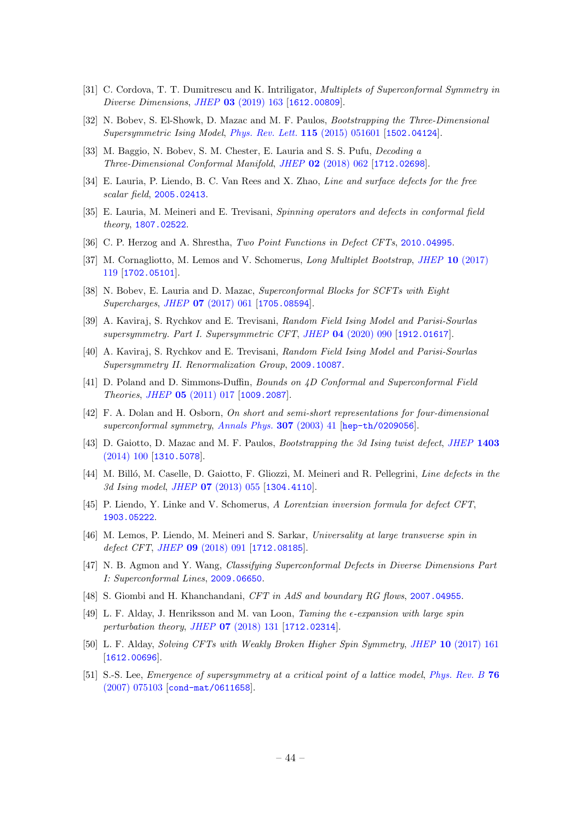- <span id="page-44-0"></span>[31] C. Cordova, T. T. Dumitrescu and K. Intriligator, *Multiplets of Superconformal Symmetry in* Diverse Dimensions, JHEP 03 [\(2019\) 163](https://doi.org/10.1007/JHEP03(2019)163) [[1612.00809](https://arxiv.org/abs/1612.00809)].
- <span id="page-44-1"></span>[32] N. Bobev, S. El-Showk, D. Mazac and M. F. Paulos, Bootstrapping the Three-Dimensional Supersymmetric Ising Model, [Phys. Rev. Lett.](https://doi.org/10.1103/PhysRevLett.115.051601) 115 (2015) 051601 [[1502.04124](https://arxiv.org/abs/1502.04124)].
- <span id="page-44-2"></span>[33] M. Baggio, N. Bobev, S. M. Chester, E. Lauria and S. S. Pufu, *Decoding a* Three-Dimensional Conformal Manifold, JHEP 02 [\(2018\) 062](https://doi.org/10.1007/JHEP02(2018)062) [[1712.02698](https://arxiv.org/abs/1712.02698)].
- <span id="page-44-3"></span>[34] E. Lauria, P. Liendo, B. C. Van Rees and X. Zhao, *Line and surface defects for the free* scalar field, [2005.02413](https://arxiv.org/abs/2005.02413).
- <span id="page-44-4"></span>[35] E. Lauria, M. Meineri and E. Trevisani, Spinning operators and defects in conformal field theory, [1807.02522](https://arxiv.org/abs/1807.02522).
- <span id="page-44-5"></span>[36] C. P. Herzog and A. Shrestha, Two Point Functions in Defect CFTs, [2010.04995](https://arxiv.org/abs/2010.04995).
- <span id="page-44-6"></span>[37] M. Cornagliotto, M. Lemos and V. Schomerus, Long Multiplet Bootstrap, JHEP 10 [\(2017\)](https://doi.org/10.1007/JHEP10(2017)119) [119](https://doi.org/10.1007/JHEP10(2017)119) [[1702.05101](https://arxiv.org/abs/1702.05101)].
- <span id="page-44-7"></span>[38] N. Bobev, E. Lauria and D. Mazac, Superconformal Blocks for SCFTs with Eight Supercharges, JHEP 07 [\(2017\) 061](https://doi.org/10.1007/JHEP07(2017)061) [[1705.08594](https://arxiv.org/abs/1705.08594)].
- <span id="page-44-8"></span>[39] A. Kaviraj, S. Rychkov and E. Trevisani, Random Field Ising Model and Parisi-Sourlas supersymmetry. Part I. Supersymmetric CFT, JHEP 04 [\(2020\) 090](https://doi.org/10.1007/JHEP04(2020)090) [[1912.01617](https://arxiv.org/abs/1912.01617)].
- <span id="page-44-9"></span>[40] A. Kaviraj, S. Rychkov and E. Trevisani, Random Field Ising Model and Parisi-Sourlas Supersymmetry II. Renormalization Group, [2009.10087](https://arxiv.org/abs/2009.10087).
- <span id="page-44-10"></span>[41] D. Poland and D. Simmons-Duffin, Bounds on 4D Conformal and Superconformal Field Theories, JHEP 05 [\(2011\) 017](https://doi.org/10.1007/JHEP05(2011)017) [[1009.2087](https://arxiv.org/abs/1009.2087)].
- <span id="page-44-11"></span>[42] F. A. Dolan and H. Osborn, On short and semi-short representations for four-dimensional superconformal symmetry, [Annals Phys.](https://doi.org/10.1016/S0003-4916(03)00074-5) 307 (2003) 41 [[hep-th/0209056](https://arxiv.org/abs/hep-th/0209056)].
- <span id="page-44-12"></span>[43] D. Gaiotto, D. Mazac and M. F. Paulos, *Bootstrapping the 3d Ising twist defect*, *[JHEP](https://doi.org/10.1007/JHEP03(2014)100)* 1403 [\(2014\) 100](https://doi.org/10.1007/JHEP03(2014)100) [[1310.5078](https://arxiv.org/abs/1310.5078)].
- <span id="page-44-13"></span>[44] M. Billó, M. Caselle, D. Gaiotto, F. Gliozzi, M. Meineri and R. Pellegrini, Line defects in the 3d Ising model, JHEP 07 [\(2013\) 055](https://doi.org/10.1007/JHEP07(2013)055) [[1304.4110](https://arxiv.org/abs/1304.4110)].
- <span id="page-44-14"></span>[45] P. Liendo, Y. Linke and V. Schomerus, A Lorentzian inversion formula for defect CFT, [1903.05222](https://arxiv.org/abs/1903.05222).
- <span id="page-44-15"></span>[46] M. Lemos, P. Liendo, M. Meineri and S. Sarkar, Universality at large transverse spin in defect CFT, JHEP 09 [\(2018\) 091](https://doi.org/10.1007/JHEP09(2018)091) [[1712.08185](https://arxiv.org/abs/1712.08185)].
- <span id="page-44-16"></span>[47] N. B. Agmon and Y. Wang, Classifying Superconformal Defects in Diverse Dimensions Part I: Superconformal Lines, [2009.06650](https://arxiv.org/abs/2009.06650).
- <span id="page-44-17"></span>[48] S. Giombi and H. Khanchandani, CFT in AdS and boundary RG flows, [2007.04955](https://arxiv.org/abs/2007.04955).
- <span id="page-44-18"></span>[49] L. F. Alday, J. Henriksson and M. van Loon, Taming the  $\epsilon$ -expansion with large spin perturbation theory, JHEP 07 [\(2018\) 131](https://doi.org/10.1007/JHEP07(2018)131) [[1712.02314](https://arxiv.org/abs/1712.02314)].
- <span id="page-44-19"></span>[50] L. F. Alday, Solving CFTs with Weakly Broken Higher Spin Symmetry, JHEP 10 [\(2017\) 161](https://doi.org/10.1007/JHEP10(2017)161) [[1612.00696](https://arxiv.org/abs/1612.00696)].
- <span id="page-44-20"></span>[51] S.-S. Lee, *Emergence of supersymmetry at a critical point of a lattice model, [Phys. Rev. B](https://doi.org/10.1103/PhysRevB.76.075103)* 76 [\(2007\) 075103](https://doi.org/10.1103/PhysRevB.76.075103) [[cond-mat/0611658](https://arxiv.org/abs/cond-mat/0611658)].